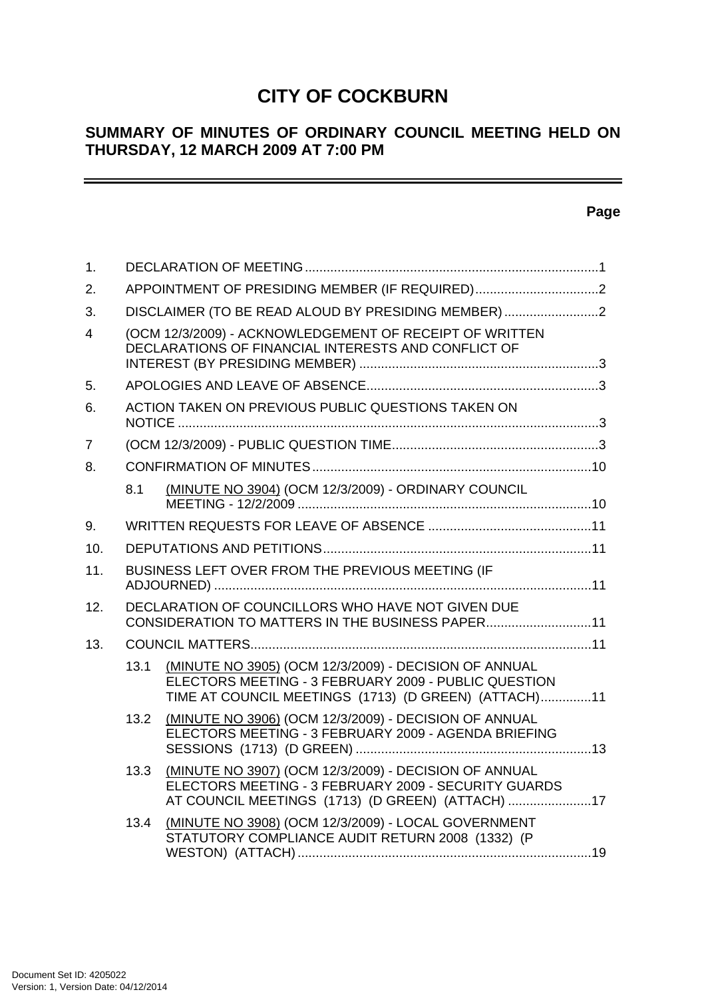## **CITY OF COCKBURN**

## **SUMMARY OF MINUTES OF ORDINARY COUNCIL MEETING HELD ON THURSDAY, 12 MARCH 2009 AT 7:00 PM**

## **Page**

| 1.  |                                                                                                                |                                                                                                                                                                       |  |  |
|-----|----------------------------------------------------------------------------------------------------------------|-----------------------------------------------------------------------------------------------------------------------------------------------------------------------|--|--|
| 2.  |                                                                                                                | APPOINTMENT OF PRESIDING MEMBER (IF REQUIRED)2                                                                                                                        |  |  |
| 3.  |                                                                                                                | DISCLAIMER (TO BE READ ALOUD BY PRESIDING MEMBER) 2                                                                                                                   |  |  |
| 4   | (OCM 12/3/2009) - ACKNOWLEDGEMENT OF RECEIPT OF WRITTEN<br>DECLARATIONS OF FINANCIAL INTERESTS AND CONFLICT OF |                                                                                                                                                                       |  |  |
| 5.  |                                                                                                                |                                                                                                                                                                       |  |  |
| 6.  |                                                                                                                | ACTION TAKEN ON PREVIOUS PUBLIC QUESTIONS TAKEN ON                                                                                                                    |  |  |
| 7   |                                                                                                                |                                                                                                                                                                       |  |  |
| 8.  |                                                                                                                |                                                                                                                                                                       |  |  |
|     | 8.1                                                                                                            | (MINUTE NO 3904) (OCM 12/3/2009) - ORDINARY COUNCIL                                                                                                                   |  |  |
| 9.  |                                                                                                                |                                                                                                                                                                       |  |  |
| 10. |                                                                                                                |                                                                                                                                                                       |  |  |
| 11. | BUSINESS LEFT OVER FROM THE PREVIOUS MEETING (IF                                                               |                                                                                                                                                                       |  |  |
| 12. | DECLARATION OF COUNCILLORS WHO HAVE NOT GIVEN DUE<br>CONSIDERATION TO MATTERS IN THE BUSINESS PAPER11          |                                                                                                                                                                       |  |  |
| 13. |                                                                                                                |                                                                                                                                                                       |  |  |
|     | 13.1                                                                                                           | (MINUTE NO 3905) (OCM 12/3/2009) - DECISION OF ANNUAL<br>ELECTORS MEETING - 3 FEBRUARY 2009 - PUBLIC QUESTION<br>TIME AT COUNCIL MEETINGS (1713) (D GREEN) (ATTACH)11 |  |  |
|     | 13.2                                                                                                           | (MINUTE NO 3906) (OCM 12/3/2009) - DECISION OF ANNUAL<br>ELECTORS MEETING - 3 FEBRUARY 2009 - AGENDA BRIEFING                                                         |  |  |
|     | 13.3                                                                                                           | (MINUTE NO 3907) (OCM 12/3/2009) - DECISION OF ANNUAL<br>ELECTORS MEETING - 3 FEBRUARY 2009 - SECURITY GUARDS<br>AT COUNCIL MEETINGS (1713) (D GREEN) (ATTACH) 17     |  |  |
|     | 13.4                                                                                                           | (MINUTE NO 3908) (OCM 12/3/2009) - LOCAL GOVERNMENT<br>STATUTORY COMPLIANCE AUDIT RETURN 2008 (1332) (P                                                               |  |  |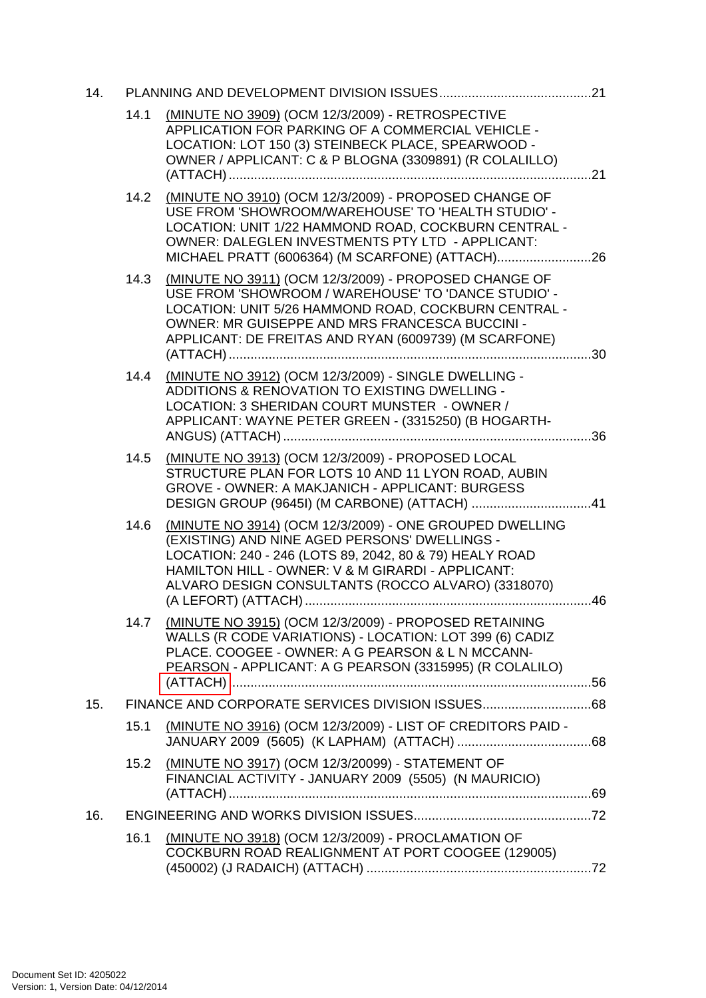| 14. |      |                                                                                                                                                                                                                                                                                 |  |
|-----|------|---------------------------------------------------------------------------------------------------------------------------------------------------------------------------------------------------------------------------------------------------------------------------------|--|
|     | 14.1 | (MINUTE NO 3909) (OCM 12/3/2009) - RETROSPECTIVE<br>APPLICATION FOR PARKING OF A COMMERCIAL VEHICLE -<br>LOCATION: LOT 150 (3) STEINBECK PLACE, SPEARWOOD -<br>OWNER / APPLICANT: C & P BLOGNA (3309891) (R COLALILLO)                                                          |  |
|     | 14.2 | (MINUTE NO 3910) (OCM 12/3/2009) - PROPOSED CHANGE OF<br>USE FROM 'SHOWROOM/WAREHOUSE' TO 'HEALTH STUDIO' -<br>LOCATION: UNIT 1/22 HAMMOND ROAD, COCKBURN CENTRAL -<br>OWNER: DALEGLEN INVESTMENTS PTY LTD - APPLICANT:<br>MICHAEL PRATT (6006364) (M SCARFONE) (ATTACH)26      |  |
|     | 14.3 | (MINUTE NO 3911) (OCM 12/3/2009) - PROPOSED CHANGE OF<br>USE FROM 'SHOWROOM / WAREHOUSE' TO 'DANCE STUDIO' -<br>LOCATION: UNIT 5/26 HAMMOND ROAD, COCKBURN CENTRAL -<br>OWNER: MR GUISEPPE AND MRS FRANCESCA BUCCINI -<br>APPLICANT: DE FREITAS AND RYAN (6009739) (M SCARFONE) |  |
|     | 14.4 | (MINUTE NO 3912) (OCM 12/3/2009) - SINGLE DWELLING -<br>ADDITIONS & RENOVATION TO EXISTING DWELLING -<br>LOCATION: 3 SHERIDAN COURT MUNSTER - OWNER /<br>APPLICANT: WAYNE PETER GREEN - (3315250) (B HOGARTH-                                                                   |  |
|     |      | 14.5 (MINUTE NO 3913) (OCM 12/3/2009) - PROPOSED LOCAL<br>STRUCTURE PLAN FOR LOTS 10 AND 11 LYON ROAD, AUBIN<br><b>GROVE - OWNER: A MAKJANICH - APPLICANT: BURGESS</b><br>DESIGN GROUP (9645I) (M CARBONE) (ATTACH) 41                                                          |  |
|     | 14.6 | (MINUTE NO 3914) (OCM 12/3/2009) - ONE GROUPED DWELLING<br>(EXISTING) AND NINE AGED PERSONS' DWELLINGS -<br>LOCATION: 240 - 246 (LOTS 89, 2042, 80 & 79) HEALY ROAD<br>HAMILTON HILL - OWNER: V & M GIRARDI - APPLICANT:<br>ALVARO DESIGN CONSULTANTS (ROCCO ALVARO) (3318070)  |  |
|     | 14.7 | (MINUTE NO 3915) (OCM 12/3/2009) - PROPOSED RETAINING<br>WALLS (R CODE VARIATIONS) - LOCATION: LOT 399 (6) CADIZ<br>PLACE. COOGEE - OWNER: A G PEARSON & L N MCCANN-<br>PEARSON - APPLICANT: A G PEARSON (3315995) (R COLALILO)                                                 |  |
| 15. |      |                                                                                                                                                                                                                                                                                 |  |
|     | 15.1 | (MINUTE NO 3916) (OCM 12/3/2009) - LIST OF CREDITORS PAID -                                                                                                                                                                                                                     |  |
|     |      | 15.2 (MINUTE NO 3917) (OCM 12/3/20099) - STATEMENT OF<br>FINANCIAL ACTIVITY - JANUARY 2009 (5505) (N MAURICIO)                                                                                                                                                                  |  |
| 16. |      |                                                                                                                                                                                                                                                                                 |  |
|     | 16.1 | (MINUTE NO 3918) (OCM 12/3/2009) - PROCLAMATION OF<br>COCKBURN ROAD REALIGNMENT AT PORT COOGEE (129005)                                                                                                                                                                         |  |
|     |      |                                                                                                                                                                                                                                                                                 |  |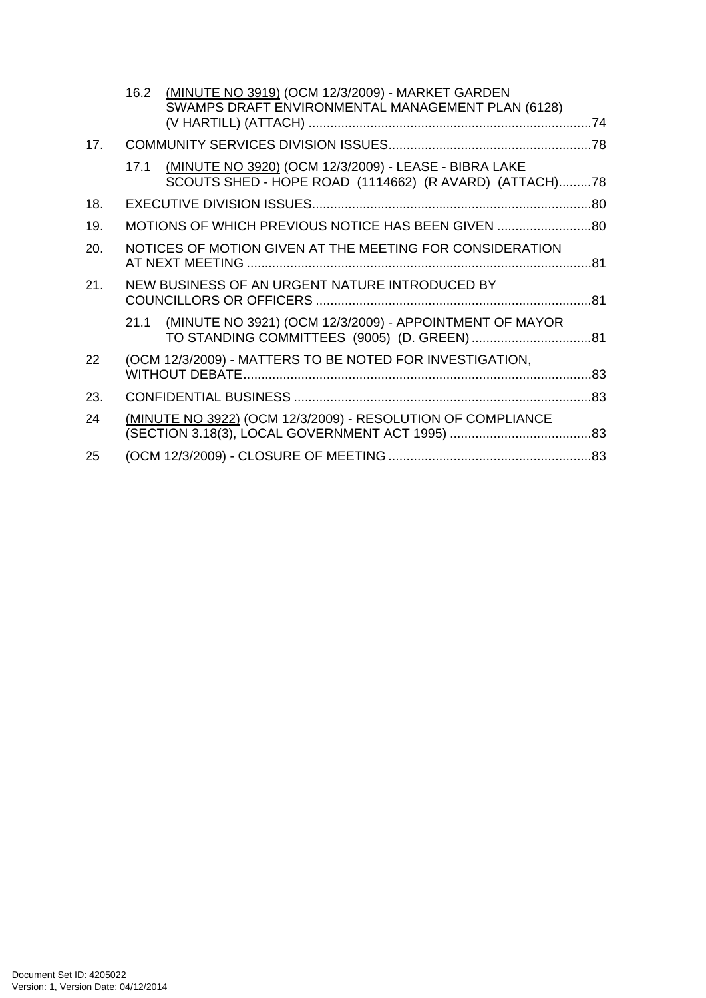|     | (MINUTE NO 3919) (OCM 12/3/2009) - MARKET GARDEN<br>16.2<br>SWAMPS DRAFT ENVIRONMENTAL MANAGEMENT PLAN (6128)           |  |
|-----|-------------------------------------------------------------------------------------------------------------------------|--|
| 17. |                                                                                                                         |  |
|     | (MINUTE NO 3920) (OCM 12/3/2009) - LEASE - BIBRA LAKE<br>17.1<br>SCOUTS SHED - HOPE ROAD (1114662) (R AVARD) (ATTACH)78 |  |
| 18. |                                                                                                                         |  |
| 19. | MOTIONS OF WHICH PREVIOUS NOTICE HAS BEEN GIVEN                                                                         |  |
| 20. | NOTICES OF MOTION GIVEN AT THE MEETING FOR CONSIDERATION                                                                |  |
| 21. | NEW BUSINESS OF AN URGENT NATURE INTRODUCED BY                                                                          |  |
|     | 21.1 (MINUTE NO 3921) (OCM 12/3/2009) - APPOINTMENT OF MAYOR                                                            |  |
| 22  | (OCM 12/3/2009) - MATTERS TO BE NOTED FOR INVESTIGATION,                                                                |  |
| 23. |                                                                                                                         |  |
| 24  | (MINUTE NO 3922) (OCM 12/3/2009) - RESOLUTION OF COMPLIANCE                                                             |  |
| 25  |                                                                                                                         |  |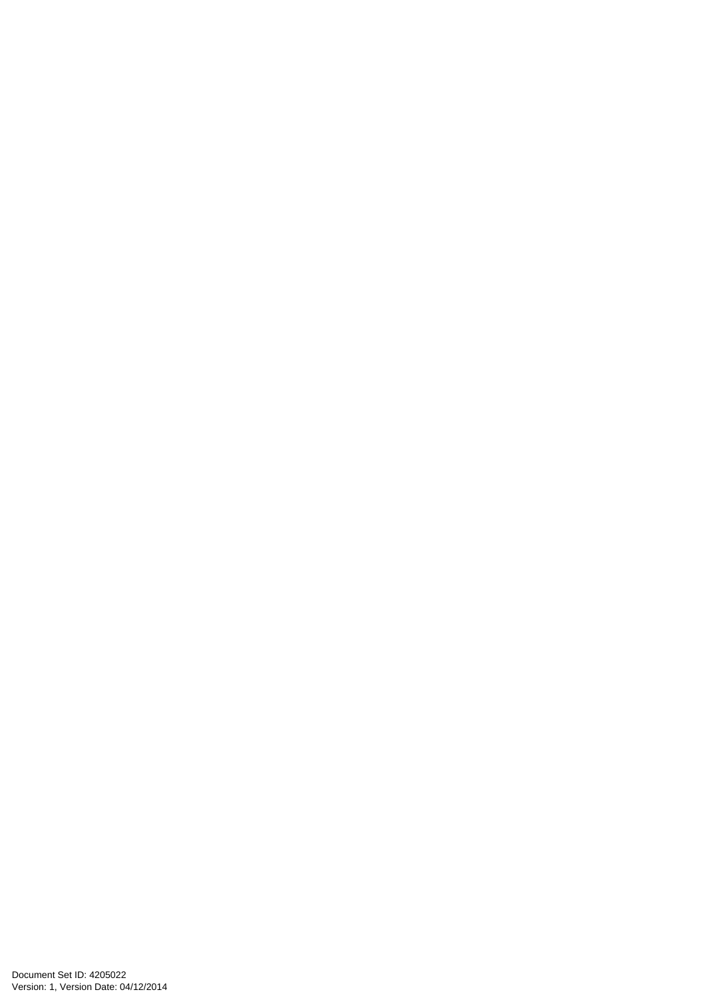Document Set ID: 4205022<br>Version: 1, Version Date: 04/12/2014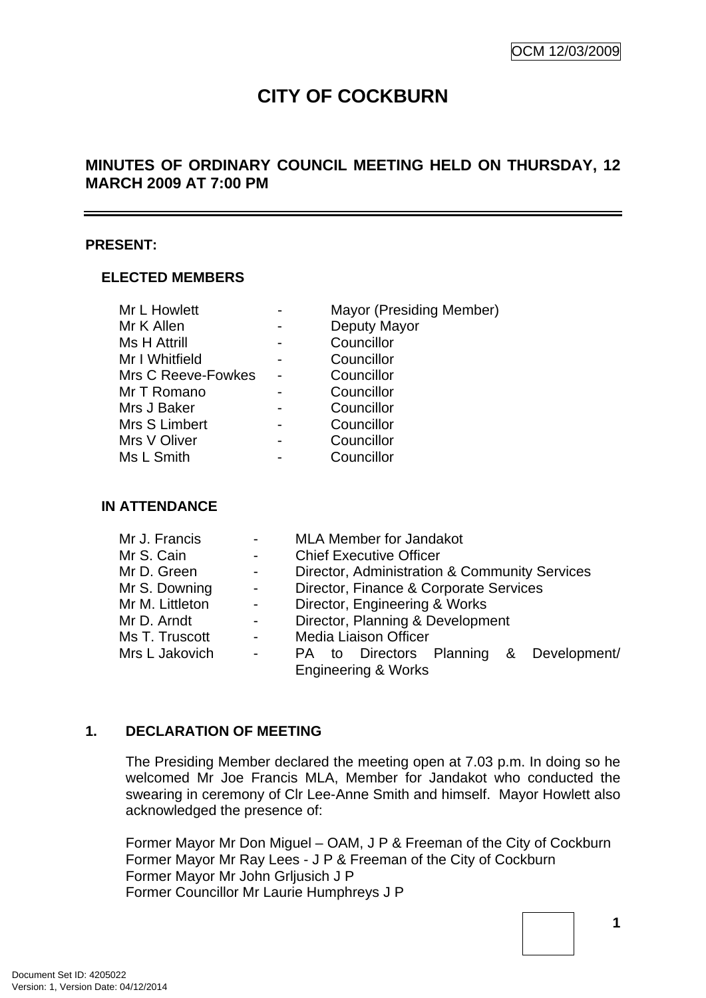## **CITY OF COCKBURN**

## **MINUTES OF ORDINARY COUNCIL MEETING HELD ON THURSDAY, 12 MARCH 2009 AT 7:00 PM**

#### **PRESENT:**

#### **ELECTED MEMBERS**

| Mayor (Presiding Member) |
|--------------------------|
| Deputy Mayor             |
| Councillor               |
| Councillor               |
| Councillor               |
| Councillor               |
| Councillor               |
| Councillor               |
| Councillor               |
| Councillor               |
|                          |

## **IN ATTENDANCE**

| Mr J. Francis   | $\overline{\phantom{a}}$ | <b>MLA Member for Jandakot</b>                |  |  |
|-----------------|--------------------------|-----------------------------------------------|--|--|
| Mr S. Cain      | $\sim 10$                | <b>Chief Executive Officer</b>                |  |  |
| Mr D. Green     | $\sim$                   | Director, Administration & Community Services |  |  |
| Mr S. Downing   | $\sim$ $^{-1}$           | Director, Finance & Corporate Services        |  |  |
| Mr M. Littleton | $\blacksquare$           | Director, Engineering & Works                 |  |  |
| Mr D. Arndt     | $\blacksquare$           | Director, Planning & Development              |  |  |
| Ms T. Truscott  | $\blacksquare$           | <b>Media Liaison Officer</b>                  |  |  |
| Mrs L Jakovich  | $\blacksquare$           | PA to Directors Planning & Development/       |  |  |
|                 |                          | <b>Engineering &amp; Works</b>                |  |  |

## **1. DECLARATION OF MEETING**

The Presiding Member declared the meeting open at 7.03 p.m. In doing so he welcomed Mr Joe Francis MLA, Member for Jandakot who conducted the swearing in ceremony of Clr Lee-Anne Smith and himself. Mayor Howlett also acknowledged the presence of:

Former Mayor Mr Don Miguel – OAM, J P & Freeman of the City of Cockburn Former Mayor Mr Ray Lees - J P & Freeman of the City of Cockburn Former Mayor Mr John Grljusich J P Former Councillor Mr Laurie Humphreys J P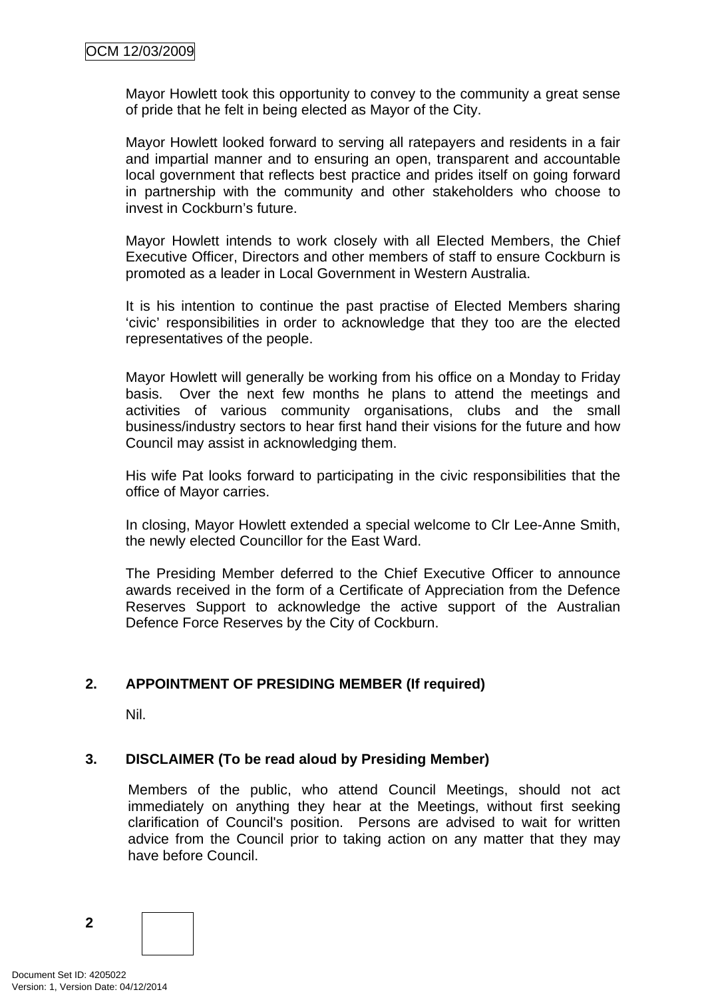Mayor Howlett took this opportunity to convey to the community a great sense of pride that he felt in being elected as Mayor of the City.

Mayor Howlett looked forward to serving all ratepayers and residents in a fair and impartial manner and to ensuring an open, transparent and accountable local government that reflects best practice and prides itself on going forward in partnership with the community and other stakeholders who choose to invest in Cockburn's future.

Mayor Howlett intends to work closely with all Elected Members, the Chief Executive Officer, Directors and other members of staff to ensure Cockburn is promoted as a leader in Local Government in Western Australia.

It is his intention to continue the past practise of Elected Members sharing 'civic' responsibilities in order to acknowledge that they too are the elected representatives of the people.

Mayor Howlett will generally be working from his office on a Monday to Friday basis. Over the next few months he plans to attend the meetings and activities of various community organisations, clubs and the small business/industry sectors to hear first hand their visions for the future and how Council may assist in acknowledging them.

His wife Pat looks forward to participating in the civic responsibilities that the office of Mayor carries.

In closing, Mayor Howlett extended a special welcome to Clr Lee-Anne Smith, the newly elected Councillor for the East Ward.

The Presiding Member deferred to the Chief Executive Officer to announce awards received in the form of a Certificate of Appreciation from the Defence Reserves Support to acknowledge the active support of the Australian Defence Force Reserves by the City of Cockburn.

## **2. APPOINTMENT OF PRESIDING MEMBER (If required)**

Nil.

## **3. DISCLAIMER (To be read aloud by Presiding Member)**

Members of the public, who attend Council Meetings, should not act immediately on anything they hear at the Meetings, without first seeking clarification of Council's position. Persons are advised to wait for written advice from the Council prior to taking action on any matter that they may have before Council.

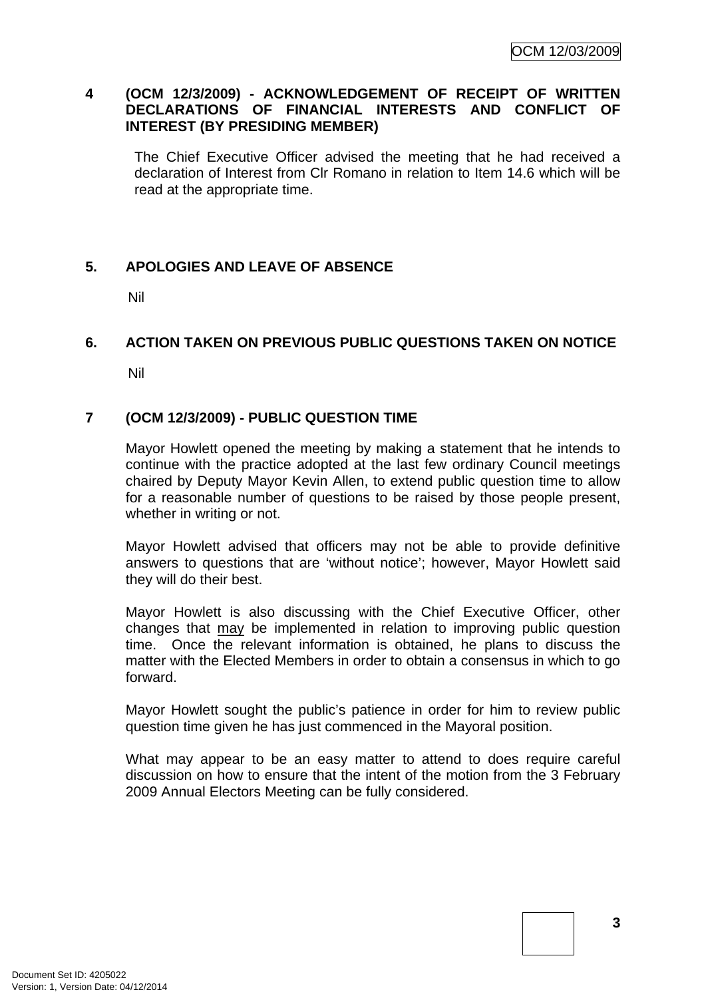## **4 (OCM 12/3/2009) - ACKNOWLEDGEMENT OF RECEIPT OF WRITTEN DECLARATIONS OF FINANCIAL INTERESTS AND CONFLICT OF INTEREST (BY PRESIDING MEMBER)**

The Chief Executive Officer advised the meeting that he had received a declaration of Interest from Clr Romano in relation to Item 14.6 which will be read at the appropriate time.

## **5. APOLOGIES AND LEAVE OF ABSENCE**

Nil

## **6. ACTION TAKEN ON PREVIOUS PUBLIC QUESTIONS TAKEN ON NOTICE**

Nil

## **7 (OCM 12/3/2009) - PUBLIC QUESTION TIME**

Mayor Howlett opened the meeting by making a statement that he intends to continue with the practice adopted at the last few ordinary Council meetings chaired by Deputy Mayor Kevin Allen, to extend public question time to allow for a reasonable number of questions to be raised by those people present, whether in writing or not.

Mayor Howlett advised that officers may not be able to provide definitive answers to questions that are 'without notice'; however, Mayor Howlett said they will do their best.

Mayor Howlett is also discussing with the Chief Executive Officer, other changes that may be implemented in relation to improving public question time. Once the relevant information is obtained, he plans to discuss the matter with the Elected Members in order to obtain a consensus in which to go forward.

Mayor Howlett sought the public's patience in order for him to review public question time given he has just commenced in the Mayoral position.

What may appear to be an easy matter to attend to does require careful discussion on how to ensure that the intent of the motion from the 3 February 2009 Annual Electors Meeting can be fully considered.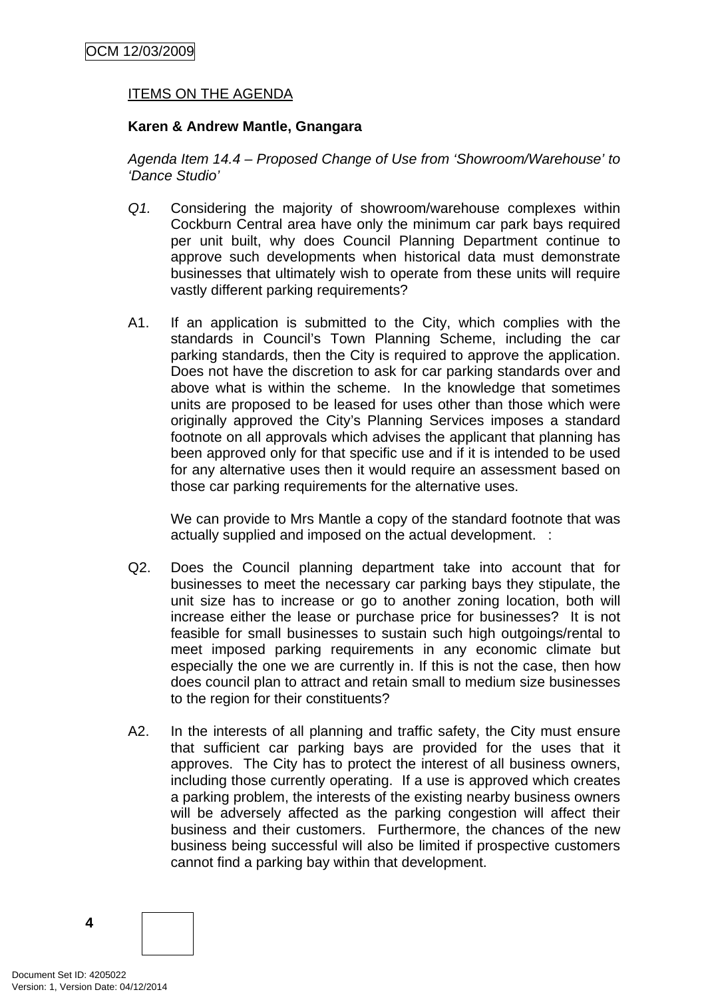## ITEMS ON THE AGENDA

#### **Karen & Andrew Mantle, Gnangara**

*Agenda Item 14.4 – Proposed Change of Use from 'Showroom/Warehouse' to 'Dance Studio'* 

- *Q1.* Considering the majority of showroom/warehouse complexes within Cockburn Central area have only the minimum car park bays required per unit built, why does Council Planning Department continue to approve such developments when historical data must demonstrate businesses that ultimately wish to operate from these units will require vastly different parking requirements?
- A1. If an application is submitted to the City, which complies with the standards in Council's Town Planning Scheme, including the car parking standards, then the City is required to approve the application. Does not have the discretion to ask for car parking standards over and above what is within the scheme. In the knowledge that sometimes units are proposed to be leased for uses other than those which were originally approved the City's Planning Services imposes a standard footnote on all approvals which advises the applicant that planning has been approved only for that specific use and if it is intended to be used for any alternative uses then it would require an assessment based on those car parking requirements for the alternative uses.

We can provide to Mrs Mantle a copy of the standard footnote that was actually supplied and imposed on the actual development. :

- Q2. Does the Council planning department take into account that for businesses to meet the necessary car parking bays they stipulate, the unit size has to increase or go to another zoning location, both will increase either the lease or purchase price for businesses? It is not feasible for small businesses to sustain such high outgoings/rental to meet imposed parking requirements in any economic climate but especially the one we are currently in. If this is not the case, then how does council plan to attract and retain small to medium size businesses to the region for their constituents?
- A2. In the interests of all planning and traffic safety, the City must ensure that sufficient car parking bays are provided for the uses that it approves. The City has to protect the interest of all business owners, including those currently operating. If a use is approved which creates a parking problem, the interests of the existing nearby business owners will be adversely affected as the parking congestion will affect their business and their customers. Furthermore, the chances of the new business being successful will also be limited if prospective customers cannot find a parking bay within that development.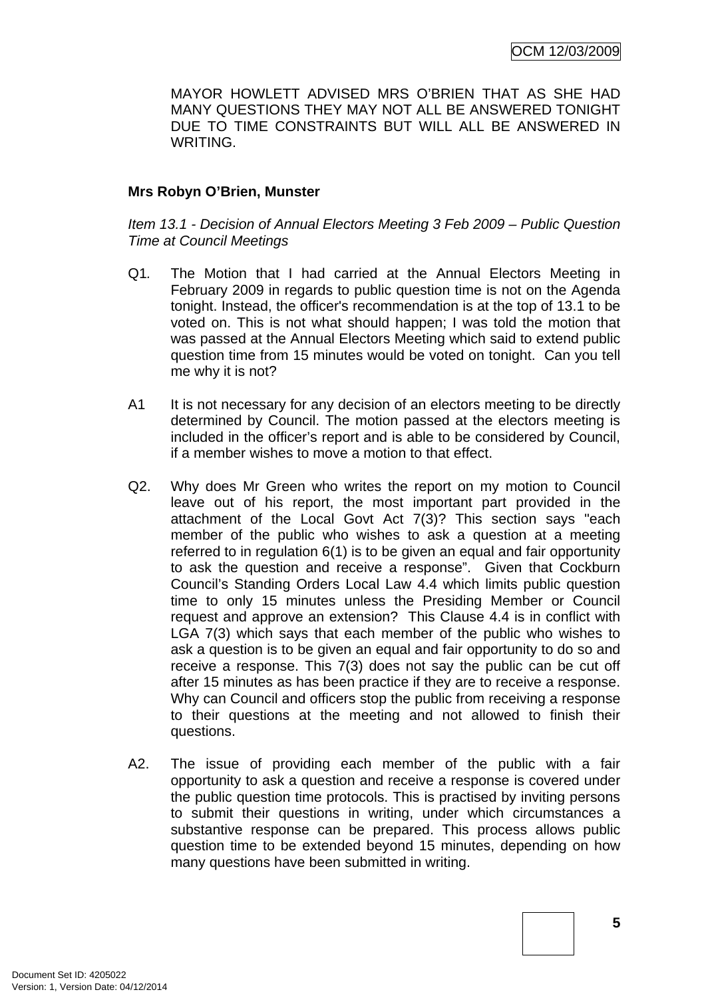MAYOR HOWLETT ADVISED MRS O'BRIEN THAT AS SHE HAD MANY QUESTIONS THEY MAY NOT ALL BE ANSWERED TONIGHT DUE TO TIME CONSTRAINTS BUT WILL ALL BE ANSWERED IN WRITING.

## **Mrs Robyn O'Brien, Munster**

*Item 13.1 - Decision of Annual Electors Meeting 3 Feb 2009 – Public Question Time at Council Meetings* 

- Q1*.* The Motion that I had carried at the Annual Electors Meeting in February 2009 in regards to public question time is not on the Agenda tonight. Instead, the officer's recommendation is at the top of 13.1 to be voted on. This is not what should happen; I was told the motion that was passed at the Annual Electors Meeting which said to extend public question time from 15 minutes would be voted on tonight. Can you tell me why it is not?
- A1 It is not necessary for any decision of an electors meeting to be directly determined by Council. The motion passed at the electors meeting is included in the officer's report and is able to be considered by Council, if a member wishes to move a motion to that effect.
- Q2. Why does Mr Green who writes the report on my motion to Council leave out of his report, the most important part provided in the attachment of the Local Govt Act 7(3)? This section says "each member of the public who wishes to ask a question at a meeting referred to in regulation 6(1) is to be given an equal and fair opportunity to ask the question and receive a response". Given that Cockburn Council's Standing Orders Local Law 4.4 which limits public question time to only 15 minutes unless the Presiding Member or Council request and approve an extension? This Clause 4.4 is in conflict with LGA 7(3) which says that each member of the public who wishes to ask a question is to be given an equal and fair opportunity to do so and receive a response. This 7(3) does not say the public can be cut off after 15 minutes as has been practice if they are to receive a response. Why can Council and officers stop the public from receiving a response to their questions at the meeting and not allowed to finish their questions.
- A2. The issue of providing each member of the public with a fair opportunity to ask a question and receive a response is covered under the public question time protocols. This is practised by inviting persons to submit their questions in writing, under which circumstances a substantive response can be prepared. This process allows public question time to be extended beyond 15 minutes, depending on how many questions have been submitted in writing.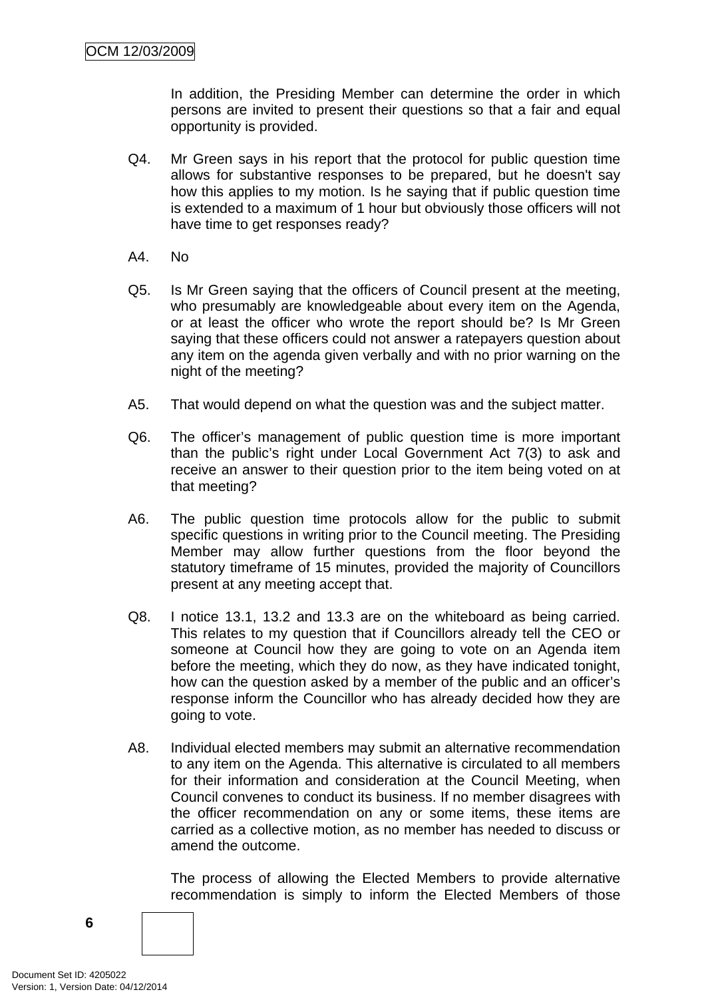In addition, the Presiding Member can determine the order in which persons are invited to present their questions so that a fair and equal opportunity is provided.

- Q4. Mr Green says in his report that the protocol for public question time allows for substantive responses to be prepared, but he doesn't say how this applies to my motion. Is he saying that if public question time is extended to a maximum of 1 hour but obviously those officers will not have time to get responses ready?
- A4. No
- Q5. Is Mr Green saying that the officers of Council present at the meeting, who presumably are knowledgeable about every item on the Agenda, or at least the officer who wrote the report should be? Is Mr Green saying that these officers could not answer a ratepayers question about any item on the agenda given verbally and with no prior warning on the night of the meeting?
- A5. That would depend on what the question was and the subject matter.
- Q6. The officer's management of public question time is more important than the public's right under Local Government Act 7(3) to ask and receive an answer to their question prior to the item being voted on at that meeting?
- A6. The public question time protocols allow for the public to submit specific questions in writing prior to the Council meeting. The Presiding Member may allow further questions from the floor beyond the statutory timeframe of 15 minutes, provided the majority of Councillors present at any meeting accept that.
- Q8. I notice 13.1, 13.2 and 13.3 are on the whiteboard as being carried. This relates to my question that if Councillors already tell the CEO or someone at Council how they are going to vote on an Agenda item before the meeting, which they do now, as they have indicated tonight, how can the question asked by a member of the public and an officer's response inform the Councillor who has already decided how they are going to vote.
- A8. Individual elected members may submit an alternative recommendation to any item on the Agenda. This alternative is circulated to all members for their information and consideration at the Council Meeting, when Council convenes to conduct its business. If no member disagrees with the officer recommendation on any or some items, these items are carried as a collective motion, as no member has needed to discuss or amend the outcome.

The process of allowing the Elected Members to provide alternative recommendation is simply to inform the Elected Members of those

**6**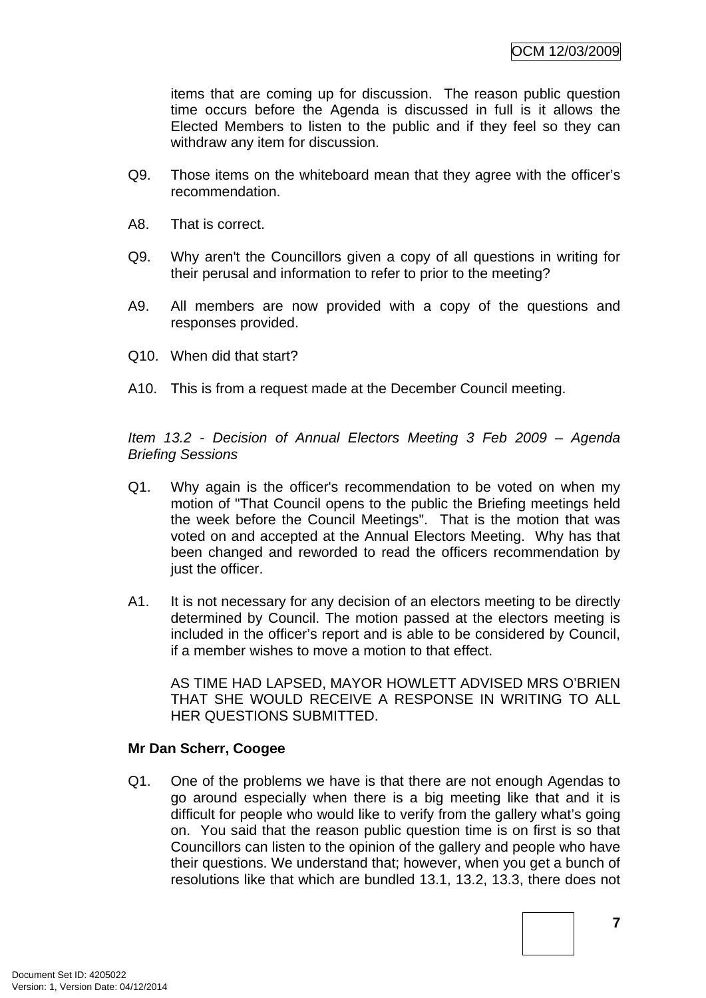items that are coming up for discussion. The reason public question time occurs before the Agenda is discussed in full is it allows the Elected Members to listen to the public and if they feel so they can withdraw any item for discussion.

- Q9. Those items on the whiteboard mean that they agree with the officer's recommendation.
- A8. That is correct.
- Q9. Why aren't the Councillors given a copy of all questions in writing for their perusal and information to refer to prior to the meeting?
- A9. All members are now provided with a copy of the questions and responses provided.
- Q10. When did that start?
- A10. This is from a request made at the December Council meeting.

*Item 13.2 - Decision of Annual Electors Meeting 3 Feb 2009 – Agenda Briefing Sessions* 

- Q1. Why again is the officer's recommendation to be voted on when my motion of "That Council opens to the public the Briefing meetings held the week before the Council Meetings". That is the motion that was voted on and accepted at the Annual Electors Meeting. Why has that been changed and reworded to read the officers recommendation by just the officer.
- A1. It is not necessary for any decision of an electors meeting to be directly determined by Council. The motion passed at the electors meeting is included in the officer's report and is able to be considered by Council, if a member wishes to move a motion to that effect.

AS TIME HAD LAPSED, MAYOR HOWLETT ADVISED MRS O'BRIEN THAT SHE WOULD RECEIVE A RESPONSE IN WRITING TO ALL HER QUESTIONS SUBMITTED.

#### **Mr Dan Scherr, Coogee**

Q1. One of the problems we have is that there are not enough Agendas to go around especially when there is a big meeting like that and it is difficult for people who would like to verify from the gallery what's going on. You said that the reason public question time is on first is so that Councillors can listen to the opinion of the gallery and people who have their questions. We understand that; however, when you get a bunch of resolutions like that which are bundled 13.1, 13.2, 13.3, there does not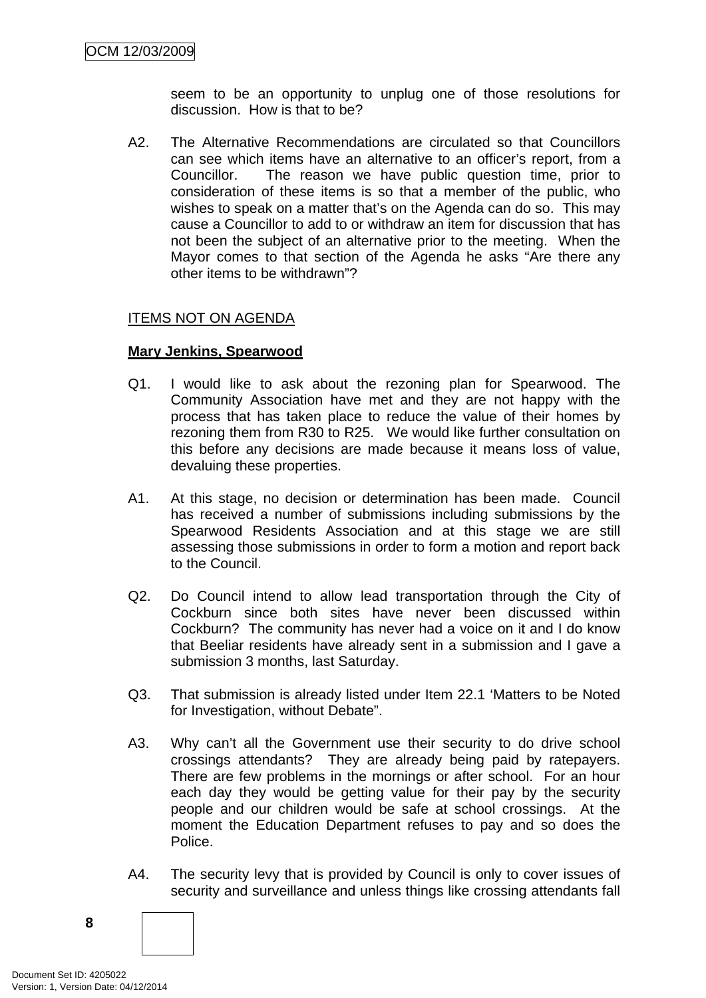seem to be an opportunity to unplug one of those resolutions for discussion. How is that to be?

A2. The Alternative Recommendations are circulated so that Councillors can see which items have an alternative to an officer's report, from a Councillor. The reason we have public question time, prior to consideration of these items is so that a member of the public, who wishes to speak on a matter that's on the Agenda can do so. This may cause a Councillor to add to or withdraw an item for discussion that has not been the subject of an alternative prior to the meeting. When the Mayor comes to that section of the Agenda he asks "Are there any other items to be withdrawn"?

## ITEMS NOT ON AGENDA

## **Mary Jenkins, Spearwood**

- Q1. I would like to ask about the rezoning plan for Spearwood. The Community Association have met and they are not happy with the process that has taken place to reduce the value of their homes by rezoning them from R30 to R25. We would like further consultation on this before any decisions are made because it means loss of value, devaluing these properties.
- A1. At this stage, no decision or determination has been made. Council has received a number of submissions including submissions by the Spearwood Residents Association and at this stage we are still assessing those submissions in order to form a motion and report back to the Council.
- Q2. Do Council intend to allow lead transportation through the City of Cockburn since both sites have never been discussed within Cockburn? The community has never had a voice on it and I do know that Beeliar residents have already sent in a submission and I gave a submission 3 months, last Saturday.
- Q3. That submission is already listed under Item 22.1 'Matters to be Noted for Investigation, without Debate".
- A3. Why can't all the Government use their security to do drive school crossings attendants? They are already being paid by ratepayers. There are few problems in the mornings or after school. For an hour each day they would be getting value for their pay by the security people and our children would be safe at school crossings. At the moment the Education Department refuses to pay and so does the Police.
- A4. The security levy that is provided by Council is only to cover issues of security and surveillance and unless things like crossing attendants fall

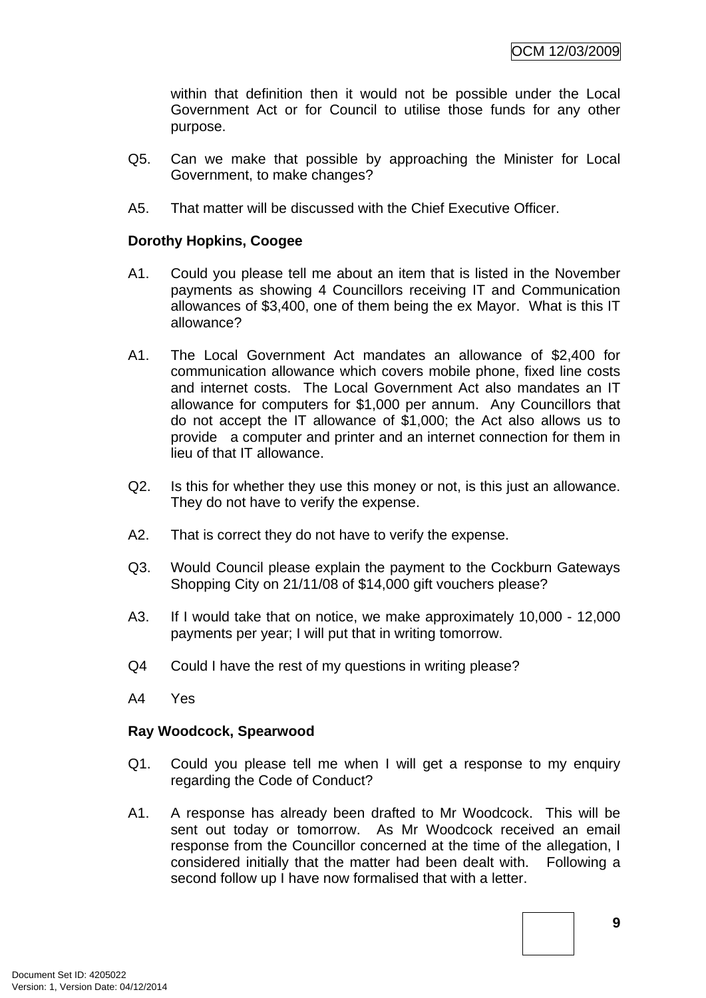within that definition then it would not be possible under the Local Government Act or for Council to utilise those funds for any other purpose.

- Q5. Can we make that possible by approaching the Minister for Local Government, to make changes?
- A5. That matter will be discussed with the Chief Executive Officer.

## **Dorothy Hopkins, Coogee**

- A1. Could you please tell me about an item that is listed in the November payments as showing 4 Councillors receiving IT and Communication allowances of \$3,400, one of them being the ex Mayor. What is this IT allowance?
- A1. The Local Government Act mandates an allowance of \$2,400 for communication allowance which covers mobile phone, fixed line costs and internet costs. The Local Government Act also mandates an IT allowance for computers for \$1,000 per annum. Any Councillors that do not accept the IT allowance of \$1,000; the Act also allows us to provide a computer and printer and an internet connection for them in lieu of that IT allowance.
- Q2. Is this for whether they use this money or not, is this just an allowance. They do not have to verify the expense.
- A2. That is correct they do not have to verify the expense.
- Q3. Would Council please explain the payment to the Cockburn Gateways Shopping City on 21/11/08 of \$14,000 gift vouchers please?
- A3. If I would take that on notice, we make approximately 10,000 12,000 payments per year; I will put that in writing tomorrow.
- Q4 Could I have the rest of my questions in writing please?
- A4 Yes

## **Ray Woodcock, Spearwood**

- Q1. Could you please tell me when I will get a response to my enquiry regarding the Code of Conduct?
- A1. A response has already been drafted to Mr Woodcock. This will be sent out today or tomorrow. As Mr Woodcock received an email response from the Councillor concerned at the time of the allegation, I considered initially that the matter had been dealt with. Following a second follow up I have now formalised that with a letter.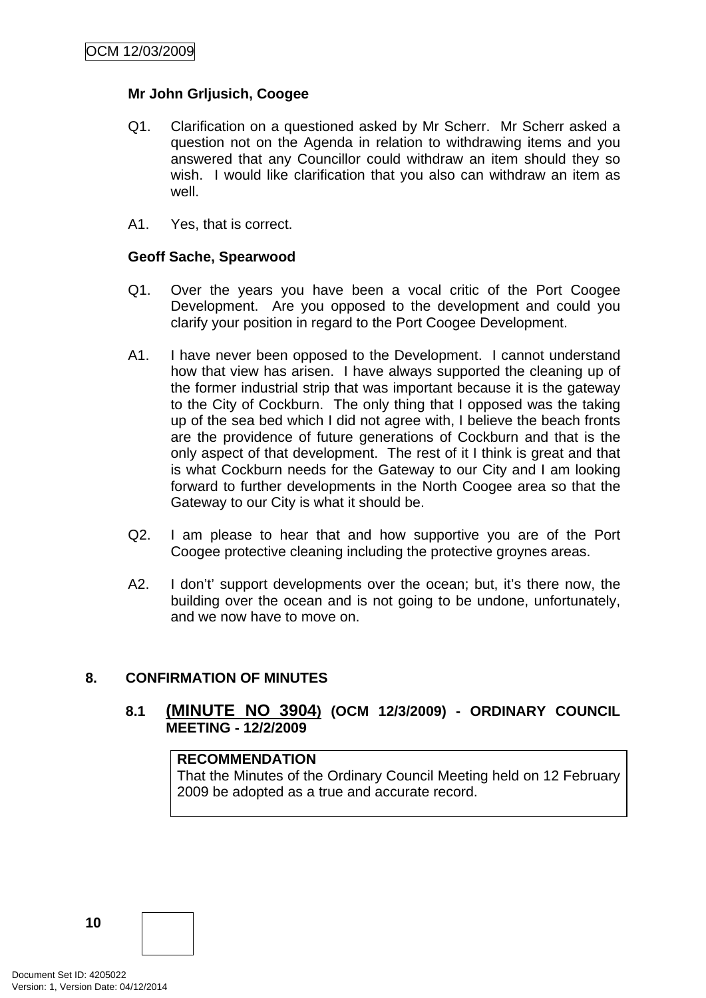## **Mr John Grljusich, Coogee**

- Q1. Clarification on a questioned asked by Mr Scherr. Mr Scherr asked a question not on the Agenda in relation to withdrawing items and you answered that any Councillor could withdraw an item should they so wish. I would like clarification that you also can withdraw an item as well.
- A1. Yes, that is correct.

#### **Geoff Sache, Spearwood**

- Q1. Over the years you have been a vocal critic of the Port Coogee Development. Are you opposed to the development and could you clarify your position in regard to the Port Coogee Development.
- A1. I have never been opposed to the Development. I cannot understand how that view has arisen. I have always supported the cleaning up of the former industrial strip that was important because it is the gateway to the City of Cockburn. The only thing that I opposed was the taking up of the sea bed which I did not agree with, I believe the beach fronts are the providence of future generations of Cockburn and that is the only aspect of that development. The rest of it I think is great and that is what Cockburn needs for the Gateway to our City and I am looking forward to further developments in the North Coogee area so that the Gateway to our City is what it should be.
- Q2. I am please to hear that and how supportive you are of the Port Coogee protective cleaning including the protective groynes areas.
- A2. I don't' support developments over the ocean; but, it's there now, the building over the ocean and is not going to be undone, unfortunately, and we now have to move on.

## **8. CONFIRMATION OF MINUTES**

## **8.1 (MINUTE NO 3904) (OCM 12/3/2009) - ORDINARY COUNCIL MEETING - 12/2/2009**

## **RECOMMENDATION**

That the Minutes of the Ordinary Council Meeting held on 12 February 2009 be adopted as a true and accurate record.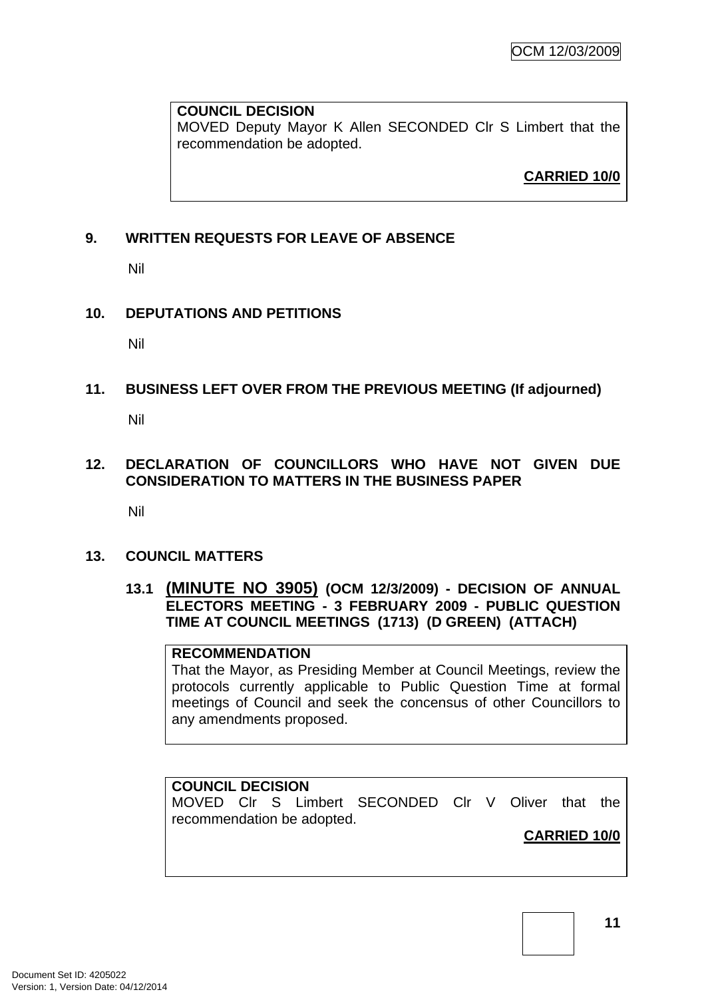## **COUNCIL DECISION**

MOVED Deputy Mayor K Allen SECONDED Clr S Limbert that the recommendation be adopted.

**CARRIED 10/0**

## **9. WRITTEN REQUESTS FOR LEAVE OF ABSENCE**

Nil

## **10. DEPUTATIONS AND PETITIONS**

Nil

**11. BUSINESS LEFT OVER FROM THE PREVIOUS MEETING (If adjourned)** 

Nil

## **12. DECLARATION OF COUNCILLORS WHO HAVE NOT GIVEN DUE CONSIDERATION TO MATTERS IN THE BUSINESS PAPER**

Nil

## **13. COUNCIL MATTERS**

## **13.1 (MINUTE NO 3905) (OCM 12/3/2009) - DECISION OF ANNUAL ELECTORS MEETING - 3 FEBRUARY 2009 - PUBLIC QUESTION TIME AT COUNCIL MEETINGS (1713) (D GREEN) (ATTACH)**

## **RECOMMENDATION**

That the Mayor, as Presiding Member at Council Meetings, review the protocols currently applicable to Public Question Time at formal meetings of Council and seek the concensus of other Councillors to any amendments proposed.

## **COUNCIL DECISION**

MOVED Clr S Limbert SECONDED Clr V Oliver that the recommendation be adopted.

**CARRIED 10/0**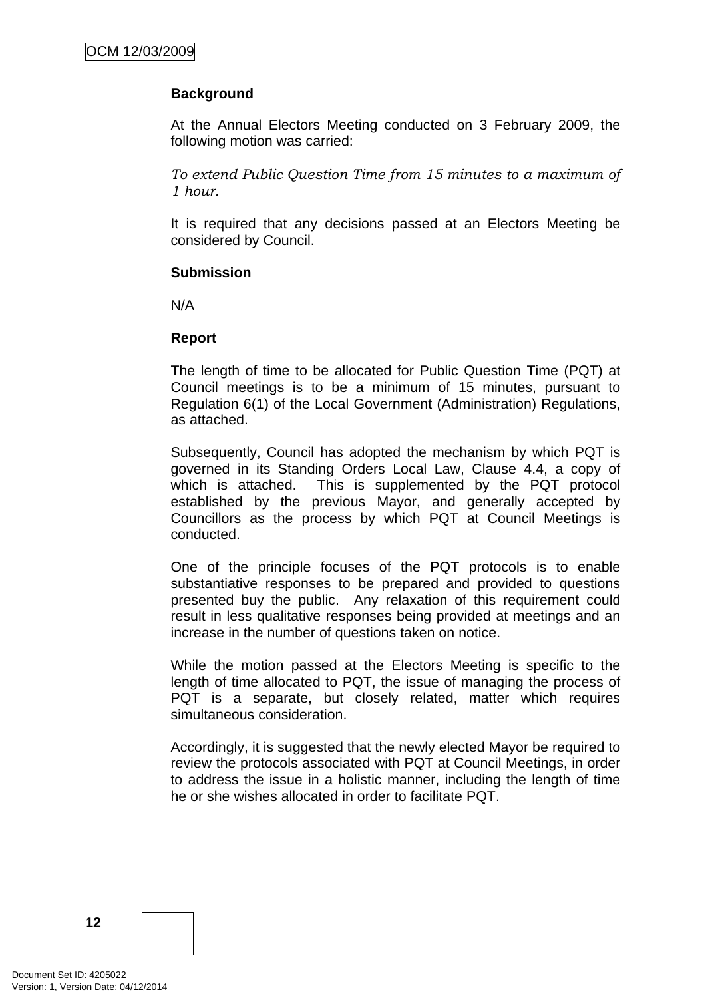## **Background**

At the Annual Electors Meeting conducted on 3 February 2009, the following motion was carried:

*To extend Public Question Time from 15 minutes to a maximum of 1 hour.* 

It is required that any decisions passed at an Electors Meeting be considered by Council.

#### **Submission**

N/A

#### **Report**

The length of time to be allocated for Public Question Time (PQT) at Council meetings is to be a minimum of 15 minutes, pursuant to Regulation 6(1) of the Local Government (Administration) Regulations, as attached.

Subsequently, Council has adopted the mechanism by which PQT is governed in its Standing Orders Local Law, Clause 4.4, a copy of which is attached. This is supplemented by the PQT protocol established by the previous Mayor, and generally accepted by Councillors as the process by which PQT at Council Meetings is conducted.

One of the principle focuses of the PQT protocols is to enable substantiative responses to be prepared and provided to questions presented buy the public. Any relaxation of this requirement could result in less qualitative responses being provided at meetings and an increase in the number of questions taken on notice.

While the motion passed at the Electors Meeting is specific to the length of time allocated to PQT, the issue of managing the process of PQT is a separate, but closely related, matter which requires simultaneous consideration.

Accordingly, it is suggested that the newly elected Mayor be required to review the protocols associated with PQT at Council Meetings, in order to address the issue in a holistic manner, including the length of time he or she wishes allocated in order to facilitate PQT.

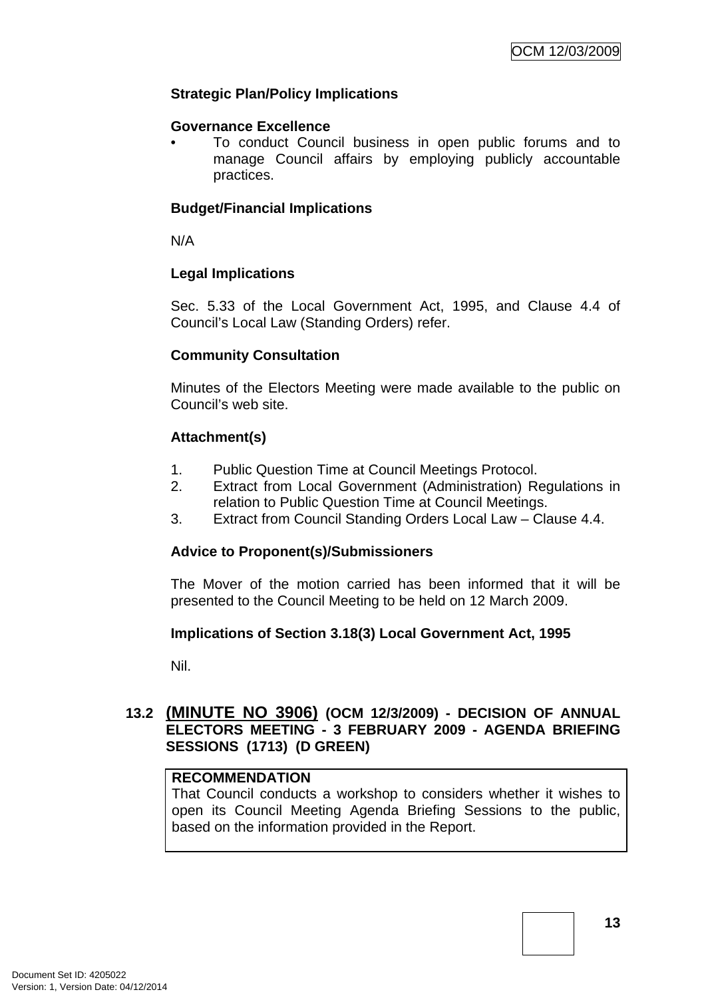## **Strategic Plan/Policy Implications**

#### **Governance Excellence**

• To conduct Council business in open public forums and to manage Council affairs by employing publicly accountable practices.

#### **Budget/Financial Implications**

N/A

#### **Legal Implications**

Sec. 5.33 of the Local Government Act, 1995, and Clause 4.4 of Council's Local Law (Standing Orders) refer.

#### **Community Consultation**

Minutes of the Electors Meeting were made available to the public on Council's web site.

## **Attachment(s)**

- 1. Public Question Time at Council Meetings Protocol.
- 2. Extract from Local Government (Administration) Regulations in relation to Public Question Time at Council Meetings.
- 3. Extract from Council Standing Orders Local Law Clause 4.4.

## **Advice to Proponent(s)/Submissioners**

The Mover of the motion carried has been informed that it will be presented to the Council Meeting to be held on 12 March 2009.

## **Implications of Section 3.18(3) Local Government Act, 1995**

Nil.

## **13.2 (MINUTE NO 3906) (OCM 12/3/2009) - DECISION OF ANNUAL ELECTORS MEETING - 3 FEBRUARY 2009 - AGENDA BRIEFING SESSIONS (1713) (D GREEN)**

## **RECOMMENDATION**

That Council conducts a workshop to considers whether it wishes to open its Council Meeting Agenda Briefing Sessions to the public, based on the information provided in the Report.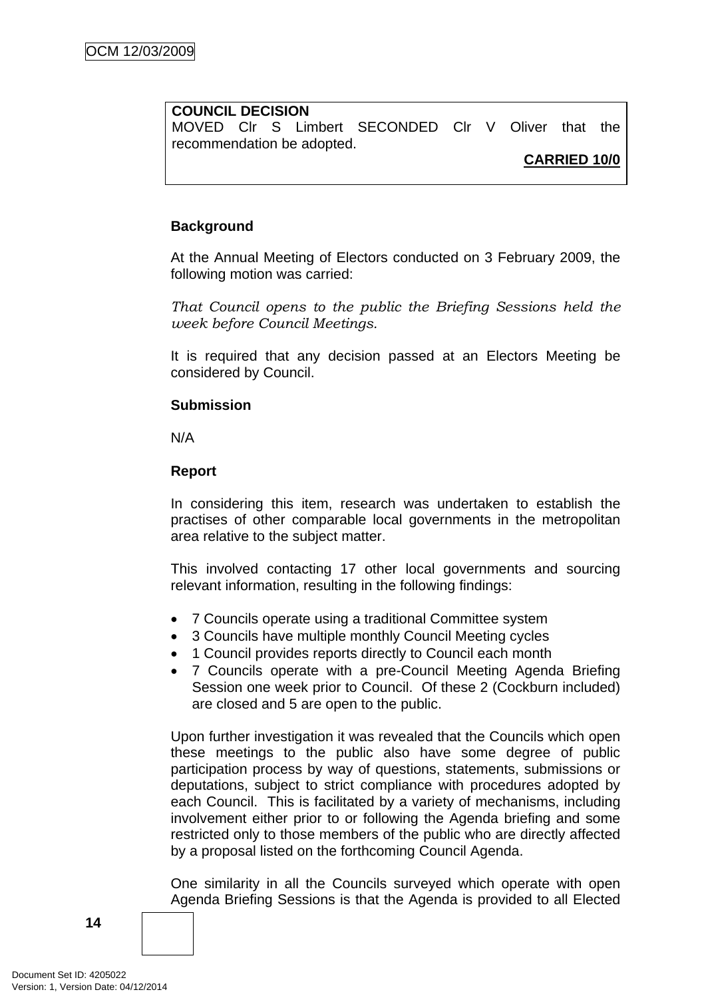## **COUNCIL DECISION**

MOVED Clr S Limbert SECONDED Clr V Oliver that the recommendation be adopted.

## **CARRIED 10/0**

## **Background**

At the Annual Meeting of Electors conducted on 3 February 2009, the following motion was carried:

*That Council opens to the public the Briefing Sessions held the week before Council Meetings.* 

It is required that any decision passed at an Electors Meeting be considered by Council.

## **Submission**

N/A

## **Report**

In considering this item, research was undertaken to establish the practises of other comparable local governments in the metropolitan area relative to the subject matter.

This involved contacting 17 other local governments and sourcing relevant information, resulting in the following findings:

- 7 Councils operate using a traditional Committee system
- 3 Councils have multiple monthly Council Meeting cycles
- 1 Council provides reports directly to Council each month
- 7 Councils operate with a pre-Council Meeting Agenda Briefing Session one week prior to Council. Of these 2 (Cockburn included) are closed and 5 are open to the public.

Upon further investigation it was revealed that the Councils which open these meetings to the public also have some degree of public participation process by way of questions, statements, submissions or deputations, subject to strict compliance with procedures adopted by each Council. This is facilitated by a variety of mechanisms, including involvement either prior to or following the Agenda briefing and some restricted only to those members of the public who are directly affected by a proposal listed on the forthcoming Council Agenda.

One similarity in all the Councils surveyed which operate with open Agenda Briefing Sessions is that the Agenda is provided to all Elected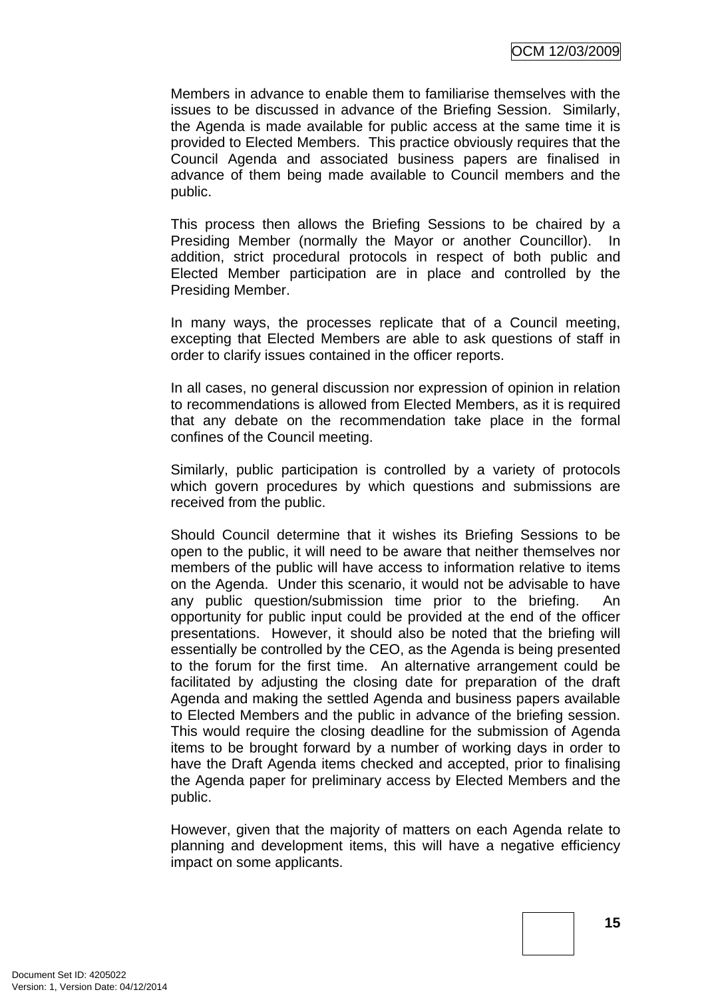Members in advance to enable them to familiarise themselves with the issues to be discussed in advance of the Briefing Session. Similarly, the Agenda is made available for public access at the same time it is provided to Elected Members. This practice obviously requires that the Council Agenda and associated business papers are finalised in advance of them being made available to Council members and the public.

This process then allows the Briefing Sessions to be chaired by a Presiding Member (normally the Mayor or another Councillor). In addition, strict procedural protocols in respect of both public and Elected Member participation are in place and controlled by the Presiding Member.

In many ways, the processes replicate that of a Council meeting, excepting that Elected Members are able to ask questions of staff in order to clarify issues contained in the officer reports.

In all cases, no general discussion nor expression of opinion in relation to recommendations is allowed from Elected Members, as it is required that any debate on the recommendation take place in the formal confines of the Council meeting.

Similarly, public participation is controlled by a variety of protocols which govern procedures by which questions and submissions are received from the public.

Should Council determine that it wishes its Briefing Sessions to be open to the public, it will need to be aware that neither themselves nor members of the public will have access to information relative to items on the Agenda. Under this scenario, it would not be advisable to have any public question/submission time prior to the briefing. An opportunity for public input could be provided at the end of the officer presentations. However, it should also be noted that the briefing will essentially be controlled by the CEO, as the Agenda is being presented to the forum for the first time. An alternative arrangement could be facilitated by adjusting the closing date for preparation of the draft Agenda and making the settled Agenda and business papers available to Elected Members and the public in advance of the briefing session. This would require the closing deadline for the submission of Agenda items to be brought forward by a number of working days in order to have the Draft Agenda items checked and accepted, prior to finalising the Agenda paper for preliminary access by Elected Members and the public.

However, given that the majority of matters on each Agenda relate to planning and development items, this will have a negative efficiency impact on some applicants.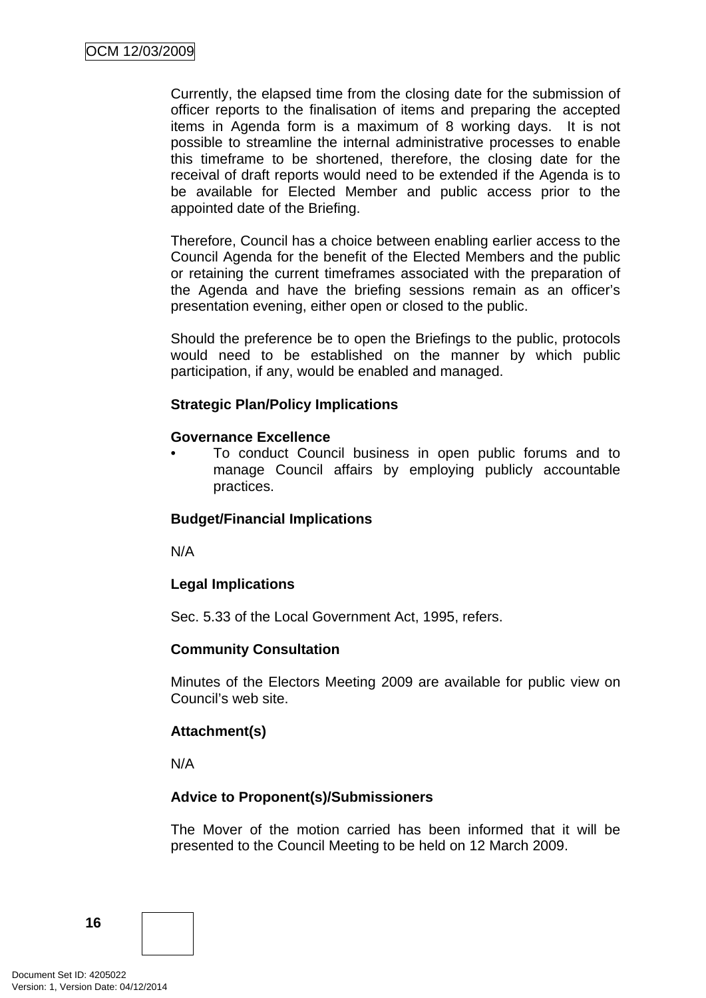Currently, the elapsed time from the closing date for the submission of officer reports to the finalisation of items and preparing the accepted items in Agenda form is a maximum of 8 working days. It is not possible to streamline the internal administrative processes to enable this timeframe to be shortened, therefore, the closing date for the receival of draft reports would need to be extended if the Agenda is to be available for Elected Member and public access prior to the appointed date of the Briefing.

Therefore, Council has a choice between enabling earlier access to the Council Agenda for the benefit of the Elected Members and the public or retaining the current timeframes associated with the preparation of the Agenda and have the briefing sessions remain as an officer's presentation evening, either open or closed to the public.

Should the preference be to open the Briefings to the public, protocols would need to be established on the manner by which public participation, if any, would be enabled and managed.

## **Strategic Plan/Policy Implications**

## **Governance Excellence**

• To conduct Council business in open public forums and to manage Council affairs by employing publicly accountable practices.

## **Budget/Financial Implications**

N/A

## **Legal Implications**

Sec. 5.33 of the Local Government Act, 1995, refers.

## **Community Consultation**

Minutes of the Electors Meeting 2009 are available for public view on Council's web site.

## **Attachment(s)**

N/A

## **Advice to Proponent(s)/Submissioners**

The Mover of the motion carried has been informed that it will be presented to the Council Meeting to be held on 12 March 2009.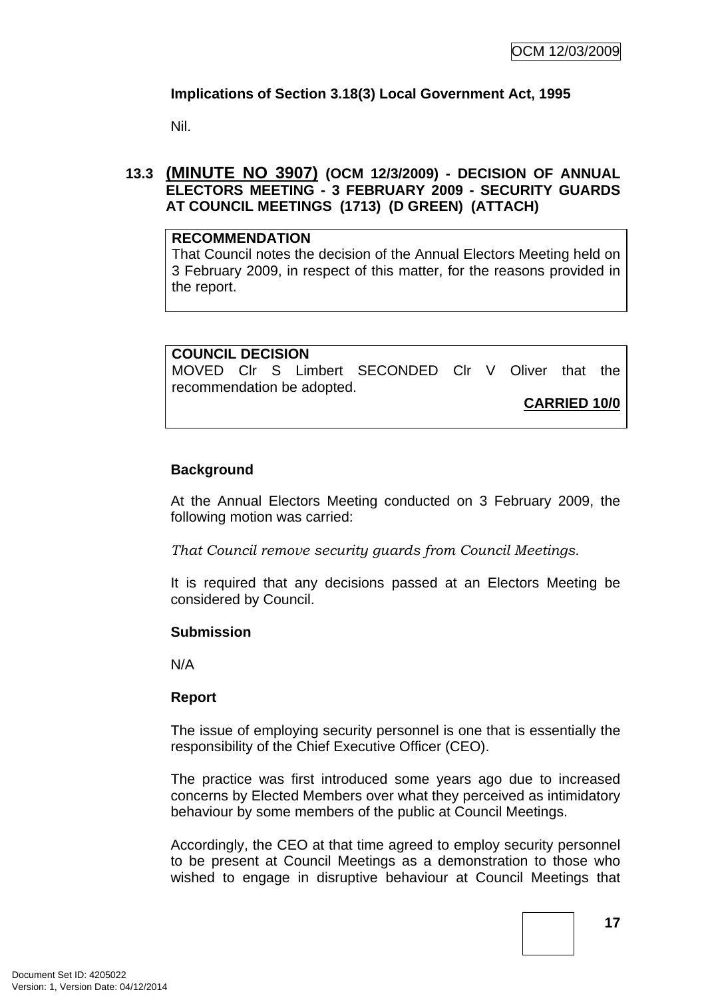## **Implications of Section 3.18(3) Local Government Act, 1995**

Nil.

## **13.3 (MINUTE NO 3907) (OCM 12/3/2009) - DECISION OF ANNUAL ELECTORS MEETING - 3 FEBRUARY 2009 - SECURITY GUARDS AT COUNCIL MEETINGS (1713) (D GREEN) (ATTACH)**

**RECOMMENDATION**

That Council notes the decision of the Annual Electors Meeting held on 3 February 2009, in respect of this matter, for the reasons provided in the report.

**COUNCIL DECISION**  MOVED Clr S Limbert SECONDED Clr V Oliver that the recommendation be adopted.

**CARRIED 10/0**

## **Background**

At the Annual Electors Meeting conducted on 3 February 2009, the following motion was carried:

*That Council remove security guards from Council Meetings.* 

It is required that any decisions passed at an Electors Meeting be considered by Council.

## **Submission**

N/A

## **Report**

The issue of employing security personnel is one that is essentially the responsibility of the Chief Executive Officer (CEO).

The practice was first introduced some years ago due to increased concerns by Elected Members over what they perceived as intimidatory behaviour by some members of the public at Council Meetings.

Accordingly, the CEO at that time agreed to employ security personnel to be present at Council Meetings as a demonstration to those who wished to engage in disruptive behaviour at Council Meetings that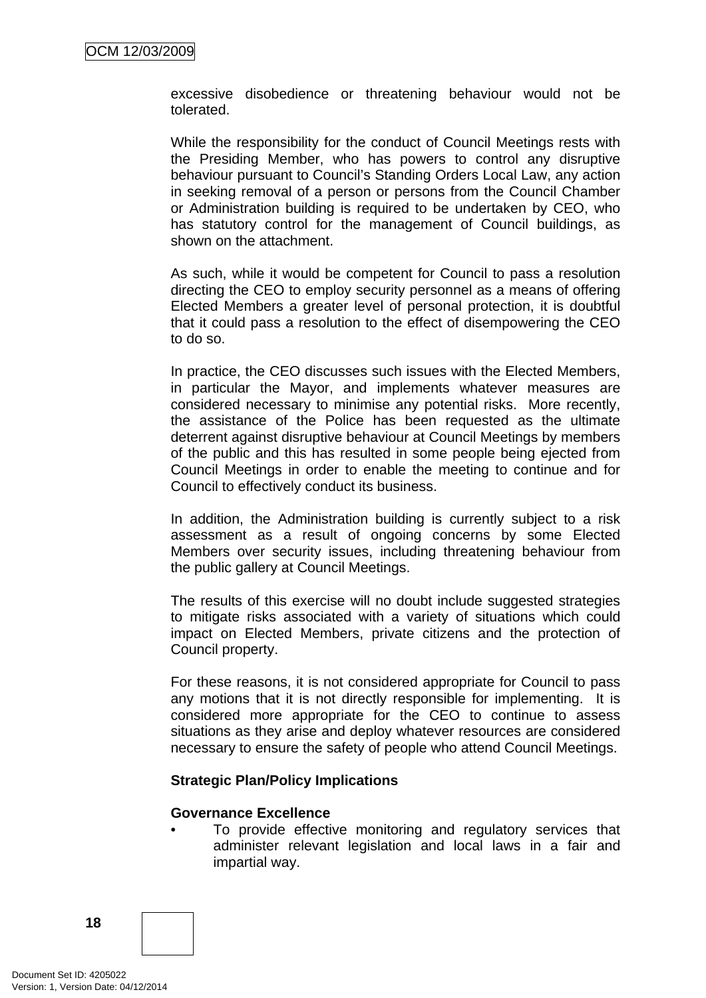excessive disobedience or threatening behaviour would not be tolerated.

While the responsibility for the conduct of Council Meetings rests with the Presiding Member, who has powers to control any disruptive behaviour pursuant to Council's Standing Orders Local Law, any action in seeking removal of a person or persons from the Council Chamber or Administration building is required to be undertaken by CEO, who has statutory control for the management of Council buildings, as shown on the attachment.

As such, while it would be competent for Council to pass a resolution directing the CEO to employ security personnel as a means of offering Elected Members a greater level of personal protection, it is doubtful that it could pass a resolution to the effect of disempowering the CEO to do so.

In practice, the CEO discusses such issues with the Elected Members, in particular the Mayor, and implements whatever measures are considered necessary to minimise any potential risks. More recently, the assistance of the Police has been requested as the ultimate deterrent against disruptive behaviour at Council Meetings by members of the public and this has resulted in some people being ejected from Council Meetings in order to enable the meeting to continue and for Council to effectively conduct its business.

In addition, the Administration building is currently subject to a risk assessment as a result of ongoing concerns by some Elected Members over security issues, including threatening behaviour from the public gallery at Council Meetings.

The results of this exercise will no doubt include suggested strategies to mitigate risks associated with a variety of situations which could impact on Elected Members, private citizens and the protection of Council property.

For these reasons, it is not considered appropriate for Council to pass any motions that it is not directly responsible for implementing. It is considered more appropriate for the CEO to continue to assess situations as they arise and deploy whatever resources are considered necessary to ensure the safety of people who attend Council Meetings.

## **Strategic Plan/Policy Implications**

#### **Governance Excellence**

To provide effective monitoring and regulatory services that administer relevant legislation and local laws in a fair and impartial way.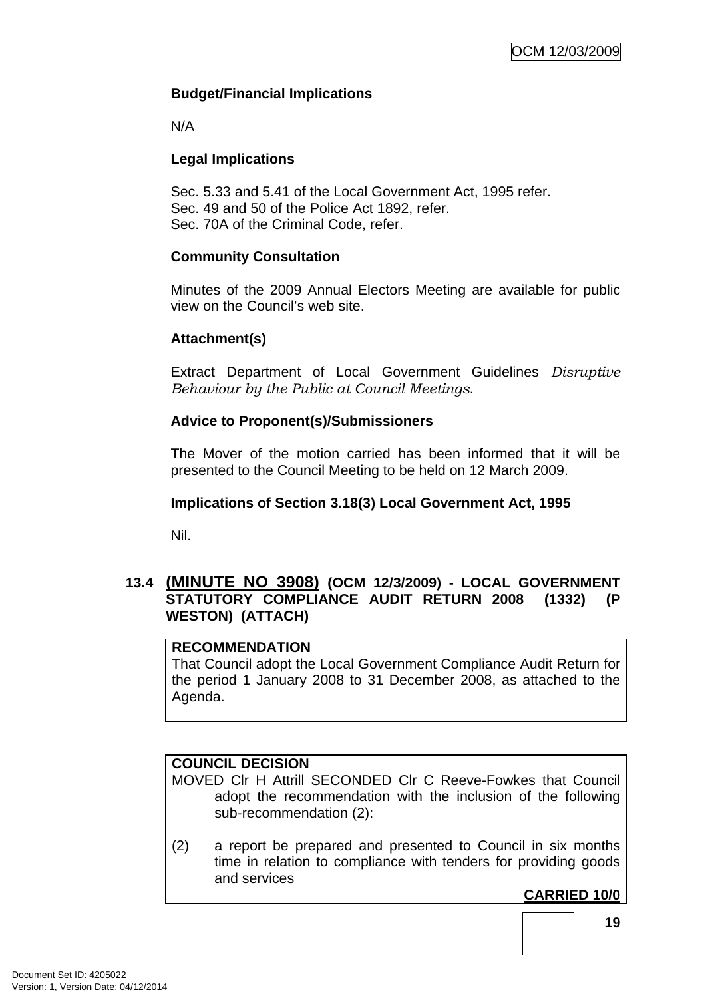## **Budget/Financial Implications**

N/A

## **Legal Implications**

Sec. 5.33 and 5.41 of the Local Government Act, 1995 refer. Sec. 49 and 50 of the Police Act 1892, refer. Sec. 70A of the Criminal Code, refer.

## **Community Consultation**

Minutes of the 2009 Annual Electors Meeting are available for public view on the Council's web site.

## **Attachment(s)**

Extract Department of Local Government Guidelines *Disruptive Behaviour by the Public at Council Meetings*.

## **Advice to Proponent(s)/Submissioners**

The Mover of the motion carried has been informed that it will be presented to the Council Meeting to be held on 12 March 2009.

## **Implications of Section 3.18(3) Local Government Act, 1995**

Nil.

## **13.4 (MINUTE NO 3908) (OCM 12/3/2009) - LOCAL GOVERNMENT STATUTORY COMPLIANCE AUDIT RETURN 2008 (1332) (P WESTON) (ATTACH)**

## **RECOMMENDATION**

That Council adopt the Local Government Compliance Audit Return for the period 1 January 2008 to 31 December 2008, as attached to the Agenda.

## **COUNCIL DECISION**

MOVED Clr H Attrill SECONDED Clr C Reeve-Fowkes that Council adopt the recommendation with the inclusion of the following sub-recommendation (2):

(2) a report be prepared and presented to Council in six months time in relation to compliance with tenders for providing goods and services

## **CARRIED 10/0**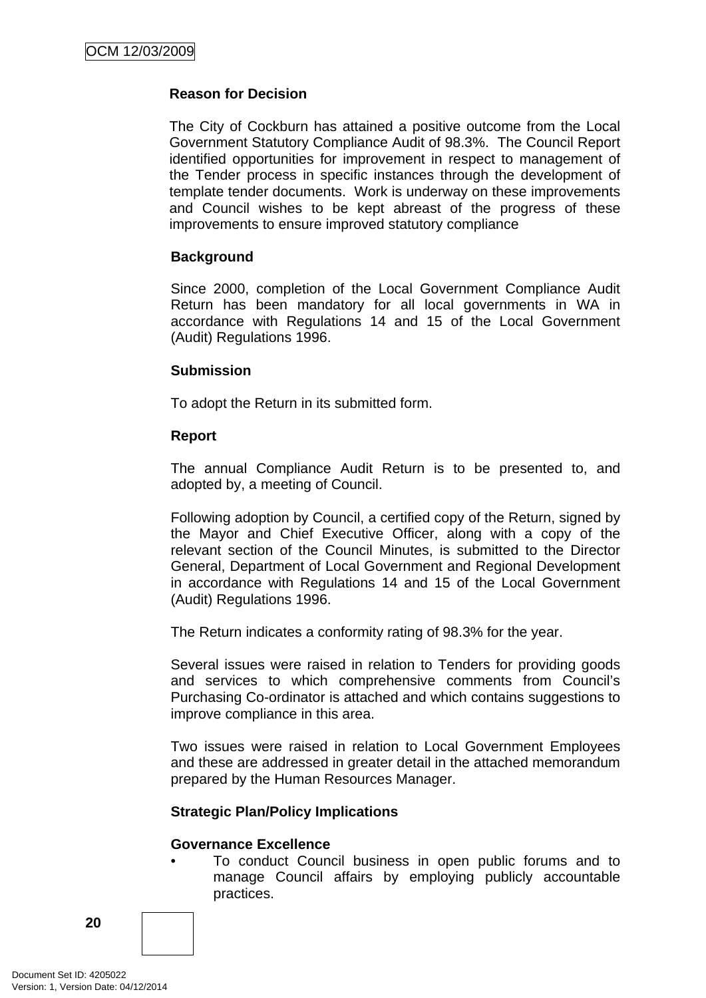## **Reason for Decision**

The City of Cockburn has attained a positive outcome from the Local Government Statutory Compliance Audit of 98.3%. The Council Report identified opportunities for improvement in respect to management of the Tender process in specific instances through the development of template tender documents. Work is underway on these improvements and Council wishes to be kept abreast of the progress of these improvements to ensure improved statutory compliance

## **Background**

Since 2000, completion of the Local Government Compliance Audit Return has been mandatory for all local governments in WA in accordance with Regulations 14 and 15 of the Local Government (Audit) Regulations 1996.

#### **Submission**

To adopt the Return in its submitted form.

#### **Report**

The annual Compliance Audit Return is to be presented to, and adopted by, a meeting of Council.

Following adoption by Council, a certified copy of the Return, signed by the Mayor and Chief Executive Officer, along with a copy of the relevant section of the Council Minutes, is submitted to the Director General, Department of Local Government and Regional Development in accordance with Regulations 14 and 15 of the Local Government (Audit) Regulations 1996.

The Return indicates a conformity rating of 98.3% for the year.

Several issues were raised in relation to Tenders for providing goods and services to which comprehensive comments from Council's Purchasing Co-ordinator is attached and which contains suggestions to improve compliance in this area.

Two issues were raised in relation to Local Government Employees and these are addressed in greater detail in the attached memorandum prepared by the Human Resources Manager.

## **Strategic Plan/Policy Implications**

#### **Governance Excellence**

• To conduct Council business in open public forums and to manage Council affairs by employing publicly accountable practices.



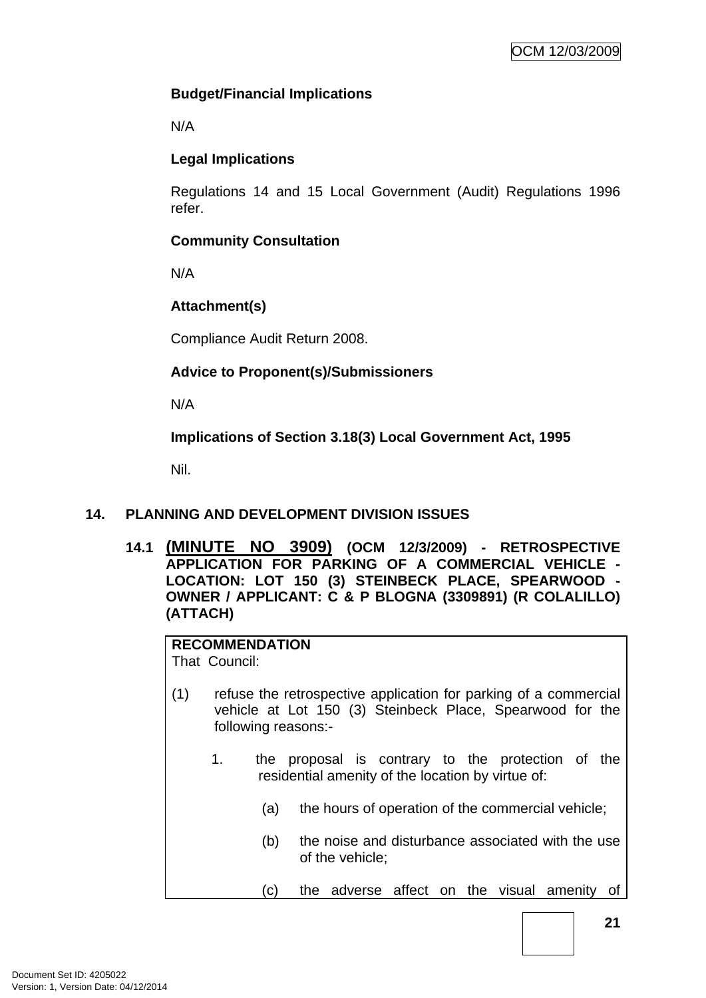## **Budget/Financial Implications**

N/A

## **Legal Implications**

Regulations 14 and 15 Local Government (Audit) Regulations 1996 refer.

## **Community Consultation**

N/A

## **Attachment(s)**

Compliance Audit Return 2008.

## **Advice to Proponent(s)/Submissioners**

N/A

**Implications of Section 3.18(3) Local Government Act, 1995**

Nil.

## **14. PLANNING AND DEVELOPMENT DIVISION ISSUES**

**14.1 (MINUTE NO 3909) (OCM 12/3/2009) - RETROSPECTIVE APPLICATION FOR PARKING OF A COMMERCIAL VEHICLE - LOCATION: LOT 150 (3) STEINBECK PLACE, SPEARWOOD - OWNER / APPLICANT: C & P BLOGNA (3309891) (R COLALILLO) (ATTACH)** 

## **RECOMMENDATION**

That Council:

- (1) refuse the retrospective application for parking of a commercial vehicle at Lot 150 (3) Steinbeck Place, Spearwood for the following reasons:-
	- 1. the proposal is contrary to the protection of the residential amenity of the location by virtue of:
		- (a) the hours of operation of the commercial vehicle;
		- (b) the noise and disturbance associated with the use of the vehicle;
		- (c) the adverse affect on the visual amenity of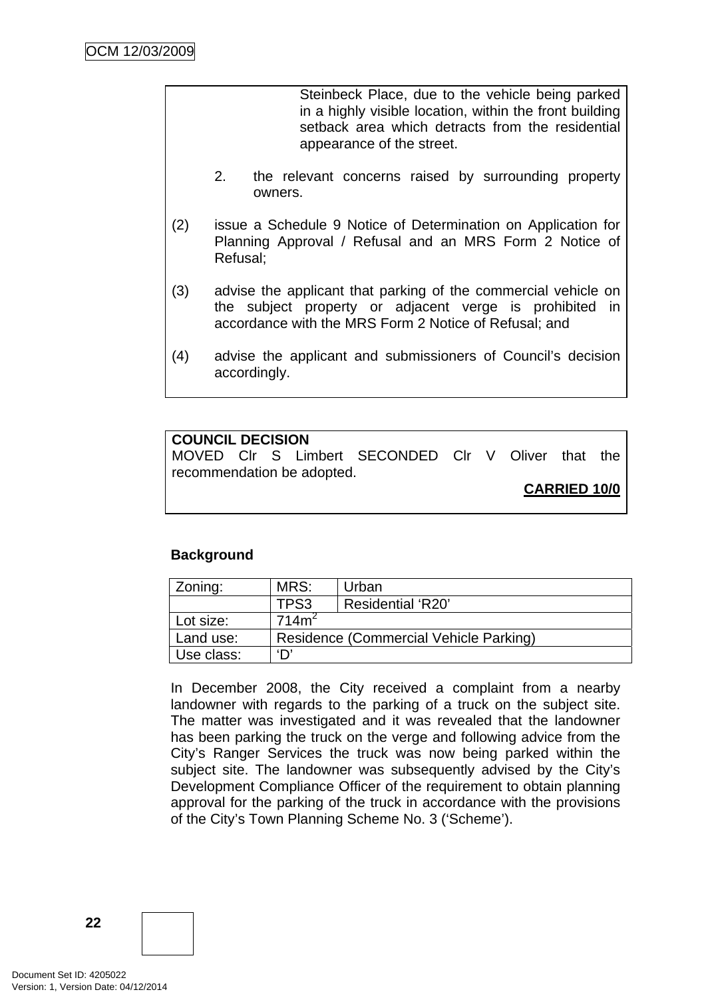Steinbeck Place, due to the vehicle being parked in a highly visible location, within the front building setback area which detracts from the residential appearance of the street.

- 2. the relevant concerns raised by surrounding property owners.
- (2) issue a Schedule 9 Notice of Determination on Application for Planning Approval / Refusal and an MRS Form 2 Notice of Refusal;
- (3) advise the applicant that parking of the commercial vehicle on the subject property or adjacent verge is prohibited in accordance with the MRS Form 2 Notice of Refusal; and
- (4) advise the applicant and submissioners of Council's decision accordingly.

## **COUNCIL DECISION**

MOVED Clr S Limbert SECONDED Clr V Oliver that the recommendation be adopted.

**CARRIED 10/0**

## **Background**

| Zoning:            | MRS:              | Urban                                  |  |
|--------------------|-------------------|----------------------------------------|--|
|                    | TPS3              | Residential 'R20'                      |  |
| Lot size:          | 714m <sup>2</sup> |                                        |  |
| Land use:          |                   | Residence (Commercial Vehicle Parking) |  |
| Use class:<br>ירו' |                   |                                        |  |

In December 2008, the City received a complaint from a nearby landowner with regards to the parking of a truck on the subject site. The matter was investigated and it was revealed that the landowner has been parking the truck on the verge and following advice from the City's Ranger Services the truck was now being parked within the subject site. The landowner was subsequently advised by the City's Development Compliance Officer of the requirement to obtain planning approval for the parking of the truck in accordance with the provisions of the City's Town Planning Scheme No. 3 ('Scheme').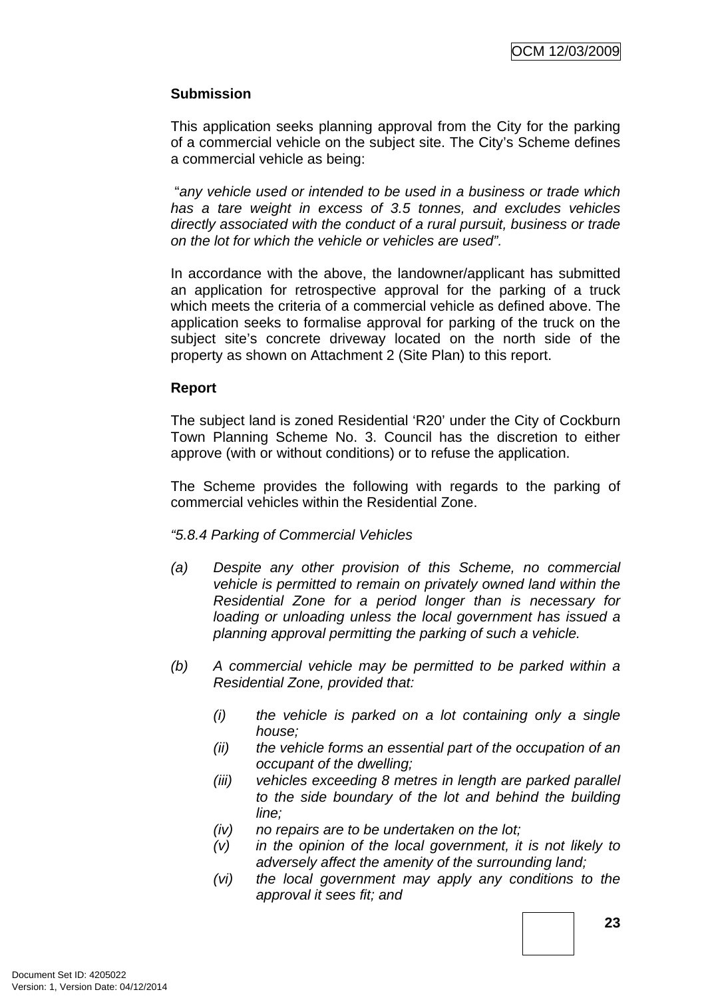## **Submission**

This application seeks planning approval from the City for the parking of a commercial vehicle on the subject site. The City's Scheme defines a commercial vehicle as being:

 "*any vehicle used or intended to be used in a business or trade which has a tare weight in excess of 3.5 tonnes, and excludes vehicles directly associated with the conduct of a rural pursuit, business or trade on the lot for which the vehicle or vehicles are used".*

In accordance with the above, the landowner/applicant has submitted an application for retrospective approval for the parking of a truck which meets the criteria of a commercial vehicle as defined above. The application seeks to formalise approval for parking of the truck on the subject site's concrete driveway located on the north side of the property as shown on Attachment 2 (Site Plan) to this report.

## **Report**

The subject land is zoned Residential 'R20' under the City of Cockburn Town Planning Scheme No. 3. Council has the discretion to either approve (with or without conditions) or to refuse the application.

The Scheme provides the following with regards to the parking of commercial vehicles within the Residential Zone.

## *"5.8.4 Parking of Commercial Vehicles*

- *(a) Despite any other provision of this Scheme, no commercial vehicle is permitted to remain on privately owned land within the Residential Zone for a period longer than is necessary for loading or unloading unless the local government has issued a planning approval permitting the parking of such a vehicle.*
- *(b) A commercial vehicle may be permitted to be parked within a Residential Zone, provided that:* 
	- *(i) the vehicle is parked on a lot containing only a single house;*
	- *(ii) the vehicle forms an essential part of the occupation of an occupant of the dwelling;*
	- *(iii) vehicles exceeding 8 metres in length are parked parallel to the side boundary of the lot and behind the building line;*
	- *(iv) no repairs are to be undertaken on the lot;*
	- *(v) in the opinion of the local government, it is not likely to adversely affect the amenity of the surrounding land;*
	- *(vi) the local government may apply any conditions to the approval it sees fit; and*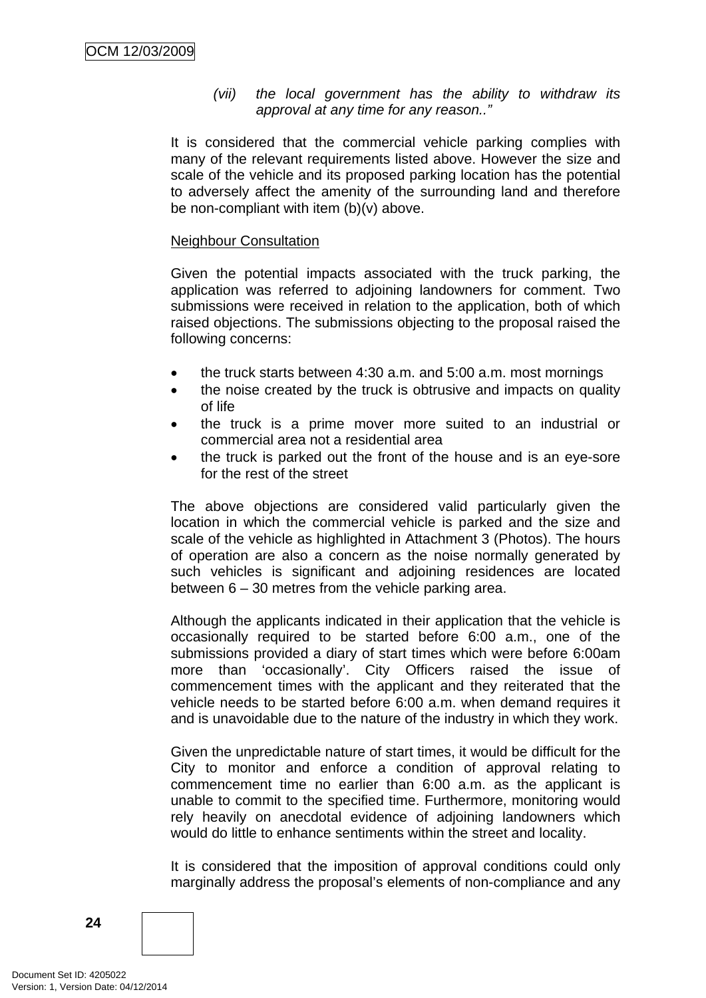*(vii) the local government has the ability to withdraw its approval at any time for any reason.."* 

It is considered that the commercial vehicle parking complies with many of the relevant requirements listed above. However the size and scale of the vehicle and its proposed parking location has the potential to adversely affect the amenity of the surrounding land and therefore be non-compliant with item (b)(v) above.

#### Neighbour Consultation

Given the potential impacts associated with the truck parking, the application was referred to adjoining landowners for comment. Two submissions were received in relation to the application, both of which raised objections. The submissions objecting to the proposal raised the following concerns:

- the truck starts between 4:30 a.m. and 5:00 a.m. most mornings
- the noise created by the truck is obtrusive and impacts on quality of life
- the truck is a prime mover more suited to an industrial or commercial area not a residential area
- the truck is parked out the front of the house and is an eye-sore for the rest of the street

The above objections are considered valid particularly given the location in which the commercial vehicle is parked and the size and scale of the vehicle as highlighted in Attachment 3 (Photos). The hours of operation are also a concern as the noise normally generated by such vehicles is significant and adjoining residences are located between  $6 - 30$  metres from the vehicle parking area.

Although the applicants indicated in their application that the vehicle is occasionally required to be started before 6:00 a.m., one of the submissions provided a diary of start times which were before 6:00am more than 'occasionally'. City Officers raised the issue of commencement times with the applicant and they reiterated that the vehicle needs to be started before 6:00 a.m. when demand requires it and is unavoidable due to the nature of the industry in which they work.

Given the unpredictable nature of start times, it would be difficult for the City to monitor and enforce a condition of approval relating to commencement time no earlier than 6:00 a.m. as the applicant is unable to commit to the specified time. Furthermore, monitoring would rely heavily on anecdotal evidence of adjoining landowners which would do little to enhance sentiments within the street and locality.

It is considered that the imposition of approval conditions could only marginally address the proposal's elements of non-compliance and any

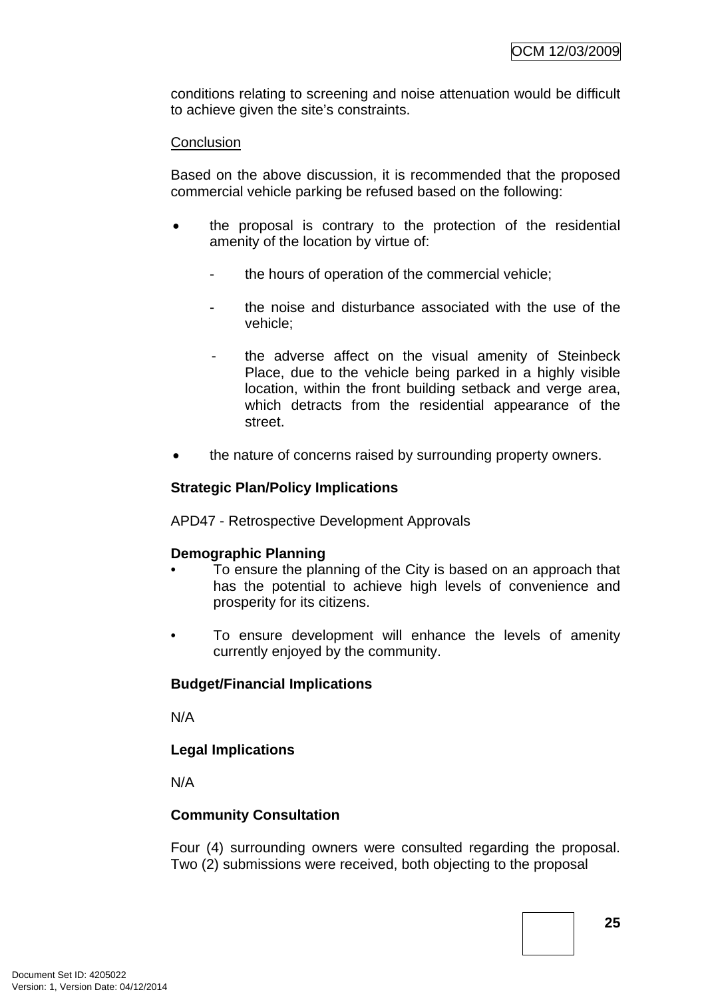conditions relating to screening and noise attenuation would be difficult to achieve given the site's constraints.

## **Conclusion**

Based on the above discussion, it is recommended that the proposed commercial vehicle parking be refused based on the following:

- the proposal is contrary to the protection of the residential amenity of the location by virtue of:
	- the hours of operation of the commercial vehicle;
	- the noise and disturbance associated with the use of the vehicle;
	- the adverse affect on the visual amenity of Steinbeck Place, due to the vehicle being parked in a highly visible location, within the front building setback and verge area, which detracts from the residential appearance of the street.
- the nature of concerns raised by surrounding property owners.

## **Strategic Plan/Policy Implications**

APD47 - Retrospective Development Approvals

## **Demographic Planning**

- To ensure the planning of the City is based on an approach that has the potential to achieve high levels of convenience and prosperity for its citizens.
- To ensure development will enhance the levels of amenity currently enjoyed by the community.

## **Budget/Financial Implications**

N/A

## **Legal Implications**

N/A

## **Community Consultation**

Four (4) surrounding owners were consulted regarding the proposal. Two (2) submissions were received, both objecting to the proposal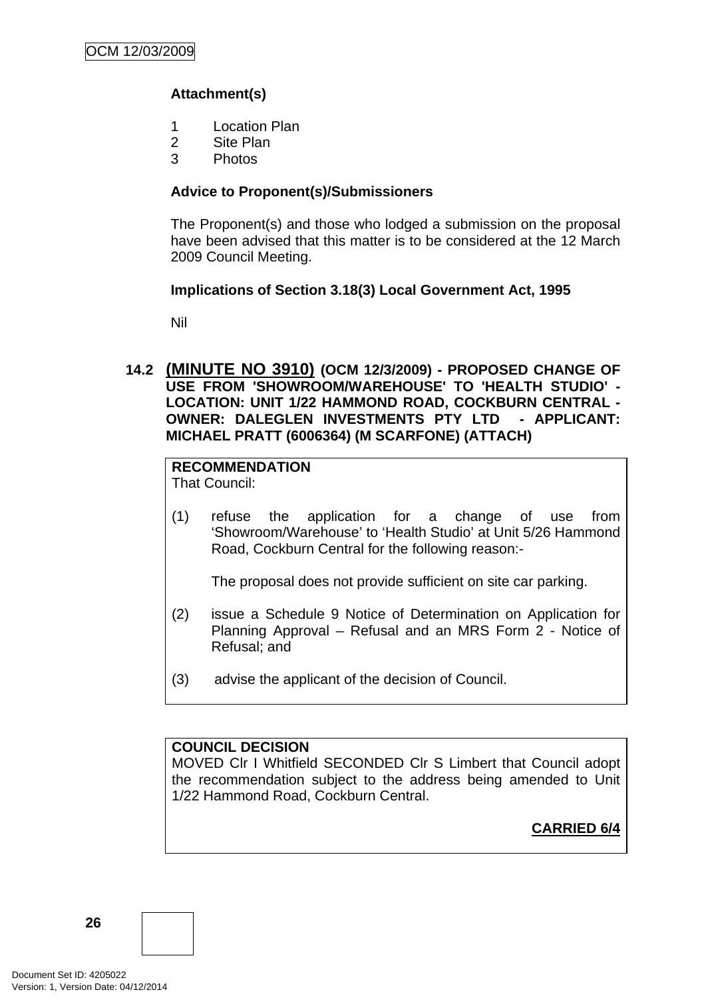## **Attachment(s)**

- 1 Location Plan
- 2 Site Plan
- 3 Photos

## **Advice to Proponent(s)/Submissioners**

The Proponent(s) and those who lodged a submission on the proposal have been advised that this matter is to be considered at the 12 March 2009 Council Meeting.

## **Implications of Section 3.18(3) Local Government Act, 1995**

Nil

**14.2 (MINUTE NO 3910) (OCM 12/3/2009) - PROPOSED CHANGE OF USE FROM 'SHOWROOM/WAREHOUSE' TO 'HEALTH STUDIO' - LOCATION: UNIT 1/22 HAMMOND ROAD, COCKBURN CENTRAL - OWNER: DALEGLEN INVESTMENTS PTY LTD - APPLICANT: MICHAEL PRATT (6006364) (M SCARFONE) (ATTACH)** 

## **RECOMMENDATION**

That Council:

(1) refuse the application for a change of use from 'Showroom/Warehouse' to 'Health Studio' at Unit 5/26 Hammond Road, Cockburn Central for the following reason:-

The proposal does not provide sufficient on site car parking.

- (2) issue a Schedule 9 Notice of Determination on Application for Planning Approval – Refusal and an MRS Form 2 - Notice of Refusal; and
- (3) advise the applicant of the decision of Council.

## **COUNCIL DECISION**

MOVED Clr I Whitfield SECONDED Clr S Limbert that Council adopt the recommendation subject to the address being amended to Unit 1/22 Hammond Road, Cockburn Central.

**CARRIED 6/4**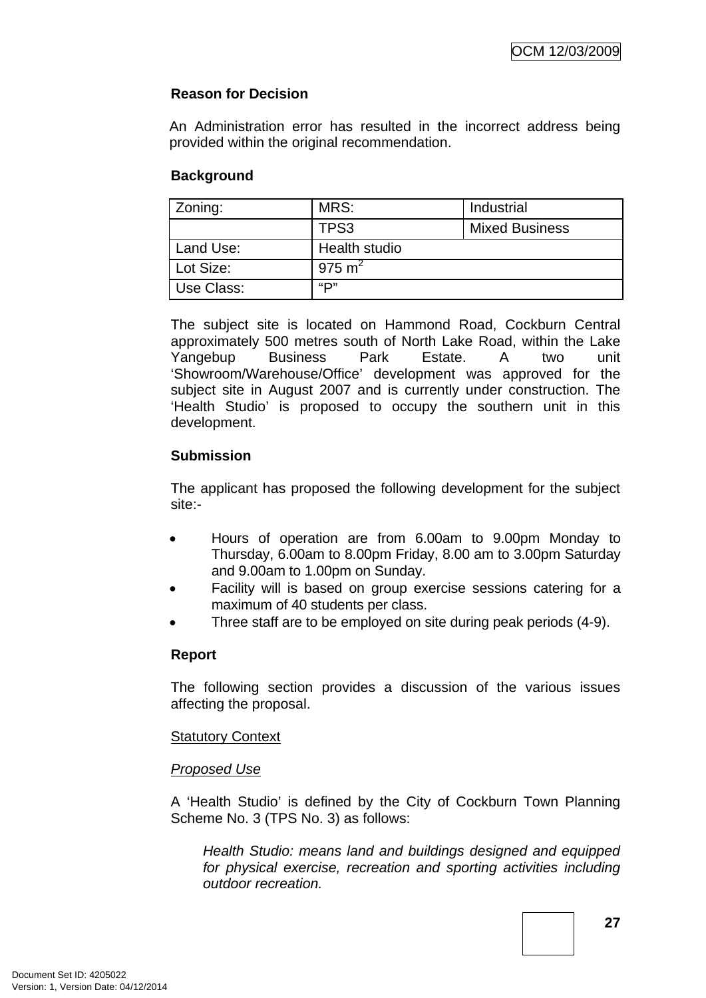## **Reason for Decision**

An Administration error has resulted in the incorrect address being provided within the original recommendation.

## **Background**

| Zoning:    | MRS:          | Industrial            |  |
|------------|---------------|-----------------------|--|
|            | TPS3          | <b>Mixed Business</b> |  |
| Land Use:  | Health studio |                       |  |
| Lot Size:  | 975 $m2$      |                       |  |
| Use Class: | "ים           |                       |  |

The subject site is located on Hammond Road, Cockburn Central approximately 500 metres south of North Lake Road, within the Lake Yangebup Business Park Estate. A two unit 'Showroom/Warehouse/Office' development was approved for the subject site in August 2007 and is currently under construction. The 'Health Studio' is proposed to occupy the southern unit in this development.

## **Submission**

The applicant has proposed the following development for the subject site:-

- Hours of operation are from 6.00am to 9.00pm Monday to Thursday, 6.00am to 8.00pm Friday, 8.00 am to 3.00pm Saturday and 9.00am to 1.00pm on Sunday.
- Facility will is based on group exercise sessions catering for a maximum of 40 students per class.
- Three staff are to be employed on site during peak periods (4-9).

## **Report**

The following section provides a discussion of the various issues affecting the proposal.

## Statutory Context

## *Proposed Use*

A 'Health Studio' is defined by the City of Cockburn Town Planning Scheme No. 3 (TPS No. 3) as follows:

*Health Studio: means land and buildings designed and equipped for physical exercise, recreation and sporting activities including outdoor recreation.*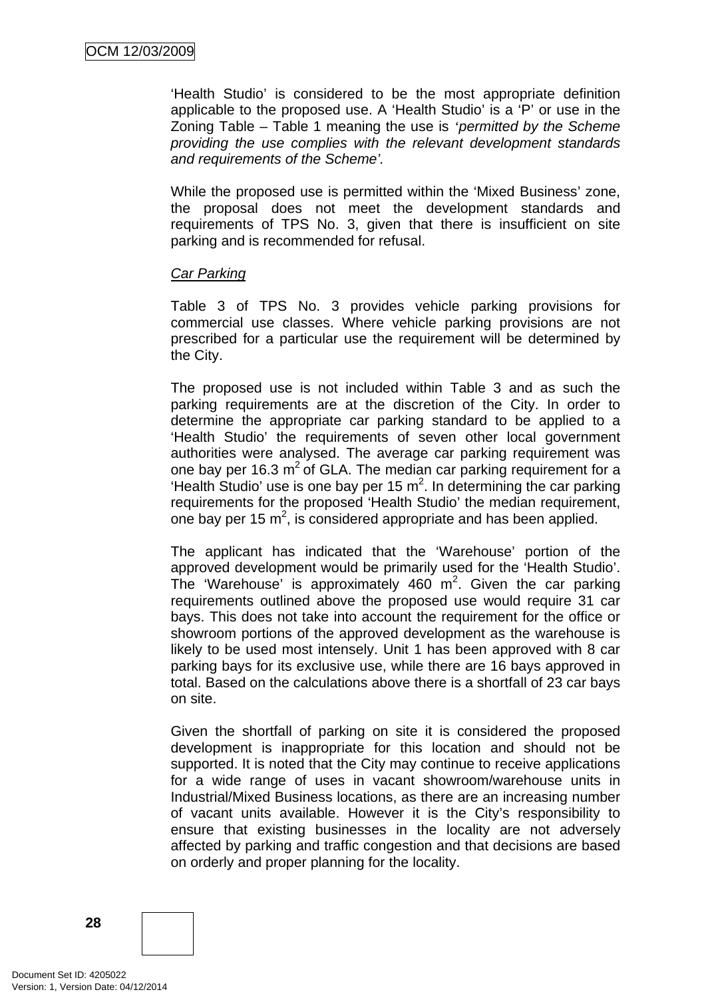'Health Studio' is considered to be the most appropriate definition applicable to the proposed use. A 'Health Studio' is a 'P' or use in the Zoning Table – Table 1 meaning the use is *'permitted by the Scheme providing the use complies with the relevant development standards and requirements of the Scheme'.* 

While the proposed use is permitted within the 'Mixed Business' zone, the proposal does not meet the development standards and requirements of TPS No. 3, given that there is insufficient on site parking and is recommended for refusal.

## *Car Parking*

Table 3 of TPS No. 3 provides vehicle parking provisions for commercial use classes. Where vehicle parking provisions are not prescribed for a particular use the requirement will be determined by the City.

The proposed use is not included within Table 3 and as such the parking requirements are at the discretion of the City. In order to determine the appropriate car parking standard to be applied to a 'Health Studio' the requirements of seven other local government authorities were analysed. The average car parking requirement was one bay per 16.3  $m^2$  of GLA. The median car parking requirement for a 'Health Studio' use is one bay per 15  $m^2$ . In determining the car parking requirements for the proposed 'Health Studio' the median requirement, one bay per 15  $m^2$ , is considered appropriate and has been applied.

The applicant has indicated that the 'Warehouse' portion of the approved development would be primarily used for the 'Health Studio'. The 'Warehouse' is approximately 460  $m^2$ . Given the car parking requirements outlined above the proposed use would require 31 car bays. This does not take into account the requirement for the office or showroom portions of the approved development as the warehouse is likely to be used most intensely. Unit 1 has been approved with 8 car parking bays for its exclusive use, while there are 16 bays approved in total. Based on the calculations above there is a shortfall of 23 car bays on site.

Given the shortfall of parking on site it is considered the proposed development is inappropriate for this location and should not be supported. It is noted that the City may continue to receive applications for a wide range of uses in vacant showroom/warehouse units in Industrial/Mixed Business locations, as there are an increasing number of vacant units available. However it is the City's responsibility to ensure that existing businesses in the locality are not adversely affected by parking and traffic congestion and that decisions are based on orderly and proper planning for the locality.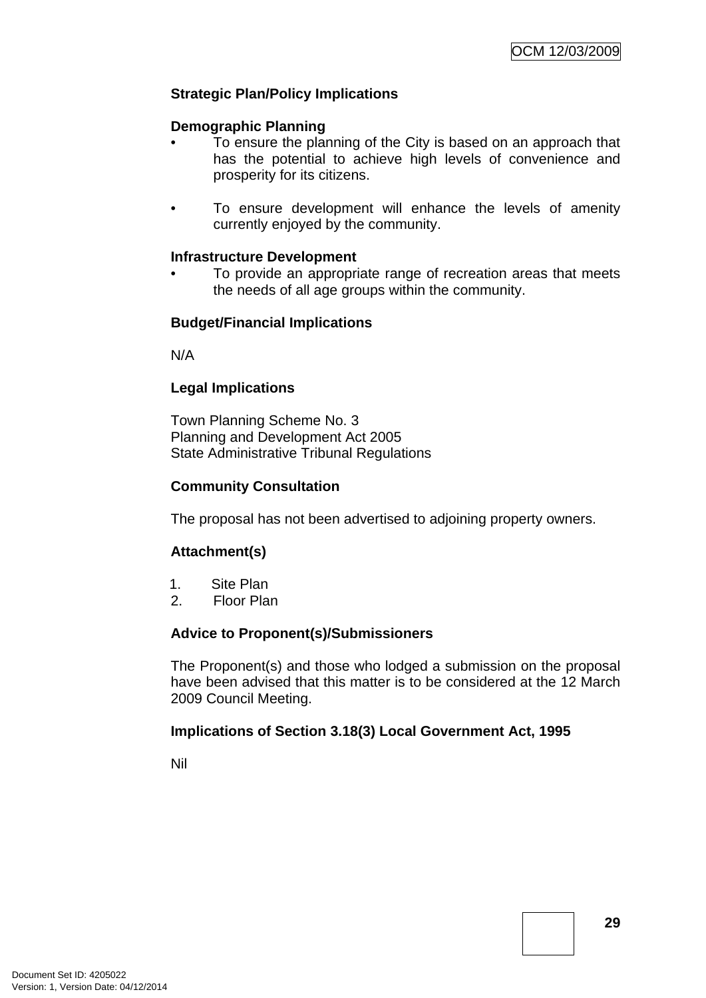## **Strategic Plan/Policy Implications**

#### **Demographic Planning**

- To ensure the planning of the City is based on an approach that has the potential to achieve high levels of convenience and prosperity for its citizens.
- To ensure development will enhance the levels of amenity currently enjoyed by the community.

#### **Infrastructure Development**

• To provide an appropriate range of recreation areas that meets the needs of all age groups within the community.

#### **Budget/Financial Implications**

N/A

## **Legal Implications**

Town Planning Scheme No. 3 Planning and Development Act 2005 State Administrative Tribunal Regulations

#### **Community Consultation**

The proposal has not been advertised to adjoining property owners.

#### **Attachment(s)**

- 1. Site Plan
- 2. Floor Plan

#### **Advice to Proponent(s)/Submissioners**

The Proponent(s) and those who lodged a submission on the proposal have been advised that this matter is to be considered at the 12 March 2009 Council Meeting.

#### **Implications of Section 3.18(3) Local Government Act, 1995**

Nil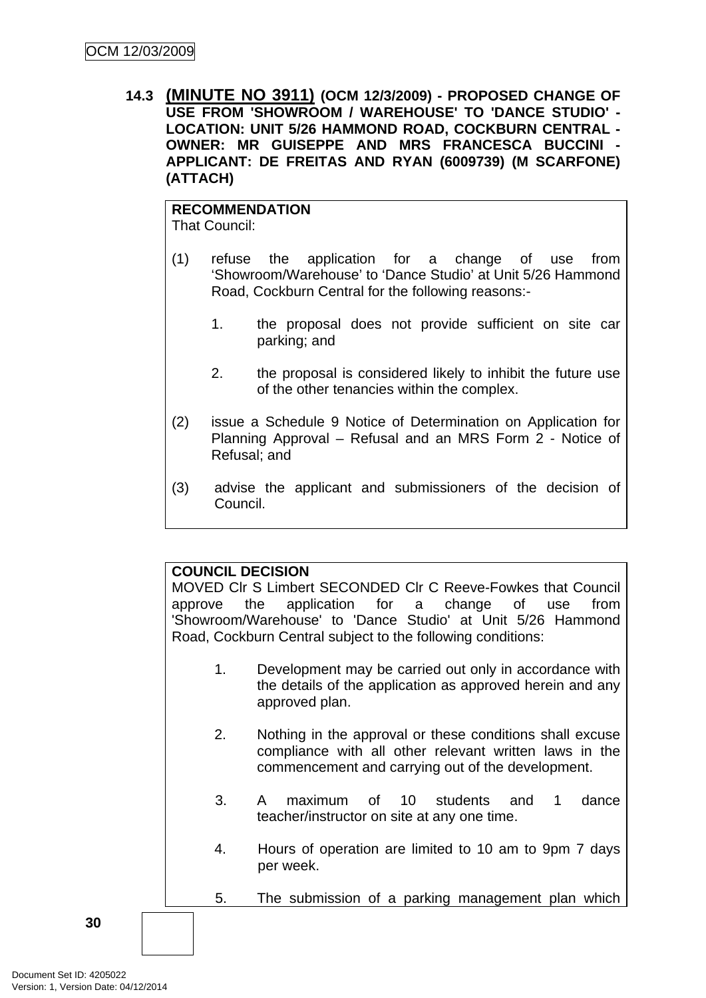**14.3 (MINUTE NO 3911) (OCM 12/3/2009) - PROPOSED CHANGE OF USE FROM 'SHOWROOM / WAREHOUSE' TO 'DANCE STUDIO' - LOCATION: UNIT 5/26 HAMMOND ROAD, COCKBURN CENTRAL - OWNER: MR GUISEPPE AND MRS FRANCESCA BUCCINI - APPLICANT: DE FREITAS AND RYAN (6009739) (M SCARFONE) (ATTACH)** 

# **RECOMMENDATION**

That Council:

- (1) refuse the application for a change of use from 'Showroom/Warehouse' to 'Dance Studio' at Unit 5/26 Hammond Road, Cockburn Central for the following reasons:-
	- 1. the proposal does not provide sufficient on site car parking; and
	- 2. the proposal is considered likely to inhibit the future use of the other tenancies within the complex.
- (2) issue a Schedule 9 Notice of Determination on Application for Planning Approval – Refusal and an MRS Form 2 - Notice of Refusal; and
- (3) advise the applicant and submissioners of the decision of Council.

## **COUNCIL DECISION**

MOVED Clr S Limbert SECONDED Clr C Reeve-Fowkes that Council approve the application for a change of use from 'Showroom/Warehouse' to 'Dance Studio' at Unit 5/26 Hammond Road, Cockburn Central subject to the following conditions:

- 1. Development may be carried out only in accordance with the details of the application as approved herein and any approved plan.
- 2. Nothing in the approval or these conditions shall excuse compliance with all other relevant written laws in the commencement and carrying out of the development.
- 3. A maximum of 10 students and 1 dance teacher/instructor on site at any one time.
- 4. Hours of operation are limited to 10 am to 9pm 7 days per week.

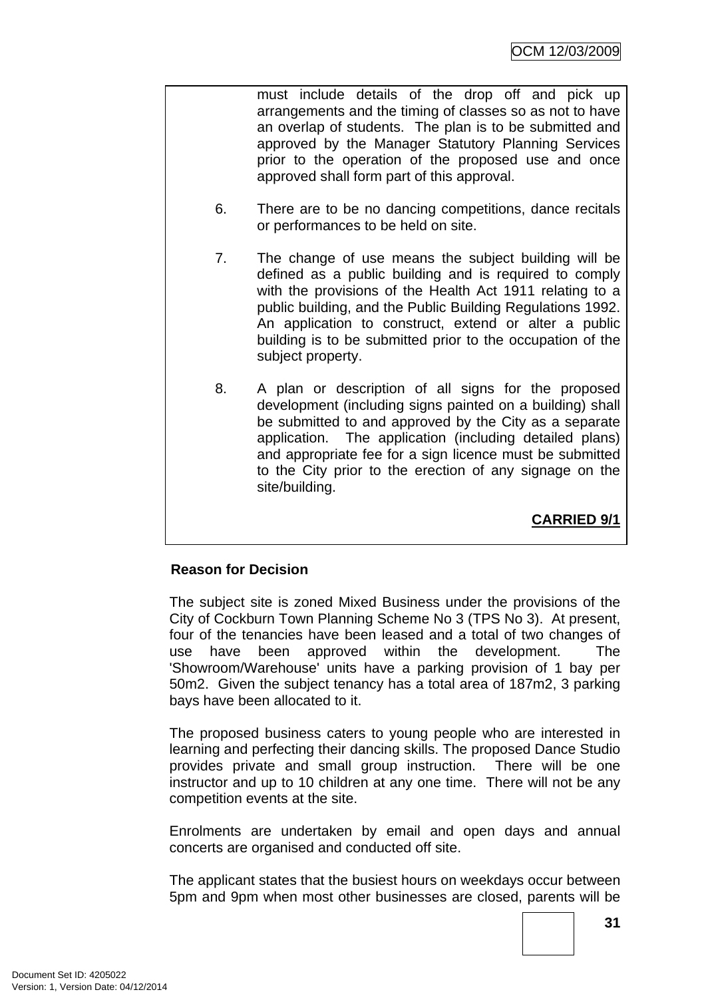must include details of the drop off and pick up arrangements and the timing of classes so as not to have an overlap of students. The plan is to be submitted and approved by the Manager Statutory Planning Services prior to the operation of the proposed use and once approved shall form part of this approval.

- 6. There are to be no dancing competitions, dance recitals or performances to be held on site.
- 7. The change of use means the subject building will be defined as a public building and is required to comply with the provisions of the Health Act 1911 relating to a public building, and the Public Building Regulations 1992. An application to construct, extend or alter a public building is to be submitted prior to the occupation of the subject property.
- 8. A plan or description of all signs for the proposed development (including signs painted on a building) shall be submitted to and approved by the City as a separate application. The application (including detailed plans) and appropriate fee for a sign licence must be submitted to the City prior to the erection of any signage on the site/building.

**CARRIED 9/1**

## **Reason for Decision**

The subject site is zoned Mixed Business under the provisions of the City of Cockburn Town Planning Scheme No 3 (TPS No 3). At present, four of the tenancies have been leased and a total of two changes of use have been approved within the development. The 'Showroom/Warehouse' units have a parking provision of 1 bay per 50m2. Given the subject tenancy has a total area of 187m2, 3 parking bays have been allocated to it.

The proposed business caters to young people who are interested in learning and perfecting their dancing skills. The proposed Dance Studio provides private and small group instruction. There will be one instructor and up to 10 children at any one time. There will not be any competition events at the site.

Enrolments are undertaken by email and open days and annual concerts are organised and conducted off site.

The applicant states that the busiest hours on weekdays occur between 5pm and 9pm when most other businesses are closed, parents will be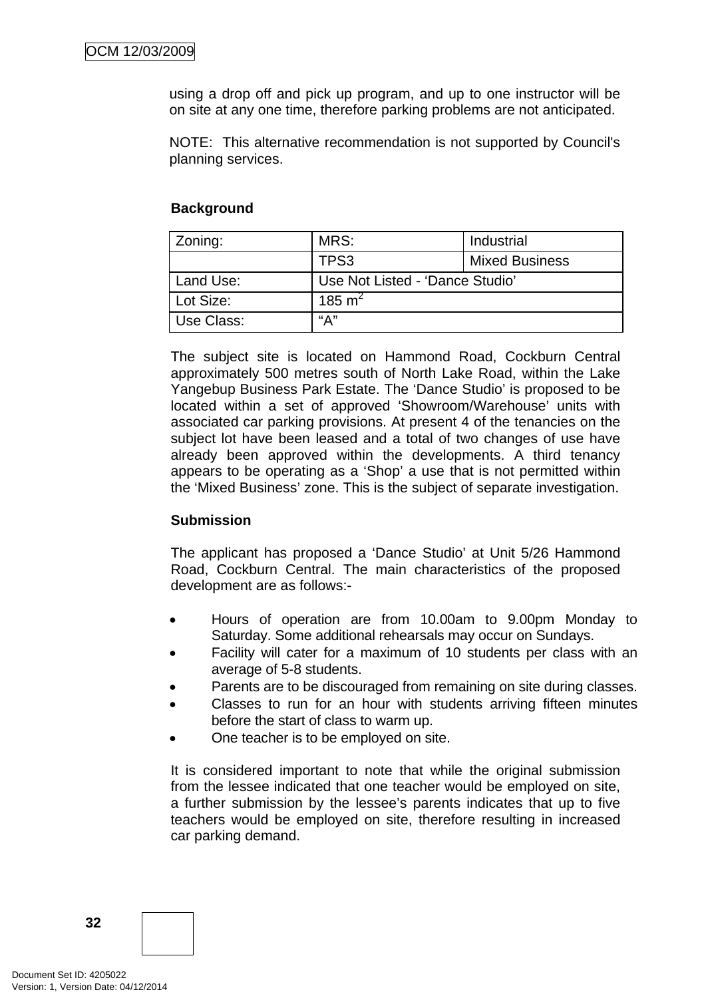using a drop off and pick up program, and up to one instructor will be on site at any one time, therefore parking problems are not anticipated.

NOTE: This alternative recommendation is not supported by Council's planning services.

## **Background**

| Zoning:    | MRS:                            | Industrial            |
|------------|---------------------------------|-----------------------|
|            | TPS3                            | <b>Mixed Business</b> |
| Land Use:  | Use Not Listed - 'Dance Studio' |                       |
| Lot Size:  | 185 m <sup>2</sup>              |                       |
| Use Class: | "А"                             |                       |

The subject site is located on Hammond Road, Cockburn Central approximately 500 metres south of North Lake Road, within the Lake Yangebup Business Park Estate. The 'Dance Studio' is proposed to be located within a set of approved 'Showroom/Warehouse' units with associated car parking provisions. At present 4 of the tenancies on the subject lot have been leased and a total of two changes of use have already been approved within the developments. A third tenancy appears to be operating as a 'Shop' a use that is not permitted within the 'Mixed Business' zone. This is the subject of separate investigation.

## **Submission**

The applicant has proposed a 'Dance Studio' at Unit 5/26 Hammond Road, Cockburn Central. The main characteristics of the proposed development are as follows:-

- Hours of operation are from 10.00am to 9.00pm Monday to Saturday. Some additional rehearsals may occur on Sundays.
- Facility will cater for a maximum of 10 students per class with an average of 5-8 students.
- Parents are to be discouraged from remaining on site during classes.
- Classes to run for an hour with students arriving fifteen minutes before the start of class to warm up.
- One teacher is to be employed on site.

It is considered important to note that while the original submission from the lessee indicated that one teacher would be employed on site, a further submission by the lessee's parents indicates that up to five teachers would be employed on site, therefore resulting in increased car parking demand.

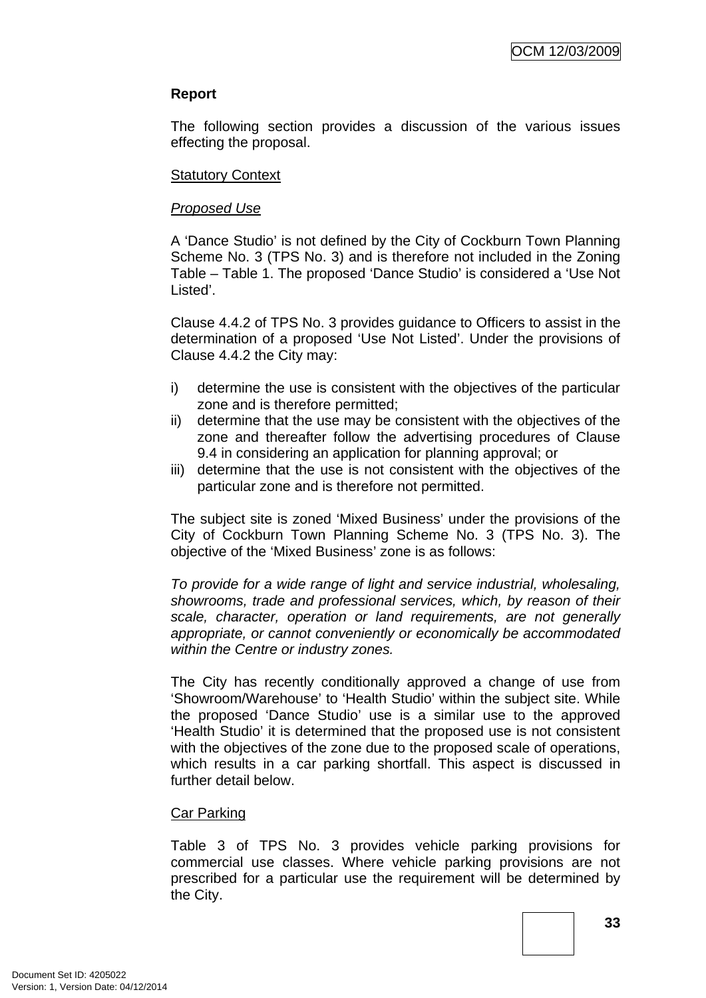## **Report**

The following section provides a discussion of the various issues effecting the proposal.

## Statutory Context

## *Proposed Use*

A 'Dance Studio' is not defined by the City of Cockburn Town Planning Scheme No. 3 (TPS No. 3) and is therefore not included in the Zoning Table – Table 1. The proposed 'Dance Studio' is considered a 'Use Not Listed'.

Clause 4.4.2 of TPS No. 3 provides guidance to Officers to assist in the determination of a proposed 'Use Not Listed'. Under the provisions of Clause 4.4.2 the City may:

- i) determine the use is consistent with the objectives of the particular zone and is therefore permitted;
- ii) determine that the use may be consistent with the objectives of the zone and thereafter follow the advertising procedures of Clause 9.4 in considering an application for planning approval; or
- iii) determine that the use is not consistent with the objectives of the particular zone and is therefore not permitted.

The subject site is zoned 'Mixed Business' under the provisions of the City of Cockburn Town Planning Scheme No. 3 (TPS No. 3). The objective of the 'Mixed Business' zone is as follows:

*To provide for a wide range of light and service industrial, wholesaling, showrooms, trade and professional services, which, by reason of their scale, character, operation or land requirements, are not generally appropriate, or cannot conveniently or economically be accommodated within the Centre or industry zones.* 

The City has recently conditionally approved a change of use from 'Showroom/Warehouse' to 'Health Studio' within the subject site. While the proposed 'Dance Studio' use is a similar use to the approved 'Health Studio' it is determined that the proposed use is not consistent with the objectives of the zone due to the proposed scale of operations, which results in a car parking shortfall. This aspect is discussed in further detail below.

## Car Parking

Table 3 of TPS No. 3 provides vehicle parking provisions for commercial use classes. Where vehicle parking provisions are not prescribed for a particular use the requirement will be determined by the City.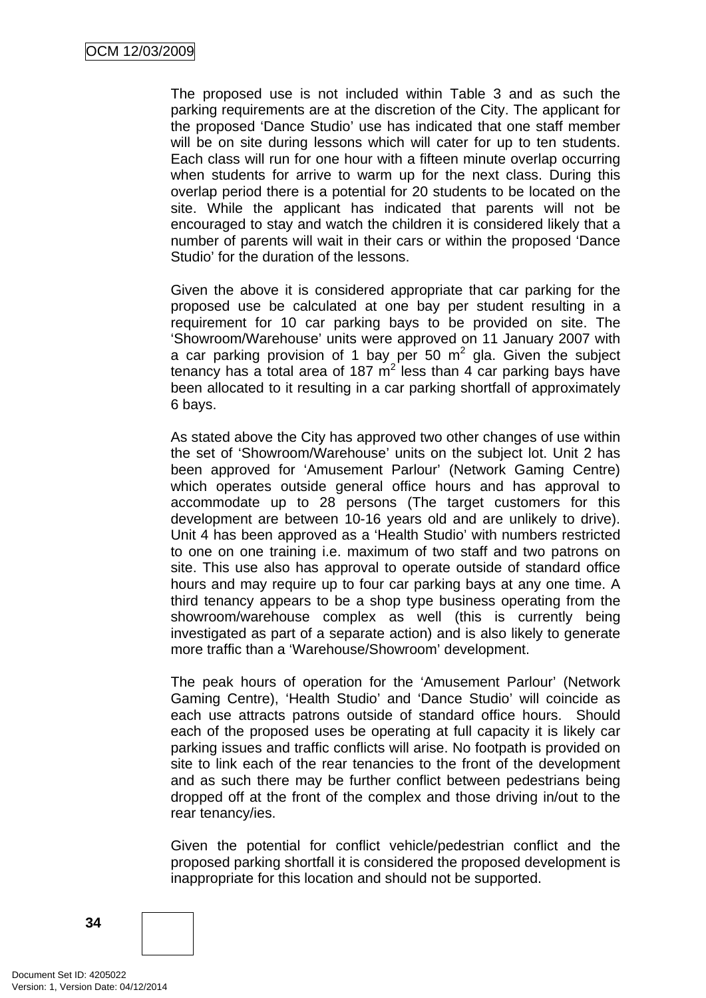The proposed use is not included within Table 3 and as such the parking requirements are at the discretion of the City. The applicant for the proposed 'Dance Studio' use has indicated that one staff member will be on site during lessons which will cater for up to ten students. Each class will run for one hour with a fifteen minute overlap occurring when students for arrive to warm up for the next class. During this overlap period there is a potential for 20 students to be located on the site. While the applicant has indicated that parents will not be encouraged to stay and watch the children it is considered likely that a number of parents will wait in their cars or within the proposed 'Dance Studio' for the duration of the lessons.

Given the above it is considered appropriate that car parking for the proposed use be calculated at one bay per student resulting in a requirement for 10 car parking bays to be provided on site. The 'Showroom/Warehouse' units were approved on 11 January 2007 with a car parking provision of 1 bay per 50  $m^2$  gla. Given the subject tenancy has a total area of 187  $m^2$  less than 4 car parking bays have been allocated to it resulting in a car parking shortfall of approximately 6 bays.

As stated above the City has approved two other changes of use within the set of 'Showroom/Warehouse' units on the subject lot. Unit 2 has been approved for 'Amusement Parlour' (Network Gaming Centre) which operates outside general office hours and has approval to accommodate up to 28 persons (The target customers for this development are between 10-16 years old and are unlikely to drive). Unit 4 has been approved as a 'Health Studio' with numbers restricted to one on one training i.e. maximum of two staff and two patrons on site. This use also has approval to operate outside of standard office hours and may require up to four car parking bays at any one time. A third tenancy appears to be a shop type business operating from the showroom/warehouse complex as well (this is currently being investigated as part of a separate action) and is also likely to generate more traffic than a 'Warehouse/Showroom' development.

The peak hours of operation for the 'Amusement Parlour' (Network Gaming Centre), 'Health Studio' and 'Dance Studio' will coincide as each use attracts patrons outside of standard office hours. Should each of the proposed uses be operating at full capacity it is likely car parking issues and traffic conflicts will arise. No footpath is provided on site to link each of the rear tenancies to the front of the development and as such there may be further conflict between pedestrians being dropped off at the front of the complex and those driving in/out to the rear tenancy/ies.

Given the potential for conflict vehicle/pedestrian conflict and the proposed parking shortfall it is considered the proposed development is inappropriate for this location and should not be supported.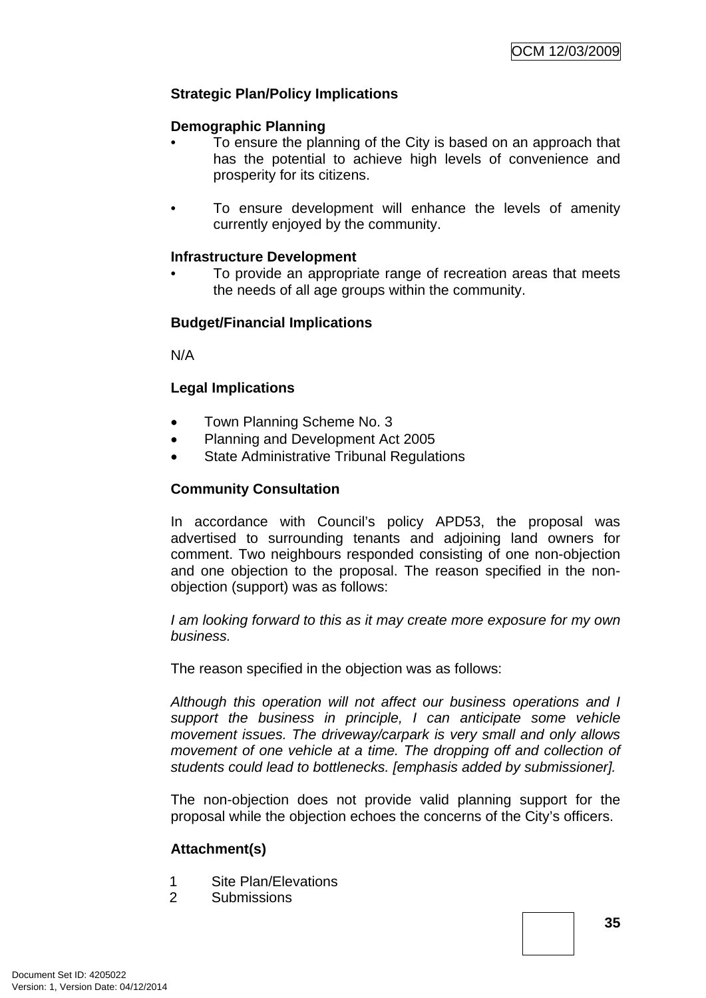## **Strategic Plan/Policy Implications**

#### **Demographic Planning**

- To ensure the planning of the City is based on an approach that has the potential to achieve high levels of convenience and prosperity for its citizens.
- To ensure development will enhance the levels of amenity currently enjoyed by the community.

#### **Infrastructure Development**

• To provide an appropriate range of recreation areas that meets the needs of all age groups within the community.

#### **Budget/Financial Implications**

N/A

## **Legal Implications**

- Town Planning Scheme No. 3
- Planning and Development Act 2005
- State Administrative Tribunal Regulations

#### **Community Consultation**

In accordance with Council's policy APD53, the proposal was advertised to surrounding tenants and adjoining land owners for comment. Two neighbours responded consisting of one non-objection and one objection to the proposal. The reason specified in the nonobjection (support) was as follows:

*I am looking forward to this as it may create more exposure for my own business.* 

The reason specified in the objection was as follows:

*Although this operation will not affect our business operations and I support the business in principle, I can anticipate some vehicle movement issues. The driveway/carpark is very small and only allows movement of one vehicle at a time. The dropping off and collection of students could lead to bottlenecks. [emphasis added by submissioner].* 

The non-objection does not provide valid planning support for the proposal while the objection echoes the concerns of the City's officers.

## **Attachment(s)**

- 1 Site Plan/Elevations
- 2 Submissions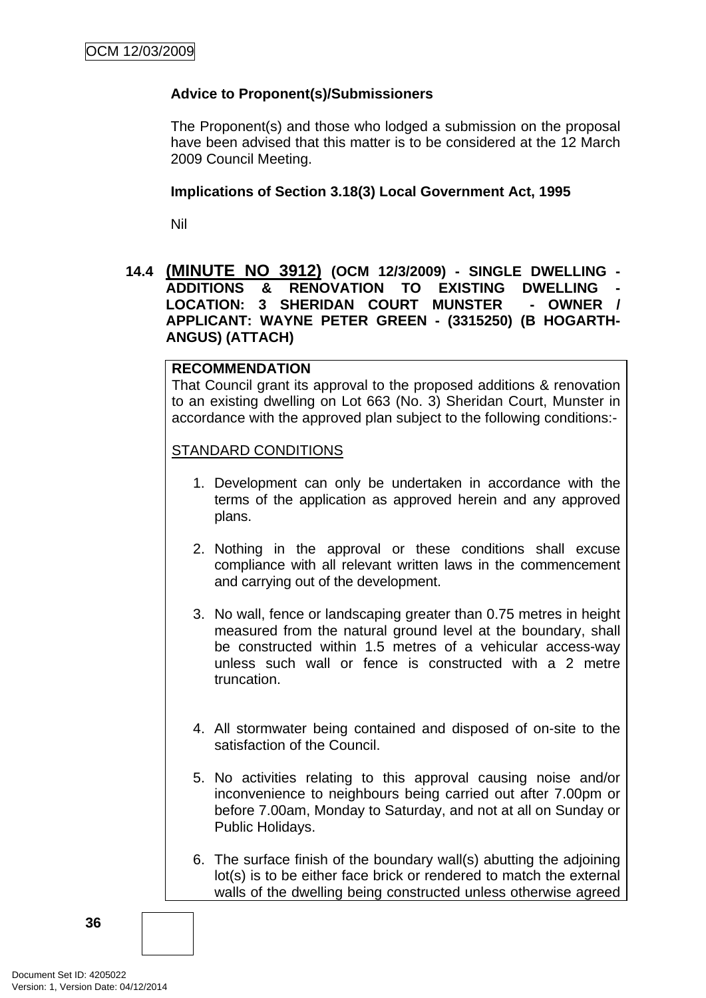## **Advice to Proponent(s)/Submissioners**

The Proponent(s) and those who lodged a submission on the proposal have been advised that this matter is to be considered at the 12 March 2009 Council Meeting.

#### **Implications of Section 3.18(3) Local Government Act, 1995**

Nil

## **14.4 (MINUTE NO 3912) (OCM 12/3/2009) - SINGLE DWELLING -**  ADDITIONS & RENOVATION TO EXISTING DWELLING **LOCATION: 3 SHERIDAN COURT MUNSTER - OWNER / APPLICANT: WAYNE PETER GREEN - (3315250) (B HOGARTH-ANGUS) (ATTACH)**

## **RECOMMENDATION**

That Council grant its approval to the proposed additions & renovation to an existing dwelling on Lot 663 (No. 3) Sheridan Court, Munster in accordance with the approved plan subject to the following conditions:-

## STANDARD CONDITIONS

- 1. Development can only be undertaken in accordance with the terms of the application as approved herein and any approved plans.
- 2. Nothing in the approval or these conditions shall excuse compliance with all relevant written laws in the commencement and carrying out of the development.
- 3. No wall, fence or landscaping greater than 0.75 metres in height measured from the natural ground level at the boundary, shall be constructed within 1.5 metres of a vehicular access-way unless such wall or fence is constructed with a 2 metre truncation.
- 4. All stormwater being contained and disposed of on-site to the satisfaction of the Council.
- 5. No activities relating to this approval causing noise and/or inconvenience to neighbours being carried out after 7.00pm or before 7.00am, Monday to Saturday, and not at all on Sunday or Public Holidays.
- 6. The surface finish of the boundary wall(s) abutting the adjoining lot(s) is to be either face brick or rendered to match the external walls of the dwelling being constructed unless otherwise agreed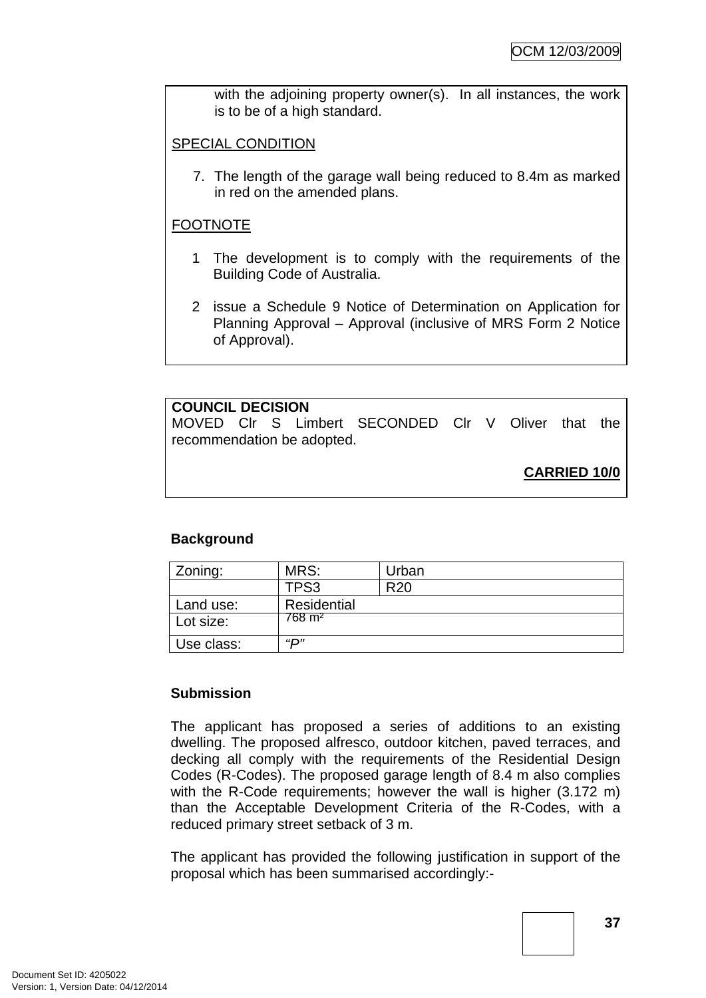with the adjoining property owner(s). In all instances, the work is to be of a high standard.

## SPECIAL CONDITION

7. The length of the garage wall being reduced to 8.4m as marked in red on the amended plans.

## FOOTNOTE

- 1 The development is to comply with the requirements of the Building Code of Australia.
- 2 issue a Schedule 9 Notice of Determination on Application for Planning Approval – Approval (inclusive of MRS Form 2 Notice of Approval).

## **COUNCIL DECISION**

MOVED Clr S Limbert SECONDED Clr V Oliver that the recommendation be adopted.

**CARRIED 10/0**

## **Background**

| Zoning:    | MRS:               | Urban           |
|------------|--------------------|-----------------|
|            | TPS3               | R <sub>20</sub> |
| Land use:  | Residential        |                 |
| Lot size:  | 768 m <sup>2</sup> |                 |
| Use class: | "D"                |                 |

## **Submission**

The applicant has proposed a series of additions to an existing dwelling. The proposed alfresco, outdoor kitchen, paved terraces, and decking all comply with the requirements of the Residential Design Codes (R-Codes). The proposed garage length of 8.4 m also complies with the R-Code requirements; however the wall is higher (3.172 m) than the Acceptable Development Criteria of the R-Codes, with a reduced primary street setback of 3 m.

The applicant has provided the following justification in support of the proposal which has been summarised accordingly:-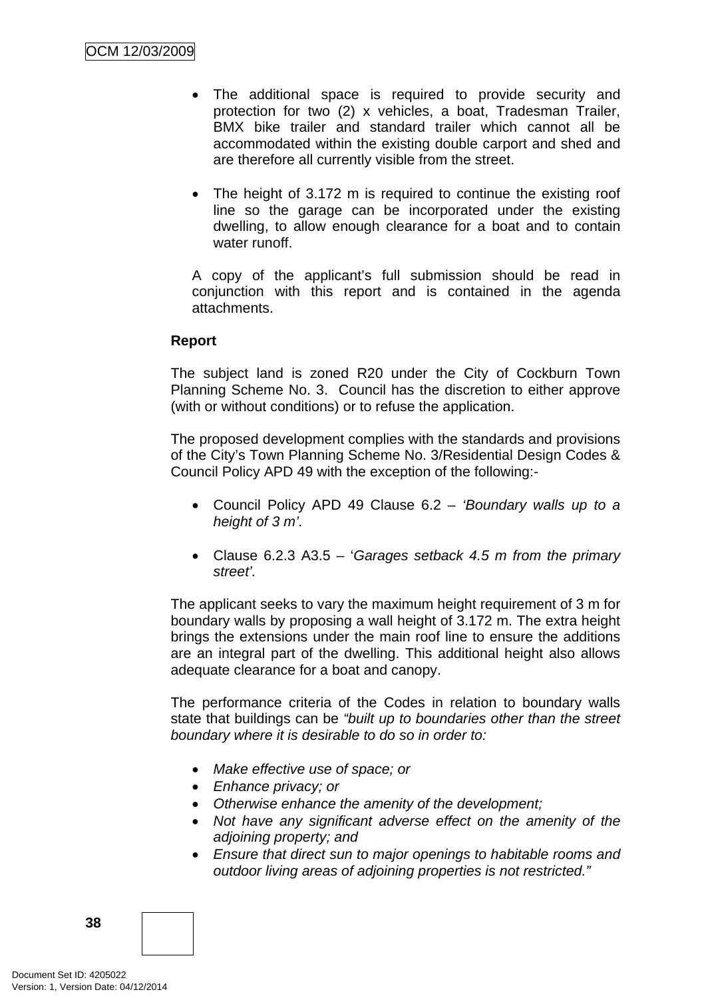- The additional space is required to provide security and protection for two (2) x vehicles, a boat, Tradesman Trailer, BMX bike trailer and standard trailer which cannot all be accommodated within the existing double carport and shed and are therefore all currently visible from the street.
- The height of 3.172 m is required to continue the existing roof line so the garage can be incorporated under the existing dwelling, to allow enough clearance for a boat and to contain water runoff.

A copy of the applicant's full submission should be read in conjunction with this report and is contained in the agenda attachments.

## **Report**

The subject land is zoned R20 under the City of Cockburn Town Planning Scheme No. 3. Council has the discretion to either approve (with or without conditions) or to refuse the application.

The proposed development complies with the standards and provisions of the City's Town Planning Scheme No. 3/Residential Design Codes & Council Policy APD 49 with the exception of the following:-

- Council Policy APD 49 Clause 6.2 *'Boundary walls up to a height of 3 m'.*
- Clause 6.2.3 A3.5 '*Garages setback 4.5 m from the primary street'.*

The applicant seeks to vary the maximum height requirement of 3 m for boundary walls by proposing a wall height of 3.172 m. The extra height brings the extensions under the main roof line to ensure the additions are an integral part of the dwelling. This additional height also allows adequate clearance for a boat and canopy.

The performance criteria of the Codes in relation to boundary walls state that buildings can be *"built up to boundaries other than the street boundary where it is desirable to do so in order to:* 

- *Make effective use of space; or*
- *Enhance privacy; or*
- *Otherwise enhance the amenity of the development;*
- *Not have any significant adverse effect on the amenity of the adjoining property; and*
- *Ensure that direct sun to major openings to habitable rooms and outdoor living areas of adjoining properties is not restricted."*

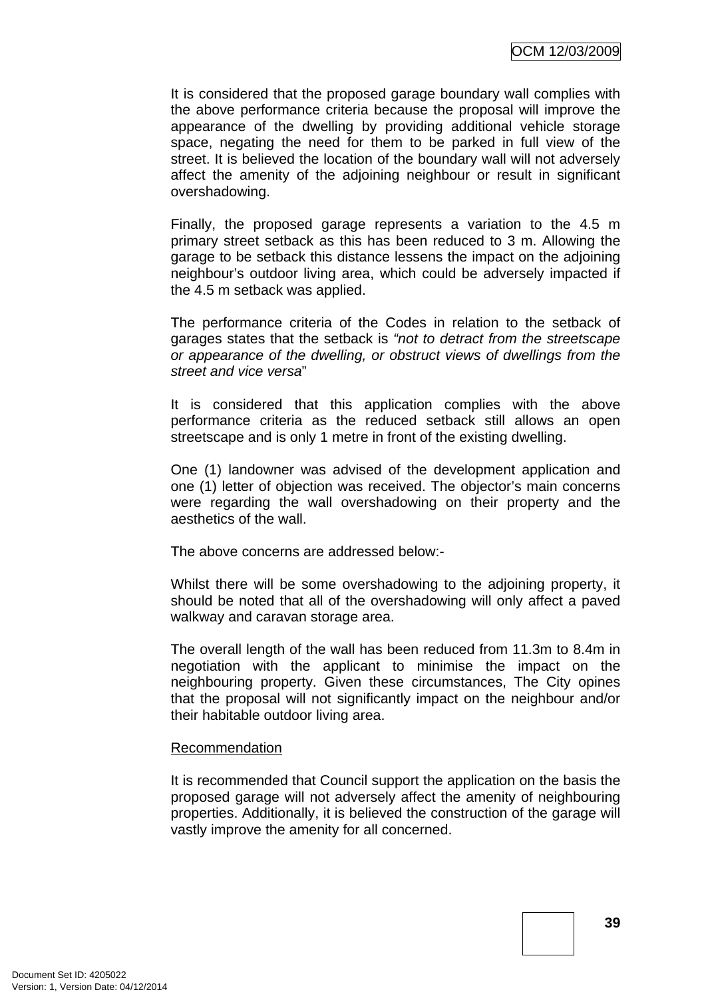It is considered that the proposed garage boundary wall complies with the above performance criteria because the proposal will improve the appearance of the dwelling by providing additional vehicle storage space, negating the need for them to be parked in full view of the street. It is believed the location of the boundary wall will not adversely affect the amenity of the adjoining neighbour or result in significant overshadowing.

Finally, the proposed garage represents a variation to the 4.5 m primary street setback as this has been reduced to 3 m. Allowing the garage to be setback this distance lessens the impact on the adjoining neighbour's outdoor living area, which could be adversely impacted if the 4.5 m setback was applied.

The performance criteria of the Codes in relation to the setback of garages states that the setback is *"not to detract from the streetscape or appearance of the dwelling, or obstruct views of dwellings from the street and vice versa*"

It is considered that this application complies with the above performance criteria as the reduced setback still allows an open streetscape and is only 1 metre in front of the existing dwelling.

One (1) landowner was advised of the development application and one (1) letter of objection was received. The objector's main concerns were regarding the wall overshadowing on their property and the aesthetics of the wall.

The above concerns are addressed below:-

Whilst there will be some overshadowing to the adjoining property, it should be noted that all of the overshadowing will only affect a paved walkway and caravan storage area.

The overall length of the wall has been reduced from 11.3m to 8.4m in negotiation with the applicant to minimise the impact on the neighbouring property. Given these circumstances, The City opines that the proposal will not significantly impact on the neighbour and/or their habitable outdoor living area.

#### Recommendation

It is recommended that Council support the application on the basis the proposed garage will not adversely affect the amenity of neighbouring properties. Additionally, it is believed the construction of the garage will vastly improve the amenity for all concerned.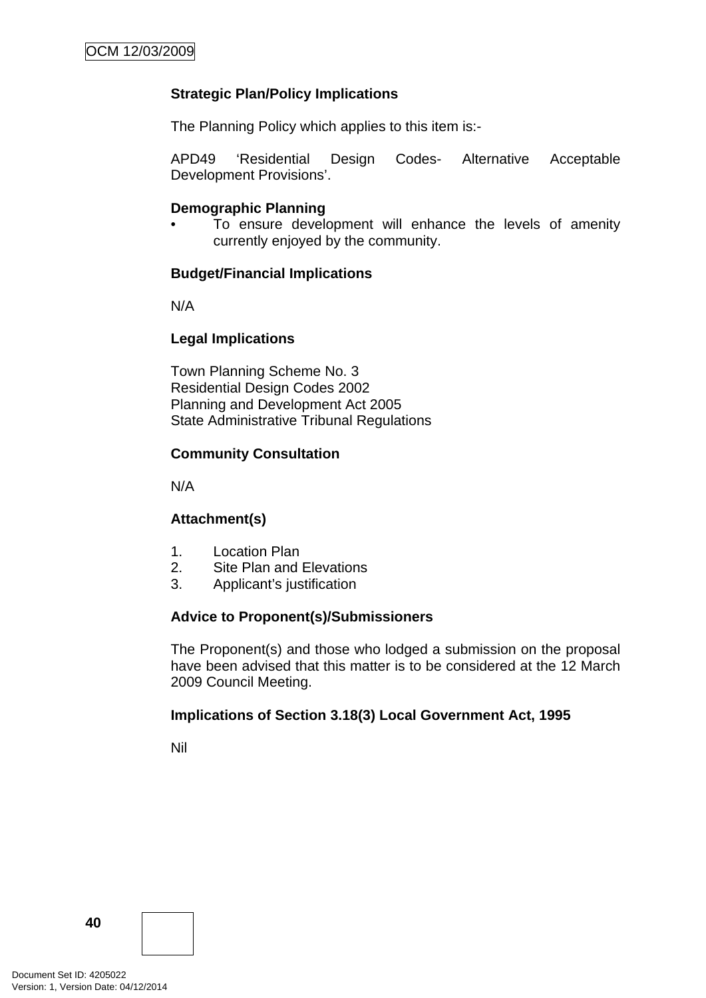## **Strategic Plan/Policy Implications**

The Planning Policy which applies to this item is:-

APD49 'Residential Design Codes- Alternative Acceptable Development Provisions'.

## **Demographic Planning**

To ensure development will enhance the levels of amenity currently enjoyed by the community.

## **Budget/Financial Implications**

N/A

## **Legal Implications**

Town Planning Scheme No. 3 Residential Design Codes 2002 Planning and Development Act 2005 State Administrative Tribunal Regulations

#### **Community Consultation**

N/A

## **Attachment(s)**

- 1. Location Plan
- 2. Site Plan and Elevations
- 3. Applicant's justification

## **Advice to Proponent(s)/Submissioners**

The Proponent(s) and those who lodged a submission on the proposal have been advised that this matter is to be considered at the 12 March 2009 Council Meeting.

## **Implications of Section 3.18(3) Local Government Act, 1995**

Nil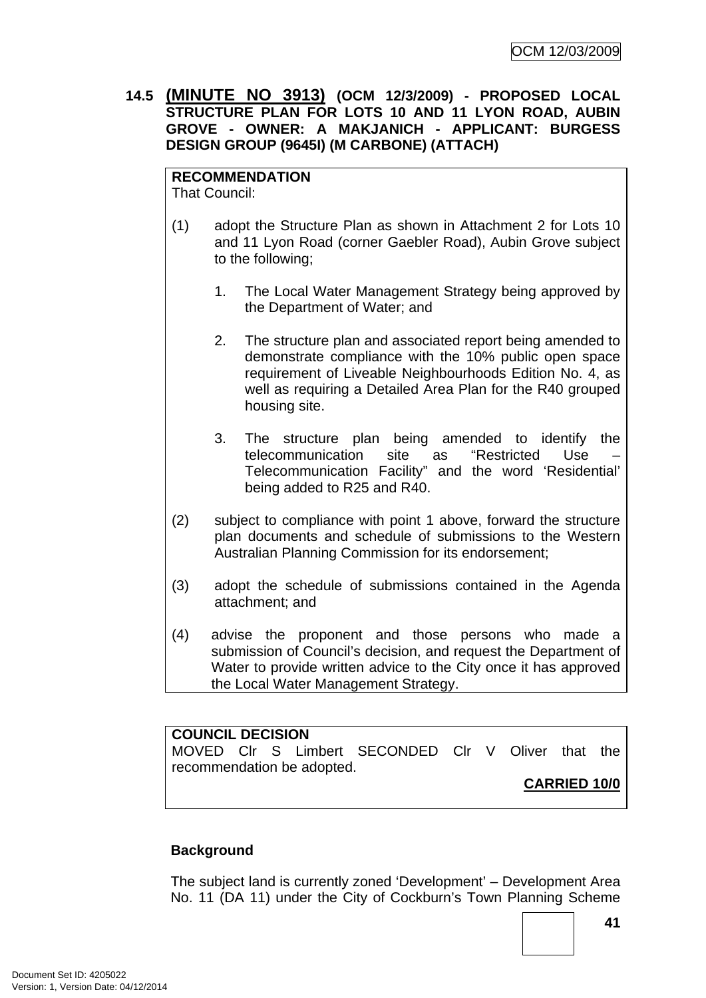**14.5 (MINUTE NO 3913) (OCM 12/3/2009) - PROPOSED LOCAL STRUCTURE PLAN FOR LOTS 10 AND 11 LYON ROAD, AUBIN GROVE - OWNER: A MAKJANICH - APPLICANT: BURGESS DESIGN GROUP (9645I) (M CARBONE) (ATTACH)** 

## **RECOMMENDATION**

That Council:

- (1) adopt the Structure Plan as shown in Attachment 2 for Lots 10 and 11 Lyon Road (corner Gaebler Road), Aubin Grove subject to the following;
	- 1. The Local Water Management Strategy being approved by the Department of Water; and
	- 2. The structure plan and associated report being amended to demonstrate compliance with the 10% public open space requirement of Liveable Neighbourhoods Edition No. 4, as well as requiring a Detailed Area Plan for the R40 grouped housing site.
	- 3. The structure plan being amended to identify the telecommunication site as "Restricted Use – Telecommunication Facility" and the word 'Residential' being added to R25 and R40.
- (2) subject to compliance with point 1 above, forward the structure plan documents and schedule of submissions to the Western Australian Planning Commission for its endorsement;
- (3) adopt the schedule of submissions contained in the Agenda attachment; and
- (4) advise the proponent and those persons who made a submission of Council's decision, and request the Department of Water to provide written advice to the City once it has approved the Local Water Management Strategy.

## **COUNCIL DECISION**

MOVED Clr S Limbert SECONDED Clr V Oliver that the recommendation be adopted.

**CARRIED 10/0**

## **Background**

The subject land is currently zoned 'Development' – Development Area No. 11 (DA 11) under the City of Cockburn's Town Planning Scheme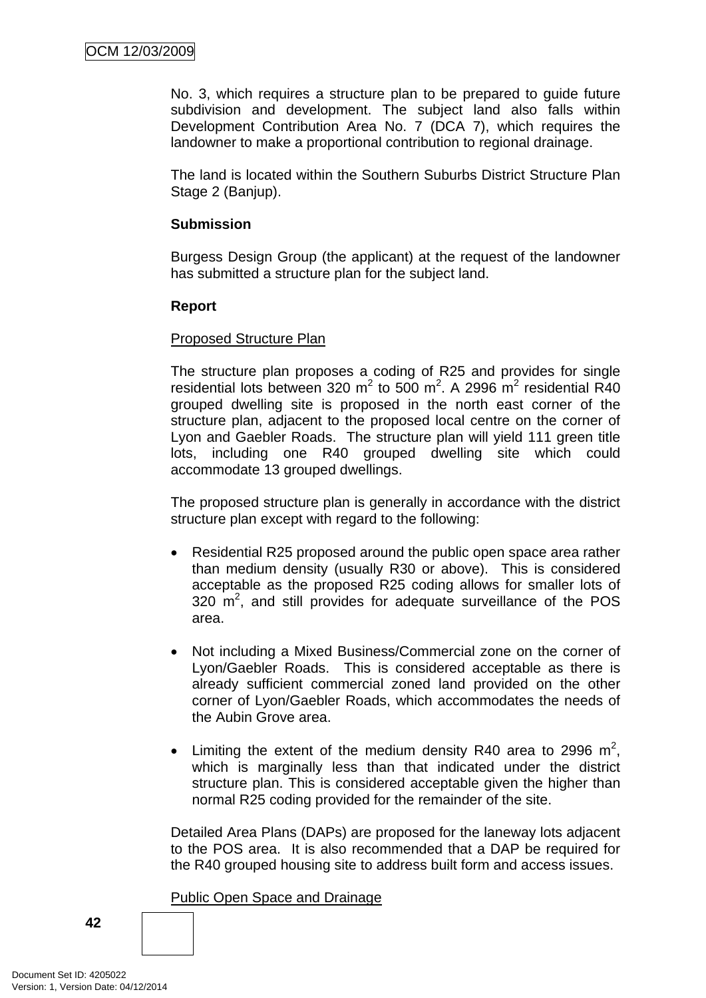No. 3, which requires a structure plan to be prepared to guide future subdivision and development. The subject land also falls within Development Contribution Area No. 7 (DCA 7), which requires the landowner to make a proportional contribution to regional drainage.

The land is located within the Southern Suburbs District Structure Plan Stage 2 (Banjup).

## **Submission**

Burgess Design Group (the applicant) at the request of the landowner has submitted a structure plan for the subject land.

#### **Report**

## Proposed Structure Plan

The structure plan proposes a coding of R25 and provides for single residential lots between 320  $m^2$  to 500  $m^2$ . A 2996  $m^2$  residential R40 grouped dwelling site is proposed in the north east corner of the structure plan, adjacent to the proposed local centre on the corner of Lyon and Gaebler Roads. The structure plan will yield 111 green title lots, including one R40 grouped dwelling site which could accommodate 13 grouped dwellings.

The proposed structure plan is generally in accordance with the district structure plan except with regard to the following:

- Residential R25 proposed around the public open space area rather than medium density (usually R30 or above). This is considered acceptable as the proposed R25 coding allows for smaller lots of  $320 \text{ m}^2$ , and still provides for adequate surveillance of the POS area.
- Not including a Mixed Business/Commercial zone on the corner of Lyon/Gaebler Roads. This is considered acceptable as there is already sufficient commercial zoned land provided on the other corner of Lyon/Gaebler Roads, which accommodates the needs of the Aubin Grove area.
- Limiting the extent of the medium density R40 area to 2996  $m^2$ , which is marginally less than that indicated under the district structure plan. This is considered acceptable given the higher than normal R25 coding provided for the remainder of the site.

Detailed Area Plans (DAPs) are proposed for the laneway lots adjacent to the POS area. It is also recommended that a DAP be required for the R40 grouped housing site to address built form and access issues.

Public Open Space and Drainage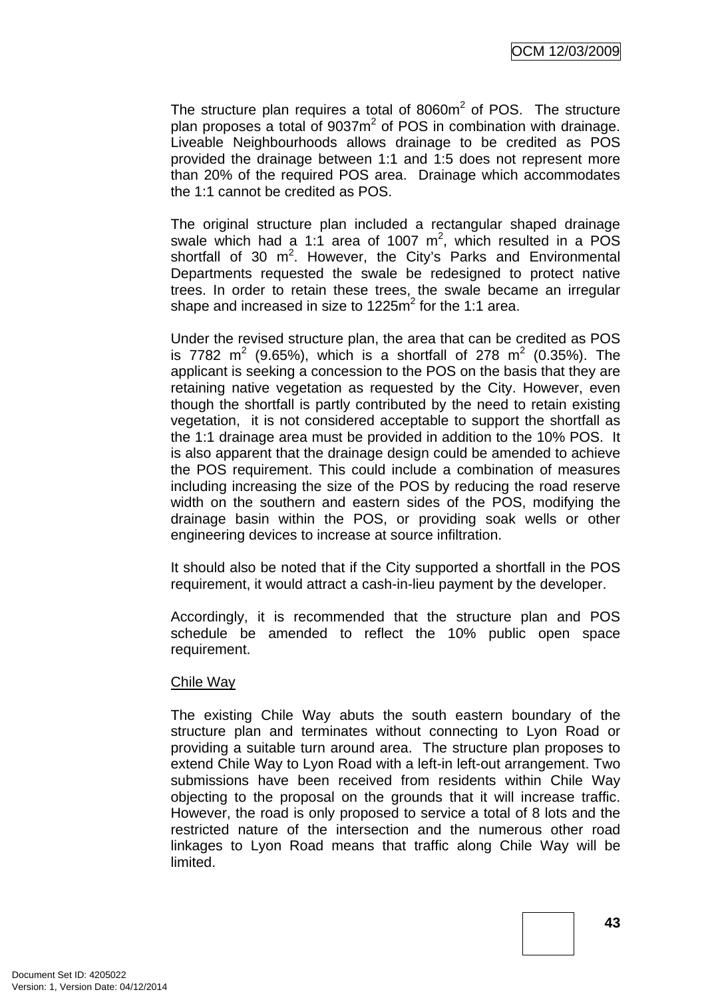The structure plan requires a total of 8060 $m<sup>2</sup>$  of POS. The structure plan proposes a total of  $9037m^2$  of POS in combination with drainage. Liveable Neighbourhoods allows drainage to be credited as POS provided the drainage between 1:1 and 1:5 does not represent more than 20% of the required POS area. Drainage which accommodates the 1:1 cannot be credited as POS.

The original structure plan included a rectangular shaped drainage swale which had a 1:1 area of 1007  $m^2$ , which resulted in a POS shortfall of 30  $m^2$ . However, the City's Parks and Environmental Departments requested the swale be redesigned to protect native trees. In order to retain these trees, the swale became an irregular shape and increased in size to 1225 $m^2$  for the 1:1 area.

Under the revised structure plan, the area that can be credited as POS is 7782 m<sup>2</sup> (9.65%), which is a shortfall of 278 m<sup>2</sup> (0.35%). The applicant is seeking a concession to the POS on the basis that they are retaining native vegetation as requested by the City. However, even though the shortfall is partly contributed by the need to retain existing vegetation, it is not considered acceptable to support the shortfall as the 1:1 drainage area must be provided in addition to the 10% POS. It is also apparent that the drainage design could be amended to achieve the POS requirement. This could include a combination of measures including increasing the size of the POS by reducing the road reserve width on the southern and eastern sides of the POS, modifying the drainage basin within the POS, or providing soak wells or other engineering devices to increase at source infiltration.

It should also be noted that if the City supported a shortfall in the POS requirement, it would attract a cash-in-lieu payment by the developer.

Accordingly, it is recommended that the structure plan and POS schedule be amended to reflect the 10% public open space requirement.

#### Chile Way

The existing Chile Way abuts the south eastern boundary of the structure plan and terminates without connecting to Lyon Road or providing a suitable turn around area. The structure plan proposes to extend Chile Way to Lyon Road with a left-in left-out arrangement. Two submissions have been received from residents within Chile Way objecting to the proposal on the grounds that it will increase traffic. However, the road is only proposed to service a total of 8 lots and the restricted nature of the intersection and the numerous other road linkages to Lyon Road means that traffic along Chile Way will be limited.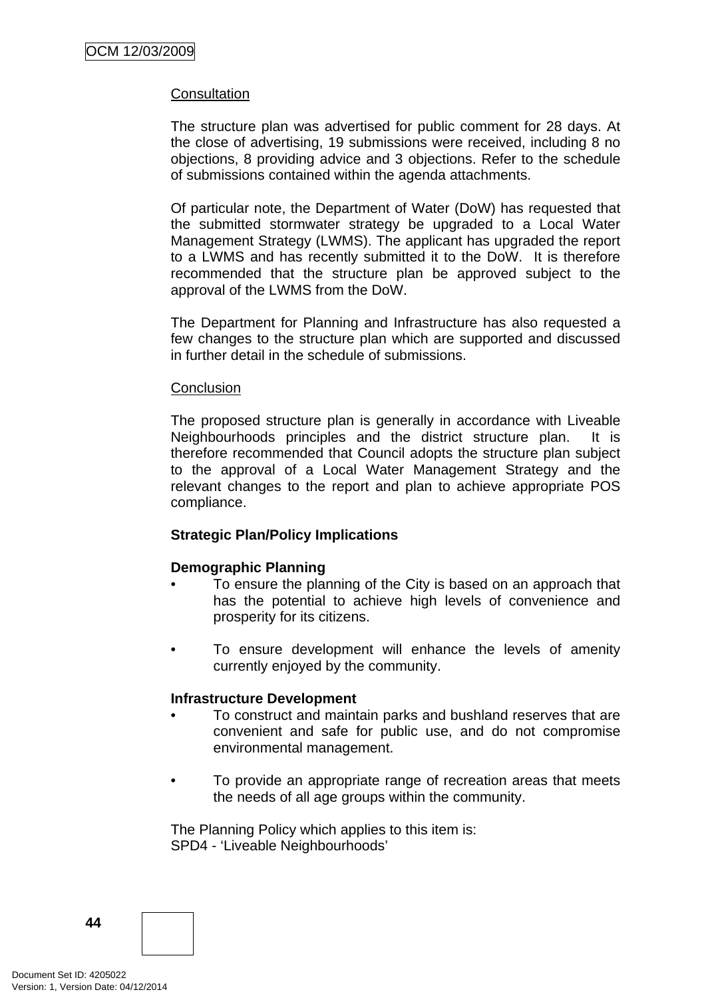## **Consultation**

The structure plan was advertised for public comment for 28 days. At the close of advertising, 19 submissions were received, including 8 no objections, 8 providing advice and 3 objections. Refer to the schedule of submissions contained within the agenda attachments.

Of particular note, the Department of Water (DoW) has requested that the submitted stormwater strategy be upgraded to a Local Water Management Strategy (LWMS). The applicant has upgraded the report to a LWMS and has recently submitted it to the DoW. It is therefore recommended that the structure plan be approved subject to the approval of the LWMS from the DoW.

The Department for Planning and Infrastructure has also requested a few changes to the structure plan which are supported and discussed in further detail in the schedule of submissions.

#### **Conclusion**

The proposed structure plan is generally in accordance with Liveable Neighbourhoods principles and the district structure plan. It is therefore recommended that Council adopts the structure plan subject to the approval of a Local Water Management Strategy and the relevant changes to the report and plan to achieve appropriate POS compliance.

## **Strategic Plan/Policy Implications**

## **Demographic Planning**

- To ensure the planning of the City is based on an approach that has the potential to achieve high levels of convenience and prosperity for its citizens.
- To ensure development will enhance the levels of amenity currently enjoyed by the community.

## **Infrastructure Development**

- To construct and maintain parks and bushland reserves that are convenient and safe for public use, and do not compromise environmental management.
- To provide an appropriate range of recreation areas that meets the needs of all age groups within the community.

The Planning Policy which applies to this item is: SPD4 - 'Liveable Neighbourhoods'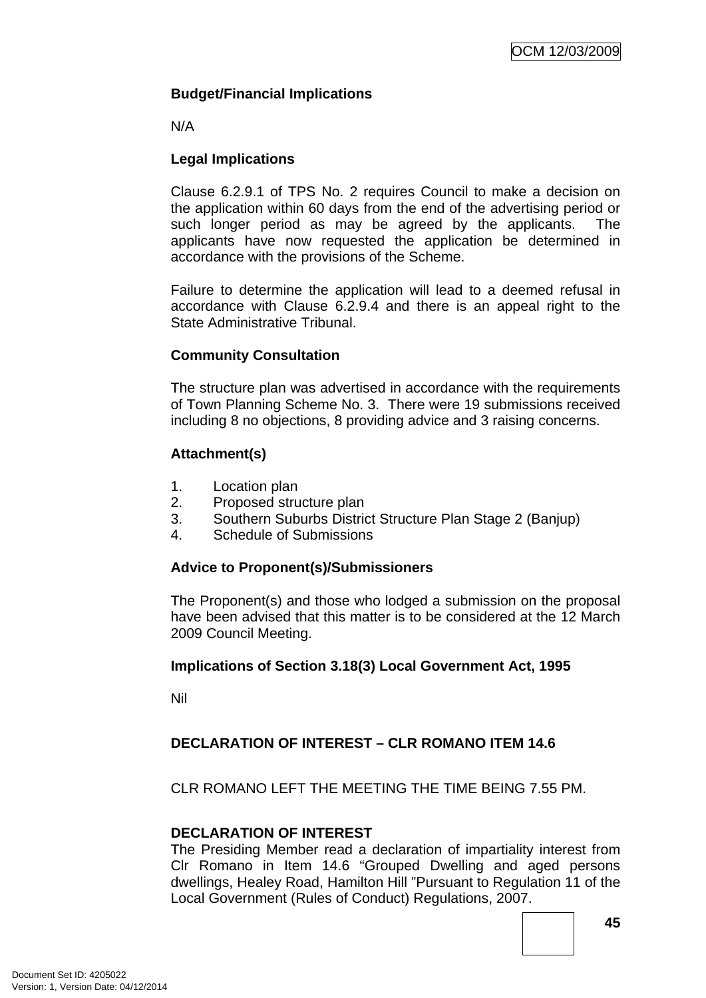## **Budget/Financial Implications**

N/A

## **Legal Implications**

Clause 6.2.9.1 of TPS No. 2 requires Council to make a decision on the application within 60 days from the end of the advertising period or such longer period as may be agreed by the applicants. The applicants have now requested the application be determined in accordance with the provisions of the Scheme.

Failure to determine the application will lead to a deemed refusal in accordance with Clause 6.2.9.4 and there is an appeal right to the State Administrative Tribunal.

## **Community Consultation**

The structure plan was advertised in accordance with the requirements of Town Planning Scheme No. 3. There were 19 submissions received including 8 no objections, 8 providing advice and 3 raising concerns.

## **Attachment(s)**

- 1. Location plan
- 2. Proposed structure plan
- 3. Southern Suburbs District Structure Plan Stage 2 (Banjup)
- 4. Schedule of Submissions

## **Advice to Proponent(s)/Submissioners**

The Proponent(s) and those who lodged a submission on the proposal have been advised that this matter is to be considered at the 12 March 2009 Council Meeting.

## **Implications of Section 3.18(3) Local Government Act, 1995**

Nil

## **DECLARATION OF INTEREST – CLR ROMANO ITEM 14.6**

CLR ROMANO LEFT THE MEETING THE TIME BEING 7.55 PM.

## **DECLARATION OF INTEREST**

The Presiding Member read a declaration of impartiality interest from Clr Romano in Item 14.6 "Grouped Dwelling and aged persons dwellings, Healey Road, Hamilton Hill "Pursuant to Regulation 11 of the Local Government (Rules of Conduct) Regulations, 2007.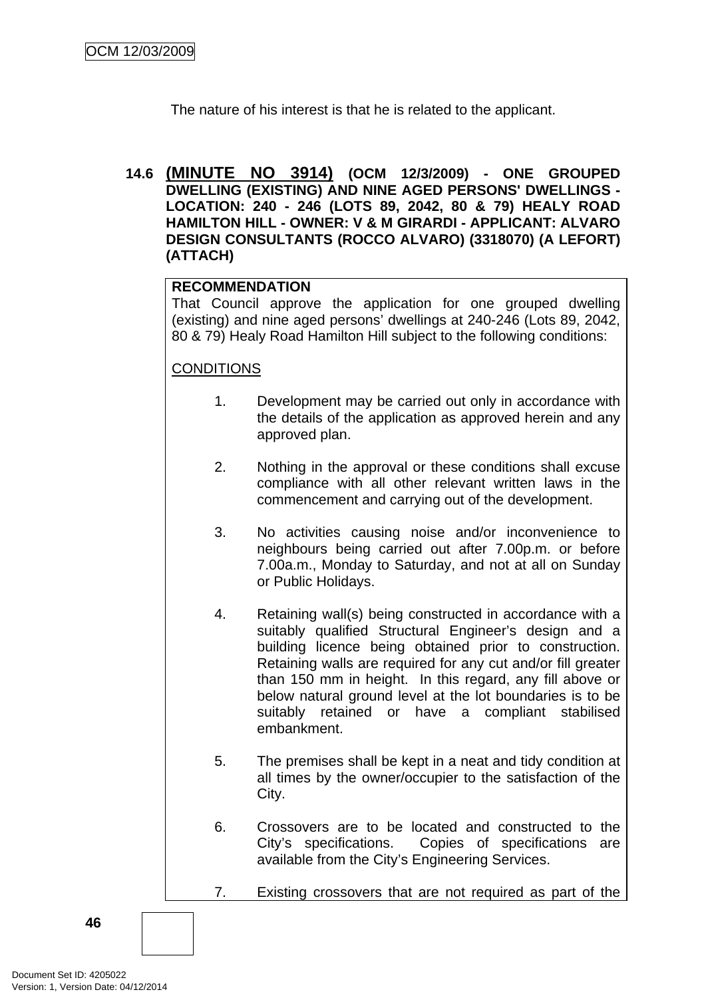The nature of his interest is that he is related to the applicant.

## **14.6 (MINUTE NO 3914) (OCM 12/3/2009) - ONE GROUPED DWELLING (EXISTING) AND NINE AGED PERSONS' DWELLINGS - LOCATION: 240 - 246 (LOTS 89, 2042, 80 & 79) HEALY ROAD HAMILTON HILL - OWNER: V & M GIRARDI - APPLICANT: ALVARO DESIGN CONSULTANTS (ROCCO ALVARO) (3318070) (A LEFORT) (ATTACH)**

## **RECOMMENDATION**

That Council approve the application for one grouped dwelling (existing) and nine aged persons' dwellings at 240-246 (Lots 89, 2042, 80 & 79) Healy Road Hamilton Hill subject to the following conditions:

# **CONDITIONS**

- 1. Development may be carried out only in accordance with the details of the application as approved herein and any approved plan.
- 2. Nothing in the approval or these conditions shall excuse compliance with all other relevant written laws in the commencement and carrying out of the development.
- 3. No activities causing noise and/or inconvenience to neighbours being carried out after 7.00p.m. or before 7.00a.m., Monday to Saturday, and not at all on Sunday or Public Holidays.
- 4. Retaining wall(s) being constructed in accordance with a suitably qualified Structural Engineer's design and a building licence being obtained prior to construction. Retaining walls are required for any cut and/or fill greater than 150 mm in height. In this regard, any fill above or below natural ground level at the lot boundaries is to be suitably retained or have a compliant stabilised embankment.
- 5. The premises shall be kept in a neat and tidy condition at all times by the owner/occupier to the satisfaction of the City.
- 6. Crossovers are to be located and constructed to the City's specifications. Copies of specifications are available from the City's Engineering Services.
- 7. Existing crossovers that are not required as part of the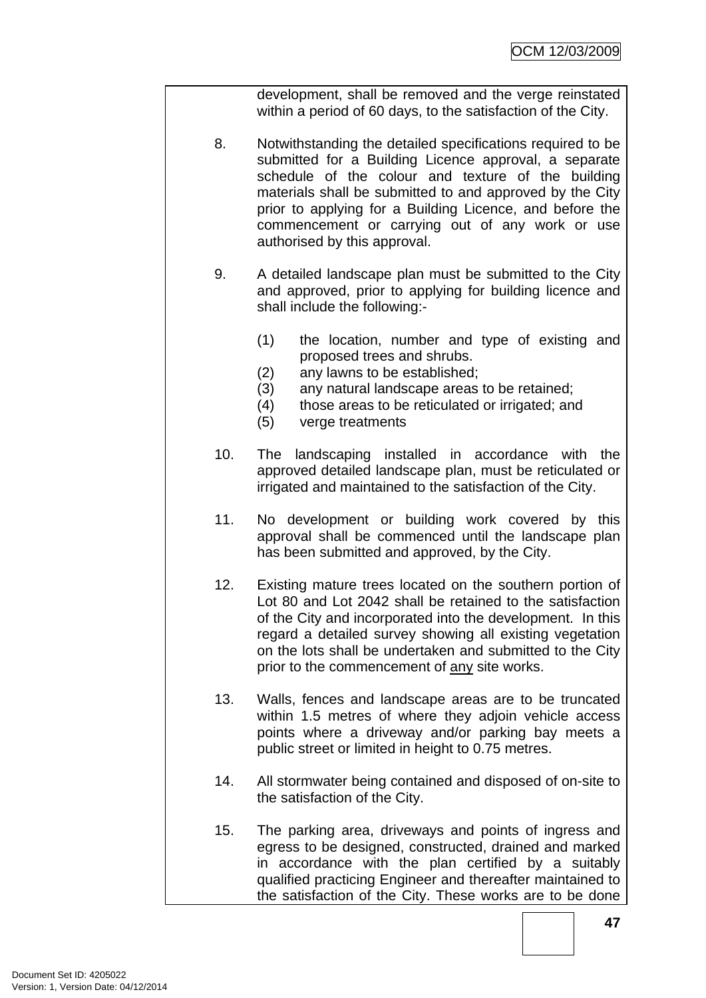development, shall be removed and the verge reinstated within a period of 60 days, to the satisfaction of the City.

- 8. Notwithstanding the detailed specifications required to be submitted for a Building Licence approval, a separate schedule of the colour and texture of the building materials shall be submitted to and approved by the City prior to applying for a Building Licence, and before the commencement or carrying out of any work or use authorised by this approval.
- 9. A detailed landscape plan must be submitted to the City and approved, prior to applying for building licence and shall include the following:-
	- (1) the location, number and type of existing and proposed trees and shrubs.
	- (2) any lawns to be established;
	- (3) any natural landscape areas to be retained;
	- (4) those areas to be reticulated or irrigated; and
	- (5) verge treatments
- 10. The landscaping installed in accordance with the approved detailed landscape plan, must be reticulated or irrigated and maintained to the satisfaction of the City.
- 11. No development or building work covered by this approval shall be commenced until the landscape plan has been submitted and approved, by the City.
- 12. Existing mature trees located on the southern portion of Lot 80 and Lot 2042 shall be retained to the satisfaction of the City and incorporated into the development. In this regard a detailed survey showing all existing vegetation on the lots shall be undertaken and submitted to the City prior to the commencement of any site works.
- 13. Walls, fences and landscape areas are to be truncated within 1.5 metres of where they adjoin vehicle access points where a driveway and/or parking bay meets a public street or limited in height to 0.75 metres.
- 14. All stormwater being contained and disposed of on-site to the satisfaction of the City.
- 15. The parking area, driveways and points of ingress and egress to be designed, constructed, drained and marked in accordance with the plan certified by a suitably qualified practicing Engineer and thereafter maintained to the satisfaction of the City. These works are to be done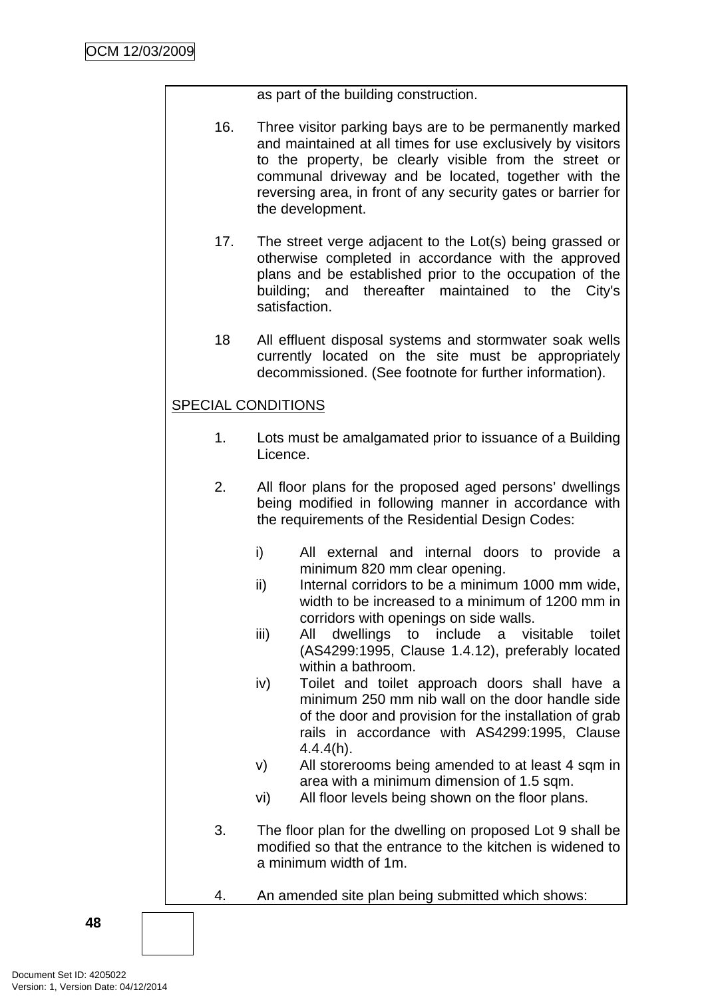as part of the building construction.

- 16. Three visitor parking bays are to be permanently marked and maintained at all times for use exclusively by visitors to the property, be clearly visible from the street or communal driveway and be located, together with the reversing area, in front of any security gates or barrier for the development.
- 17. The street verge adjacent to the Lot(s) being grassed or otherwise completed in accordance with the approved plans and be established prior to the occupation of the building; and thereafter maintained to the City's satisfaction.
- 18 All effluent disposal systems and stormwater soak wells currently located on the site must be appropriately decommissioned. (See footnote for further information).

## SPECIAL CONDITIONS

- 1. Lots must be amalgamated prior to issuance of a Building Licence.
- 2. All floor plans for the proposed aged persons' dwellings being modified in following manner in accordance with the requirements of the Residential Design Codes:
	- i) All external and internal doors to provide a minimum 820 mm clear opening.
	- ii) Internal corridors to be a minimum 1000 mm wide, width to be increased to a minimum of 1200 mm in corridors with openings on side walls.
	- iii) All dwellings to include a visitable toilet (AS4299:1995, Clause 1.4.12), preferably located within a bathroom.
	- iv) Toilet and toilet approach doors shall have a minimum 250 mm nib wall on the door handle side of the door and provision for the installation of grab rails in accordance with AS4299:1995, Clause 4.4.4(h).
	- v) All storerooms being amended to at least 4 sqm in area with a minimum dimension of 1.5 sqm.
	- vi) All floor levels being shown on the floor plans.
- 3. The floor plan for the dwelling on proposed Lot 9 shall be modified so that the entrance to the kitchen is widened to a minimum width of 1m.

4. An amended site plan being submitted which shows: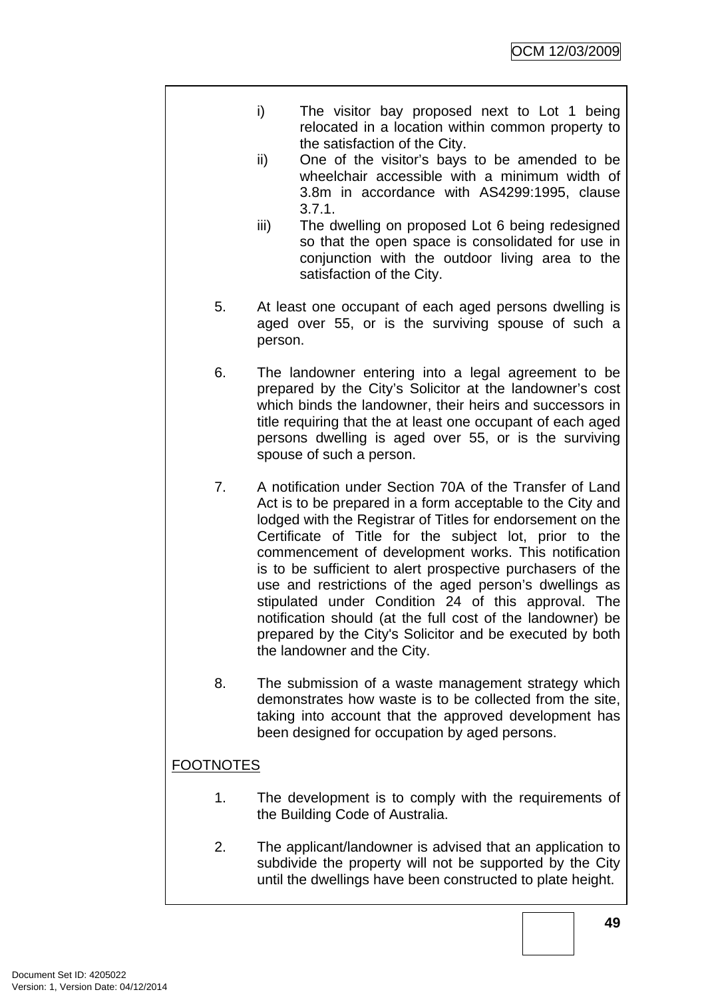- i) The visitor bay proposed next to Lot 1 being relocated in a location within common property to the satisfaction of the City.
- ii) One of the visitor's bays to be amended to be wheelchair accessible with a minimum width of 3.8m in accordance with AS4299:1995, clause 3.7.1.
- iii) The dwelling on proposed Lot 6 being redesigned so that the open space is consolidated for use in conjunction with the outdoor living area to the satisfaction of the City.
- 5. At least one occupant of each aged persons dwelling is aged over 55, or is the surviving spouse of such a person.
- 6. The landowner entering into a legal agreement to be prepared by the City's Solicitor at the landowner's cost which binds the landowner, their heirs and successors in title requiring that the at least one occupant of each aged persons dwelling is aged over 55, or is the surviving spouse of such a person.
- 7. A notification under Section 70A of the Transfer of Land Act is to be prepared in a form acceptable to the City and lodged with the Registrar of Titles for endorsement on the Certificate of Title for the subject lot, prior to the commencement of development works. This notification is to be sufficient to alert prospective purchasers of the use and restrictions of the aged person's dwellings as stipulated under Condition 24 of this approval. The notification should (at the full cost of the landowner) be prepared by the City's Solicitor and be executed by both the landowner and the City.
- 8. The submission of a waste management strategy which demonstrates how waste is to be collected from the site, taking into account that the approved development has been designed for occupation by aged persons.

# FOOTNOTES

- 1. The development is to comply with the requirements of the Building Code of Australia.
- 2. The applicant/landowner is advised that an application to subdivide the property will not be supported by the City until the dwellings have been constructed to plate height.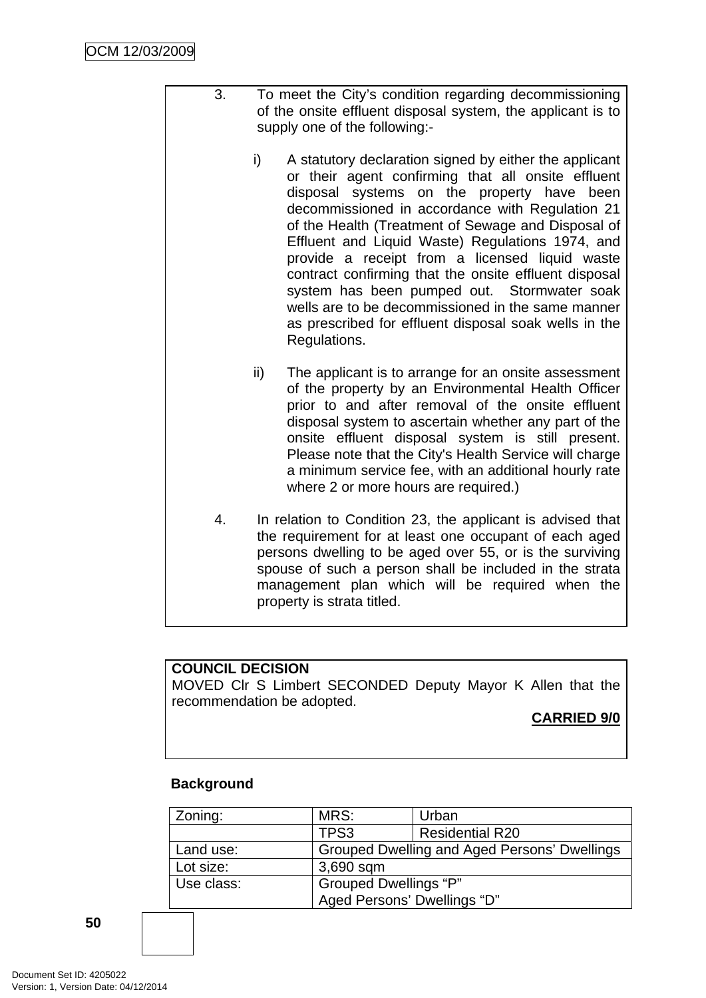- 3. To meet the City's condition regarding decommissioning of the onsite effluent disposal system, the applicant is to supply one of the following:
	- i) A statutory declaration signed by either the applicant or their agent confirming that all onsite effluent disposal systems on the property have been decommissioned in accordance with Regulation 21 of the Health (Treatment of Sewage and Disposal of Effluent and Liquid Waste) Regulations 1974, and provide a receipt from a licensed liquid waste contract confirming that the onsite effluent disposal system has been pumped out. Stormwater soak wells are to be decommissioned in the same manner as prescribed for effluent disposal soak wells in the Regulations.
	- ii) The applicant is to arrange for an onsite assessment of the property by an Environmental Health Officer prior to and after removal of the onsite effluent disposal system to ascertain whether any part of the onsite effluent disposal system is still present. Please note that the City's Health Service will charge a minimum service fee, with an additional hourly rate where 2 or more hours are required.)
	- 4. In relation to Condition 23, the applicant is advised that the requirement for at least one occupant of each aged persons dwelling to be aged over 55, or is the surviving spouse of such a person shall be included in the strata management plan which will be required when the property is strata titled.

## **COUNCIL DECISION**

MOVED Clr S Limbert SECONDED Deputy Mayor K Allen that the recommendation be adopted.

#### **CARRIED 9/0**

## **Background**

| Zoning:    | MRS:                                         | Urban                  |  |
|------------|----------------------------------------------|------------------------|--|
|            | TPS3                                         | <b>Residential R20</b> |  |
| Land use:  | Grouped Dwelling and Aged Persons' Dwellings |                        |  |
| Lot size:  | 3,690 sqm                                    |                        |  |
| Use class: | Grouped Dwellings "P"                        |                        |  |
|            | Aged Persons' Dwellings "D"                  |                        |  |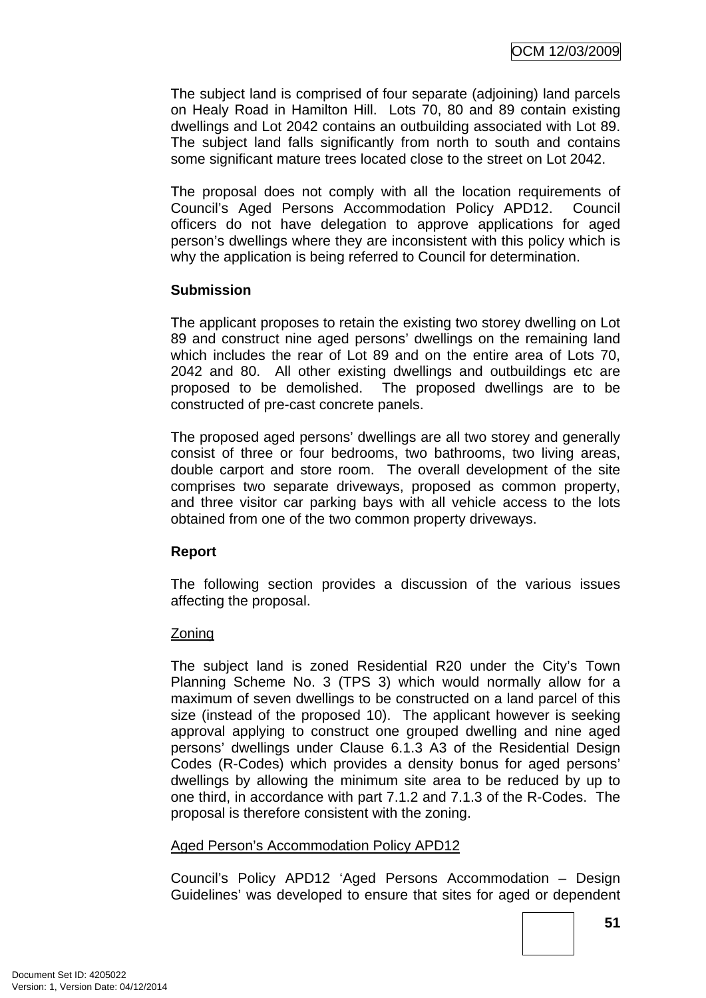The subject land is comprised of four separate (adjoining) land parcels on Healy Road in Hamilton Hill. Lots 70, 80 and 89 contain existing dwellings and Lot 2042 contains an outbuilding associated with Lot 89. The subject land falls significantly from north to south and contains some significant mature trees located close to the street on Lot 2042.

The proposal does not comply with all the location requirements of Council's Aged Persons Accommodation Policy APD12. Council officers do not have delegation to approve applications for aged person's dwellings where they are inconsistent with this policy which is why the application is being referred to Council for determination.

## **Submission**

The applicant proposes to retain the existing two storey dwelling on Lot 89 and construct nine aged persons' dwellings on the remaining land which includes the rear of Lot 89 and on the entire area of Lots 70, 2042 and 80. All other existing dwellings and outbuildings etc are proposed to be demolished. The proposed dwellings are to be constructed of pre-cast concrete panels.

The proposed aged persons' dwellings are all two storey and generally consist of three or four bedrooms, two bathrooms, two living areas, double carport and store room. The overall development of the site comprises two separate driveways, proposed as common property, and three visitor car parking bays with all vehicle access to the lots obtained from one of the two common property driveways.

## **Report**

The following section provides a discussion of the various issues affecting the proposal.

## Zoning

The subject land is zoned Residential R20 under the City's Town Planning Scheme No. 3 (TPS 3) which would normally allow for a maximum of seven dwellings to be constructed on a land parcel of this size (instead of the proposed 10). The applicant however is seeking approval applying to construct one grouped dwelling and nine aged persons' dwellings under Clause 6.1.3 A3 of the Residential Design Codes (R-Codes) which provides a density bonus for aged persons' dwellings by allowing the minimum site area to be reduced by up to one third, in accordance with part 7.1.2 and 7.1.3 of the R-Codes. The proposal is therefore consistent with the zoning.

## Aged Person's Accommodation Policy APD12

Council's Policy APD12 'Aged Persons Accommodation – Design Guidelines' was developed to ensure that sites for aged or dependent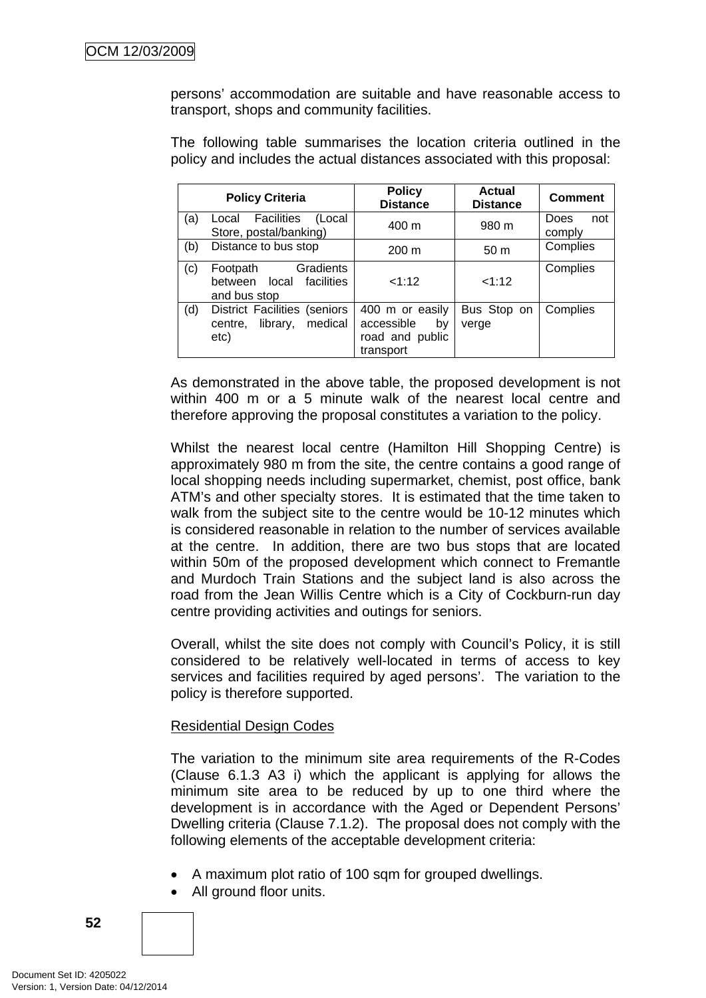persons' accommodation are suitable and have reasonable access to transport, shops and community facilities.

The following table summarises the location criteria outlined in the policy and includes the actual distances associated with this proposal:

| <b>Policy Criteria</b> |                                                                                  | <b>Policy</b><br><b>Distance</b>                                    | <b>Actual</b><br><b>Distance</b> | <b>Comment</b>        |
|------------------------|----------------------------------------------------------------------------------|---------------------------------------------------------------------|----------------------------------|-----------------------|
| (a)                    | Local Facilities<br>(Local<br>Store, postal/banking)                             | 400 m                                                               | 980 m                            | Does<br>not<br>comply |
| (b)                    | Distance to bus stop                                                             | $200 \text{ m}$                                                     | 50 <sub>m</sub>                  | Complies              |
| (C)                    | Gradients<br>Footpath<br>between<br>local<br>facilities<br>and bus stop          | <1:12                                                               | <1:12                            | Complies              |
| (d)                    | <b>District Facilities</b><br>(seniors<br>medical<br>library,<br>centre,<br>etc) | 400 m or easily<br>accessible<br>by<br>road and public<br>transport | Bus Stop on<br>verge             | Complies              |

As demonstrated in the above table, the proposed development is not within 400 m or a 5 minute walk of the nearest local centre and therefore approving the proposal constitutes a variation to the policy.

Whilst the nearest local centre (Hamilton Hill Shopping Centre) is approximately 980 m from the site, the centre contains a good range of local shopping needs including supermarket, chemist, post office, bank ATM's and other specialty stores. It is estimated that the time taken to walk from the subject site to the centre would be 10-12 minutes which is considered reasonable in relation to the number of services available at the centre. In addition, there are two bus stops that are located within 50m of the proposed development which connect to Fremantle and Murdoch Train Stations and the subject land is also across the road from the Jean Willis Centre which is a City of Cockburn-run day centre providing activities and outings for seniors.

Overall, whilst the site does not comply with Council's Policy, it is still considered to be relatively well-located in terms of access to key services and facilities required by aged persons'. The variation to the policy is therefore supported.

## Residential Design Codes

The variation to the minimum site area requirements of the R-Codes (Clause 6.1.3 A3 i) which the applicant is applying for allows the minimum site area to be reduced by up to one third where the development is in accordance with the Aged or Dependent Persons' Dwelling criteria (Clause 7.1.2). The proposal does not comply with the following elements of the acceptable development criteria:

- A maximum plot ratio of 100 sqm for grouped dwellings.
- All ground floor units.

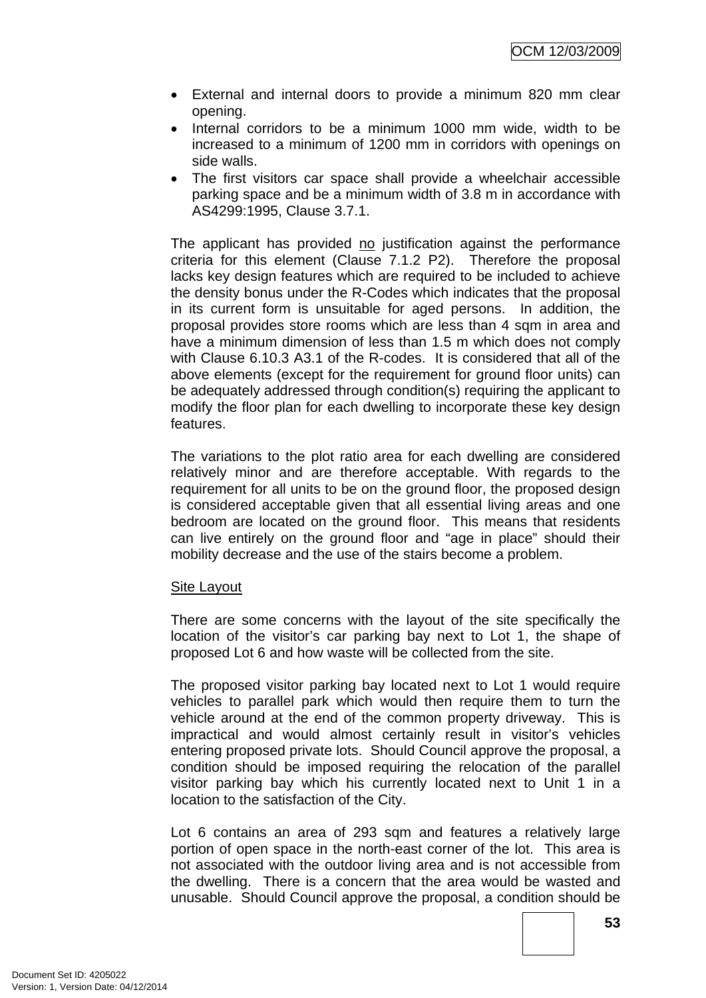- External and internal doors to provide a minimum 820 mm clear opening.
- Internal corridors to be a minimum 1000 mm wide, width to be increased to a minimum of 1200 mm in corridors with openings on side walls.
- The first visitors car space shall provide a wheelchair accessible parking space and be a minimum width of 3.8 m in accordance with AS4299:1995, Clause 3.7.1.

The applicant has provided no justification against the performance criteria for this element (Clause 7.1.2 P2). Therefore the proposal lacks key design features which are required to be included to achieve the density bonus under the R-Codes which indicates that the proposal in its current form is unsuitable for aged persons. In addition, the proposal provides store rooms which are less than 4 sqm in area and have a minimum dimension of less than 1.5 m which does not comply with Clause 6.10.3 A3.1 of the R-codes. It is considered that all of the above elements (except for the requirement for ground floor units) can be adequately addressed through condition(s) requiring the applicant to modify the floor plan for each dwelling to incorporate these key design features.

The variations to the plot ratio area for each dwelling are considered relatively minor and are therefore acceptable. With regards to the requirement for all units to be on the ground floor, the proposed design is considered acceptable given that all essential living areas and one bedroom are located on the ground floor. This means that residents can live entirely on the ground floor and "age in place" should their mobility decrease and the use of the stairs become a problem.

## **Site Layout**

There are some concerns with the layout of the site specifically the location of the visitor's car parking bay next to Lot 1, the shape of proposed Lot 6 and how waste will be collected from the site.

The proposed visitor parking bay located next to Lot 1 would require vehicles to parallel park which would then require them to turn the vehicle around at the end of the common property driveway. This is impractical and would almost certainly result in visitor's vehicles entering proposed private lots. Should Council approve the proposal, a condition should be imposed requiring the relocation of the parallel visitor parking bay which his currently located next to Unit 1 in a location to the satisfaction of the City.

Lot 6 contains an area of 293 sqm and features a relatively large portion of open space in the north-east corner of the lot. This area is not associated with the outdoor living area and is not accessible from the dwelling. There is a concern that the area would be wasted and unusable. Should Council approve the proposal, a condition should be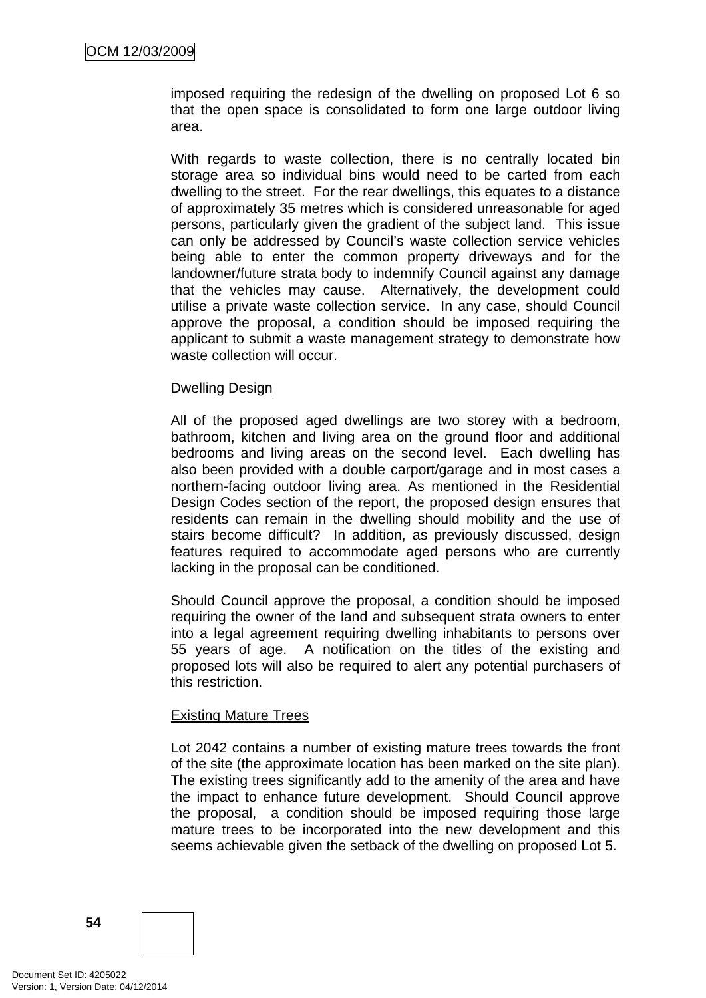imposed requiring the redesign of the dwelling on proposed Lot 6 so that the open space is consolidated to form one large outdoor living area.

With regards to waste collection, there is no centrally located bin storage area so individual bins would need to be carted from each dwelling to the street. For the rear dwellings, this equates to a distance of approximately 35 metres which is considered unreasonable for aged persons, particularly given the gradient of the subject land. This issue can only be addressed by Council's waste collection service vehicles being able to enter the common property driveways and for the landowner/future strata body to indemnify Council against any damage that the vehicles may cause. Alternatively, the development could utilise a private waste collection service. In any case, should Council approve the proposal, a condition should be imposed requiring the applicant to submit a waste management strategy to demonstrate how waste collection will occur.

#### Dwelling Design

All of the proposed aged dwellings are two storey with a bedroom, bathroom, kitchen and living area on the ground floor and additional bedrooms and living areas on the second level. Each dwelling has also been provided with a double carport/garage and in most cases a northern-facing outdoor living area. As mentioned in the Residential Design Codes section of the report, the proposed design ensures that residents can remain in the dwelling should mobility and the use of stairs become difficult? In addition, as previously discussed, design features required to accommodate aged persons who are currently lacking in the proposal can be conditioned.

Should Council approve the proposal, a condition should be imposed requiring the owner of the land and subsequent strata owners to enter into a legal agreement requiring dwelling inhabitants to persons over 55 years of age. A notification on the titles of the existing and proposed lots will also be required to alert any potential purchasers of this restriction.

#### Existing Mature Trees

Lot 2042 contains a number of existing mature trees towards the front of the site (the approximate location has been marked on the site plan). The existing trees significantly add to the amenity of the area and have the impact to enhance future development. Should Council approve the proposal, a condition should be imposed requiring those large mature trees to be incorporated into the new development and this seems achievable given the setback of the dwelling on proposed Lot 5.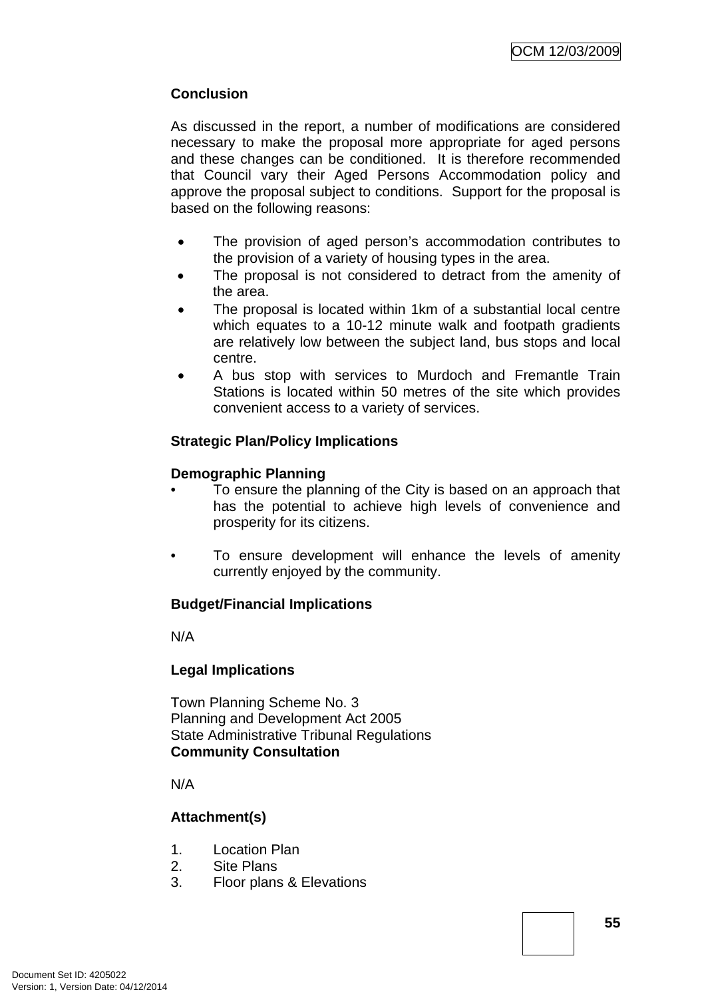## **Conclusion**

As discussed in the report, a number of modifications are considered necessary to make the proposal more appropriate for aged persons and these changes can be conditioned. It is therefore recommended that Council vary their Aged Persons Accommodation policy and approve the proposal subject to conditions. Support for the proposal is based on the following reasons:

- The provision of aged person's accommodation contributes to the provision of a variety of housing types in the area.
- The proposal is not considered to detract from the amenity of the area.
- The proposal is located within 1km of a substantial local centre which equates to a 10-12 minute walk and footpath gradients are relatively low between the subject land, bus stops and local centre.
- A bus stop with services to Murdoch and Fremantle Train Stations is located within 50 metres of the site which provides convenient access to a variety of services.

## **Strategic Plan/Policy Implications**

## **Demographic Planning**

- To ensure the planning of the City is based on an approach that has the potential to achieve high levels of convenience and prosperity for its citizens.
- To ensure development will enhance the levels of amenity currently enjoyed by the community.

## **Budget/Financial Implications**

N/A

## **Legal Implications**

Town Planning Scheme No. 3 Planning and Development Act 2005 State Administrative Tribunal Regulations **Community Consultation** 

N/A

## **Attachment(s)**

- 1. Location Plan
- 2. Site Plans
- 3. Floor plans & Elevations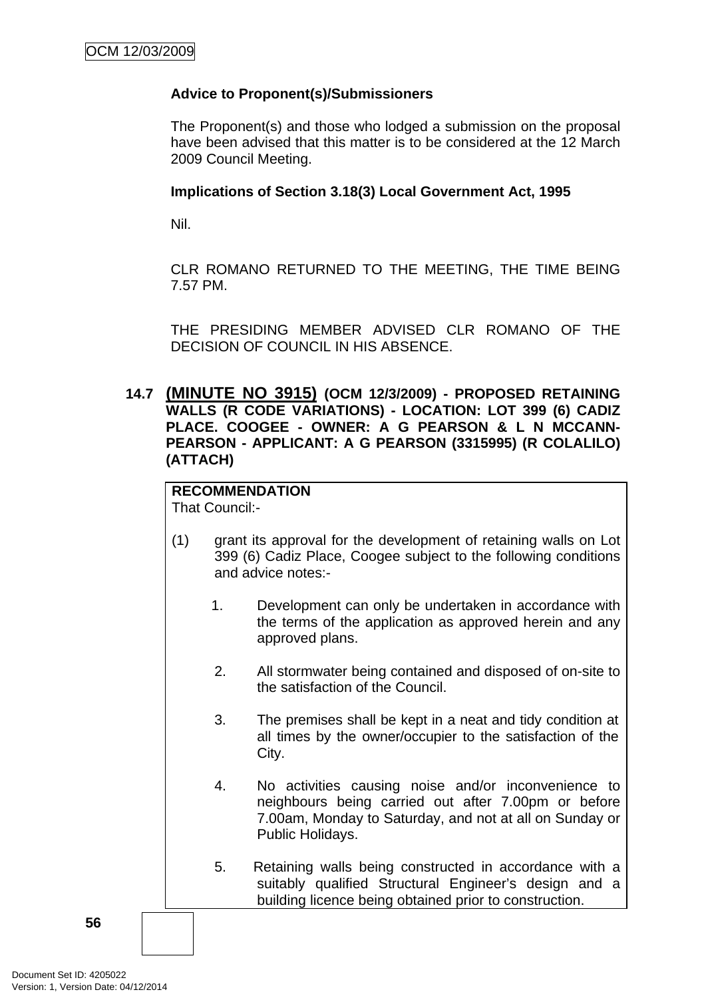## **Advice to Proponent(s)/Submissioners**

The Proponent(s) and those who lodged a submission on the proposal have been advised that this matter is to be considered at the 12 March 2009 Council Meeting.

## **Implications of Section 3.18(3) Local Government Act, 1995**

Nil.

CLR ROMANO RETURNED TO THE MEETING, THE TIME BEING 7.57 PM.

THE PRESIDING MEMBER ADVISED CLR ROMANO OF THE DECISION OF COUNCIL IN HIS ABSENCE.

**14.7 (MINUTE NO 3915) (OCM 12/3/2009) - PROPOSED RETAINING WALLS (R CODE VARIATIONS) - LOCATION: LOT 399 (6) CADIZ PLACE. COOGEE - OWNER: A G PEARSON & L N MCCANN-PEARSON - APPLICANT: A G PEARSON (3315995) (R COLALILO) (ATTACH)** 

# **RECOMMENDATION**

That Council:-

- (1) grant its approval for the development of retaining walls on Lot 399 (6) Cadiz Place, Coogee subject to the following conditions and advice notes:-
	- 1. Development can only be undertaken in accordance with the terms of the application as approved herein and any approved plans.
	- 2. All stormwater being contained and disposed of on-site to the satisfaction of the Council.
	- 3. The premises shall be kept in a neat and tidy condition at all times by the owner/occupier to the satisfaction of the City.
	- 4. No activities causing noise and/or inconvenience to neighbours being carried out after 7.00pm or before 7.00am, Monday to Saturday, and not at all on Sunday or Public Holidays.
	- 5. Retaining walls being constructed in accordance with a suitably qualified Structural Engineer's design and a building licence being obtained prior to construction.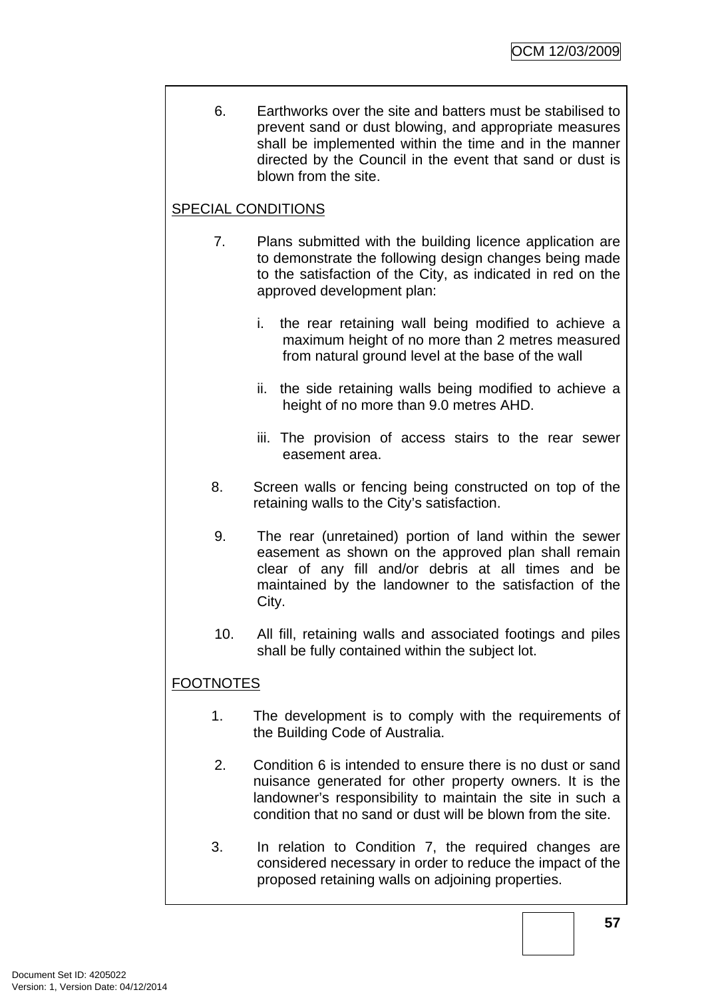6. Earthworks over the site and batters must be stabilised to prevent sand or dust blowing, and appropriate measures shall be implemented within the time and in the manner directed by the Council in the event that sand or dust is blown from the site.

## SPECIAL CONDITIONS

- 7. Plans submitted with the building licence application are to demonstrate the following design changes being made to the satisfaction of the City, as indicated in red on the approved development plan:
	- i. the rear retaining wall being modified to achieve a maximum height of no more than 2 metres measured from natural ground level at the base of the wall
	- ii. the side retaining walls being modified to achieve a height of no more than 9.0 metres AHD.
	- iii. The provision of access stairs to the rear sewer easement area.
- 8. Screen walls or fencing being constructed on top of the retaining walls to the City's satisfaction.
- 9. The rear (unretained) portion of land within the sewer easement as shown on the approved plan shall remain clear of any fill and/or debris at all times and be maintained by the landowner to the satisfaction of the City.
- 10. All fill, retaining walls and associated footings and piles shall be fully contained within the subject lot.

# FOOTNOTES

- 1. The development is to comply with the requirements of the Building Code of Australia.
- 2. Condition 6 is intended to ensure there is no dust or sand nuisance generated for other property owners. It is the landowner's responsibility to maintain the site in such a condition that no sand or dust will be blown from the site.
- 3. In relation to Condition 7, the required changes are considered necessary in order to reduce the impact of the proposed retaining walls on adjoining properties.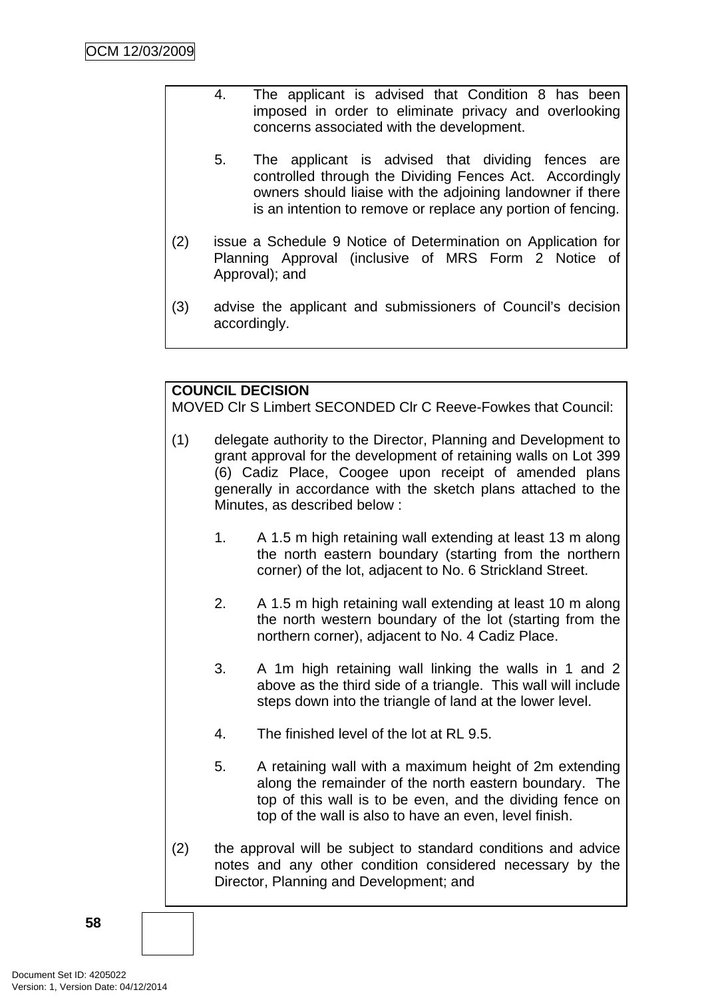- 4. The applicant is advised that Condition 8 has been imposed in order to eliminate privacy and overlooking concerns associated with the development.
	- 5. The applicant is advised that dividing fences are controlled through the Dividing Fences Act. Accordingly owners should liaise with the adjoining landowner if there is an intention to remove or replace any portion of fencing.
- (2) issue a Schedule 9 Notice of Determination on Application for Planning Approval (inclusive of MRS Form 2 Notice of Approval); and
- (3) advise the applicant and submissioners of Council's decision accordingly.

# **COUNCIL DECISION**

MOVED Clr S Limbert SECONDED Clr C Reeve-Fowkes that Council:

- (1) delegate authority to the Director, Planning and Development to grant approval for the development of retaining walls on Lot 399 (6) Cadiz Place, Coogee upon receipt of amended plans generally in accordance with the sketch plans attached to the Minutes, as described below :
	- 1. A 1.5 m high retaining wall extending at least 13 m along the north eastern boundary (starting from the northern corner) of the lot, adjacent to No. 6 Strickland Street.
	- 2. A 1.5 m high retaining wall extending at least 10 m along the north western boundary of the lot (starting from the northern corner), adjacent to No. 4 Cadiz Place.
	- 3. A 1m high retaining wall linking the walls in 1 and 2 above as the third side of a triangle. This wall will include steps down into the triangle of land at the lower level.
	- 4. The finished level of the lot at RL 9.5.
	- 5. A retaining wall with a maximum height of 2m extending along the remainder of the north eastern boundary. The top of this wall is to be even, and the dividing fence on top of the wall is also to have an even, level finish.
- (2) the approval will be subject to standard conditions and advice notes and any other condition considered necessary by the Director, Planning and Development; and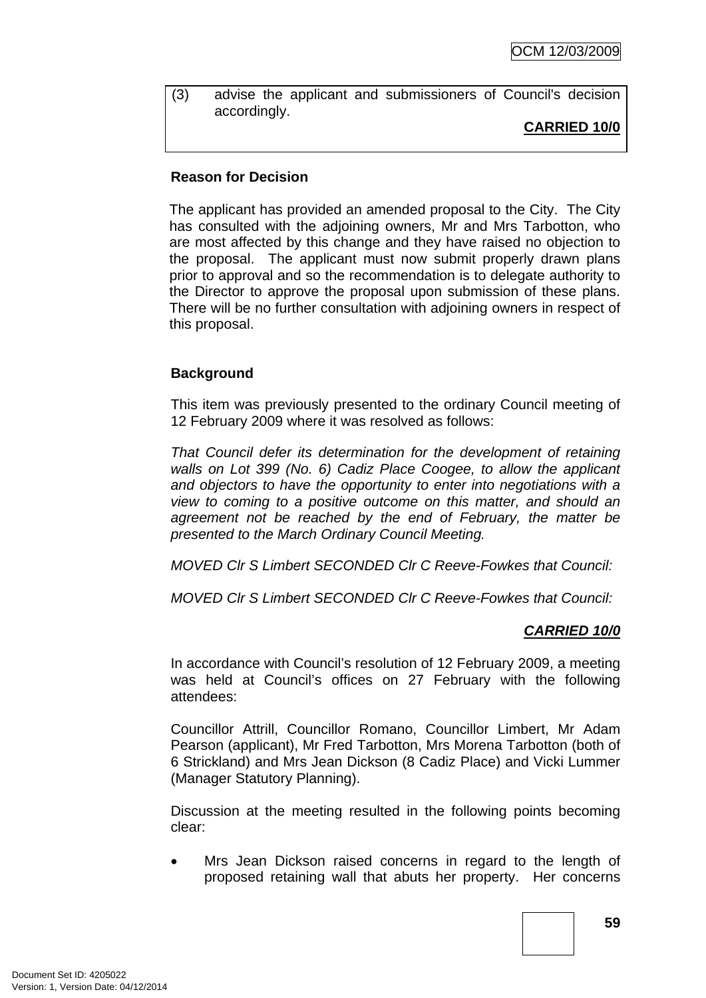(3) advise the applicant and submissioners of Council's decision accordingly.

**CARRIED 10/0**

## **Reason for Decision**

The applicant has provided an amended proposal to the City. The City has consulted with the adjoining owners, Mr and Mrs Tarbotton, who are most affected by this change and they have raised no objection to the proposal. The applicant must now submit properly drawn plans prior to approval and so the recommendation is to delegate authority to the Director to approve the proposal upon submission of these plans. There will be no further consultation with adjoining owners in respect of this proposal.

## **Background**

This item was previously presented to the ordinary Council meeting of 12 February 2009 where it was resolved as follows:

*That Council defer its determination for the development of retaining walls on Lot 399 (No. 6) Cadiz Place Coogee, to allow the applicant and objectors to have the opportunity to enter into negotiations with a view to coming to a positive outcome on this matter, and should an agreement not be reached by the end of February, the matter be presented to the March Ordinary Council Meeting.* 

*MOVED Clr S Limbert SECONDED Clr C Reeve-Fowkes that Council:* 

*MOVED Clr S Limbert SECONDED Clr C Reeve-Fowkes that Council:* 

## *CARRIED 10/0*

In accordance with Council's resolution of 12 February 2009, a meeting was held at Council's offices on 27 February with the following attendees:

Councillor Attrill, Councillor Romano, Councillor Limbert, Mr Adam Pearson (applicant), Mr Fred Tarbotton, Mrs Morena Tarbotton (both of 6 Strickland) and Mrs Jean Dickson (8 Cadiz Place) and Vicki Lummer (Manager Statutory Planning).

Discussion at the meeting resulted in the following points becoming clear:

Mrs Jean Dickson raised concerns in regard to the length of proposed retaining wall that abuts her property. Her concerns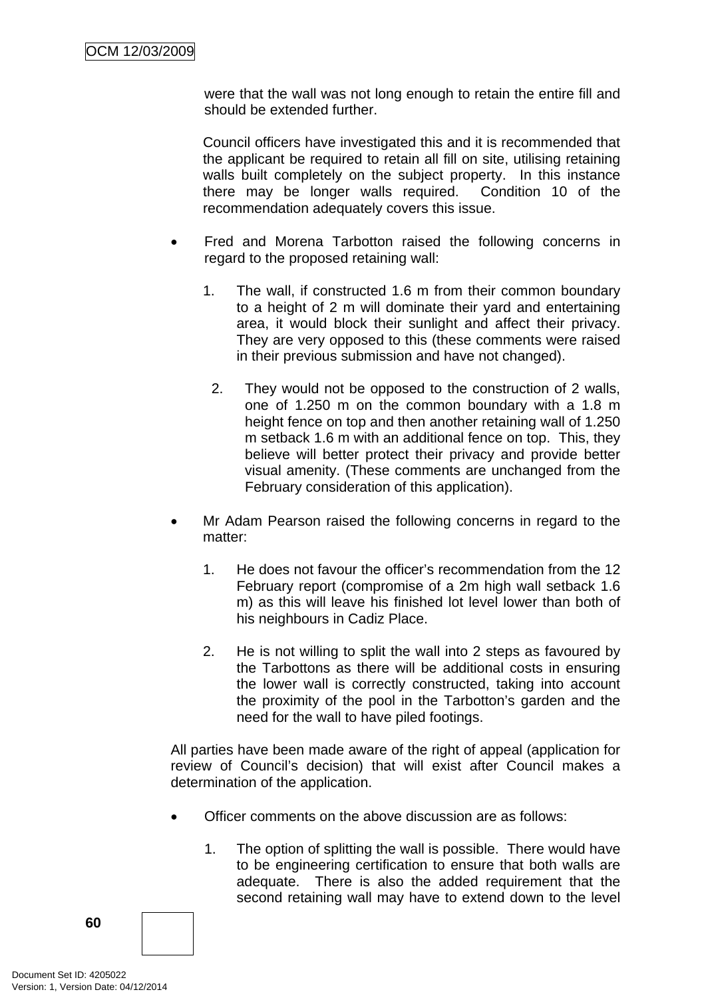were that the wall was not long enough to retain the entire fill and should be extended further.

Council officers have investigated this and it is recommended that the applicant be required to retain all fill on site, utilising retaining walls built completely on the subject property. In this instance there may be longer walls required. Condition 10 of the recommendation adequately covers this issue.

- Fred and Morena Tarbotton raised the following concerns in regard to the proposed retaining wall:
	- 1. The wall, if constructed 1.6 m from their common boundary to a height of 2 m will dominate their yard and entertaining area, it would block their sunlight and affect their privacy. They are very opposed to this (these comments were raised in their previous submission and have not changed).
	- 2. They would not be opposed to the construction of 2 walls, one of 1.250 m on the common boundary with a 1.8 m height fence on top and then another retaining wall of 1.250 m setback 1.6 m with an additional fence on top. This, they believe will better protect their privacy and provide better visual amenity. (These comments are unchanged from the February consideration of this application).
- Mr Adam Pearson raised the following concerns in regard to the matter:
	- 1. He does not favour the officer's recommendation from the 12 February report (compromise of a 2m high wall setback 1.6 m) as this will leave his finished lot level lower than both of his neighbours in Cadiz Place.
	- 2. He is not willing to split the wall into 2 steps as favoured by the Tarbottons as there will be additional costs in ensuring the lower wall is correctly constructed, taking into account the proximity of the pool in the Tarbotton's garden and the need for the wall to have piled footings.

All parties have been made aware of the right of appeal (application for review of Council's decision) that will exist after Council makes a determination of the application.

- Officer comments on the above discussion are as follows:
	- 1. The option of splitting the wall is possible. There would have to be engineering certification to ensure that both walls are adequate. There is also the added requirement that the second retaining wall may have to extend down to the level

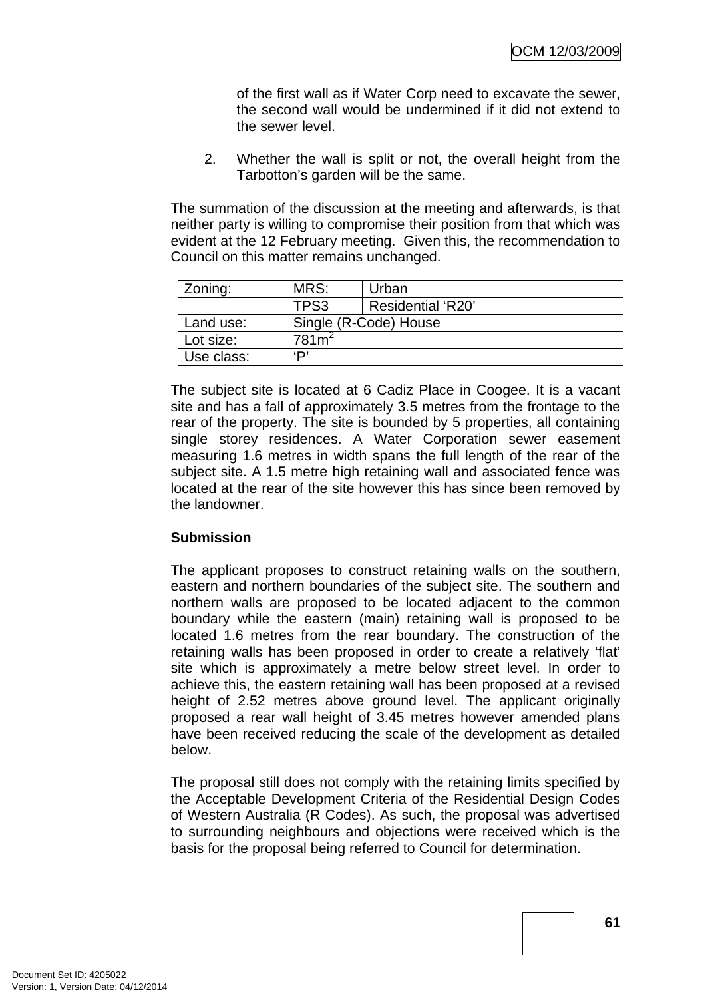of the first wall as if Water Corp need to excavate the sewer, the second wall would be undermined if it did not extend to the sewer level.

2. Whether the wall is split or not, the overall height from the Tarbotton's garden will be the same.

The summation of the discussion at the meeting and afterwards, is that neither party is willing to compromise their position from that which was evident at the 12 February meeting. Given this, the recommendation to Council on this matter remains unchanged.

| Zoning:    | MRS:                  | Urban             |
|------------|-----------------------|-------------------|
|            | TPS3                  | Residential 'R20' |
| Land use:  | Single (R-Code) House |                   |
| Lot size:  | 781 <sup>2</sup>      |                   |
| Use class: | ים '                  |                   |

The subject site is located at 6 Cadiz Place in Coogee. It is a vacant site and has a fall of approximately 3.5 metres from the frontage to the rear of the property. The site is bounded by 5 properties, all containing single storey residences. A Water Corporation sewer easement measuring 1.6 metres in width spans the full length of the rear of the subject site. A 1.5 metre high retaining wall and associated fence was located at the rear of the site however this has since been removed by the landowner.

## **Submission**

The applicant proposes to construct retaining walls on the southern, eastern and northern boundaries of the subject site. The southern and northern walls are proposed to be located adjacent to the common boundary while the eastern (main) retaining wall is proposed to be located 1.6 metres from the rear boundary. The construction of the retaining walls has been proposed in order to create a relatively 'flat' site which is approximately a metre below street level. In order to achieve this, the eastern retaining wall has been proposed at a revised height of 2.52 metres above ground level. The applicant originally proposed a rear wall height of 3.45 metres however amended plans have been received reducing the scale of the development as detailed below.

The proposal still does not comply with the retaining limits specified by the Acceptable Development Criteria of the Residential Design Codes of Western Australia (R Codes). As such, the proposal was advertised to surrounding neighbours and objections were received which is the basis for the proposal being referred to Council for determination.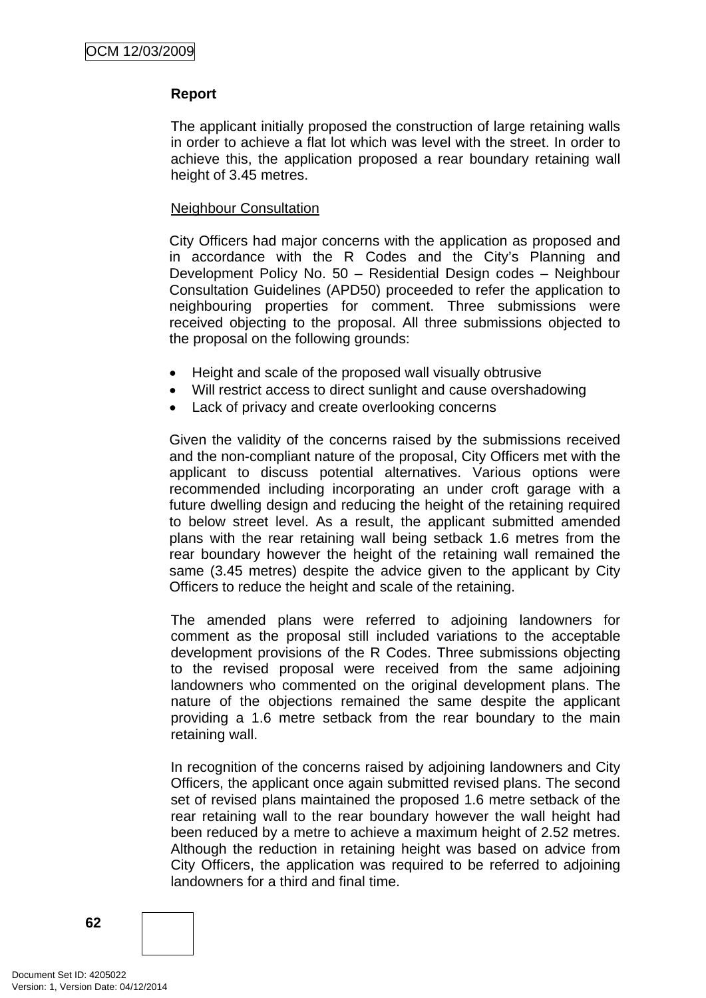## **Report**

The applicant initially proposed the construction of large retaining walls in order to achieve a flat lot which was level with the street. In order to achieve this, the application proposed a rear boundary retaining wall height of 3.45 metres.

#### Neighbour Consultation

City Officers had major concerns with the application as proposed and in accordance with the R Codes and the City's Planning and Development Policy No. 50 – Residential Design codes – Neighbour Consultation Guidelines (APD50) proceeded to refer the application to neighbouring properties for comment. Three submissions were received objecting to the proposal. All three submissions objected to the proposal on the following grounds:

- Height and scale of the proposed wall visually obtrusive
- Will restrict access to direct sunlight and cause overshadowing
- Lack of privacy and create overlooking concerns

Given the validity of the concerns raised by the submissions received and the non-compliant nature of the proposal, City Officers met with the applicant to discuss potential alternatives. Various options were recommended including incorporating an under croft garage with a future dwelling design and reducing the height of the retaining required to below street level. As a result, the applicant submitted amended plans with the rear retaining wall being setback 1.6 metres from the rear boundary however the height of the retaining wall remained the same (3.45 metres) despite the advice given to the applicant by City Officers to reduce the height and scale of the retaining.

The amended plans were referred to adjoining landowners for comment as the proposal still included variations to the acceptable development provisions of the R Codes. Three submissions objecting to the revised proposal were received from the same adjoining landowners who commented on the original development plans. The nature of the objections remained the same despite the applicant providing a 1.6 metre setback from the rear boundary to the main retaining wall.

In recognition of the concerns raised by adjoining landowners and City Officers, the applicant once again submitted revised plans. The second set of revised plans maintained the proposed 1.6 metre setback of the rear retaining wall to the rear boundary however the wall height had been reduced by a metre to achieve a maximum height of 2.52 metres. Although the reduction in retaining height was based on advice from City Officers, the application was required to be referred to adjoining landowners for a third and final time.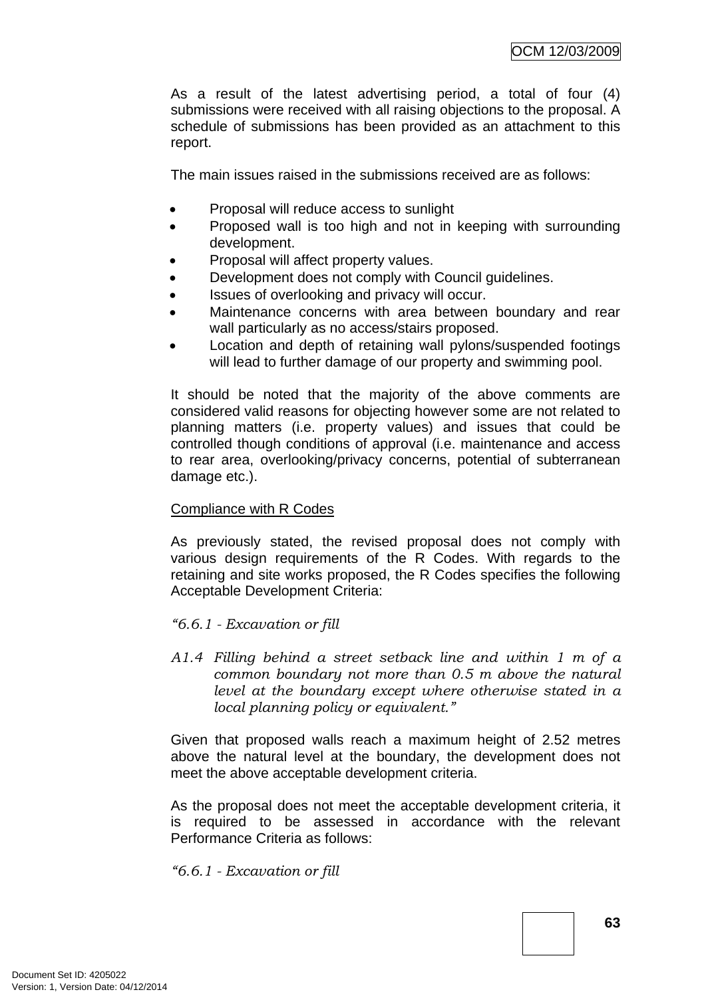As a result of the latest advertising period, a total of four (4) submissions were received with all raising objections to the proposal. A schedule of submissions has been provided as an attachment to this report.

The main issues raised in the submissions received are as follows:

- Proposal will reduce access to sunlight
- Proposed wall is too high and not in keeping with surrounding development.
- Proposal will affect property values.
- Development does not comply with Council guidelines.
- Issues of overlooking and privacy will occur.
- Maintenance concerns with area between boundary and rear wall particularly as no access/stairs proposed.
- Location and depth of retaining wall pylons/suspended footings will lead to further damage of our property and swimming pool.

It should be noted that the majority of the above comments are considered valid reasons for objecting however some are not related to planning matters (i.e. property values) and issues that could be controlled though conditions of approval (i.e. maintenance and access to rear area, overlooking/privacy concerns, potential of subterranean damage etc.).

## Compliance with R Codes

As previously stated, the revised proposal does not comply with various design requirements of the R Codes. With regards to the retaining and site works proposed, the R Codes specifies the following Acceptable Development Criteria:

- *"6.6.1 Excavation or fill*
- *A1.4 Filling behind a street setback line and within 1 m of a common boundary not more than 0.5 m above the natural level at the boundary except where otherwise stated in a local planning policy or equivalent."*

Given that proposed walls reach a maximum height of 2.52 metres above the natural level at the boundary, the development does not meet the above acceptable development criteria.

As the proposal does not meet the acceptable development criteria, it is required to be assessed in accordance with the relevant Performance Criteria as follows:

*"6.6.1 - Excavation or fill*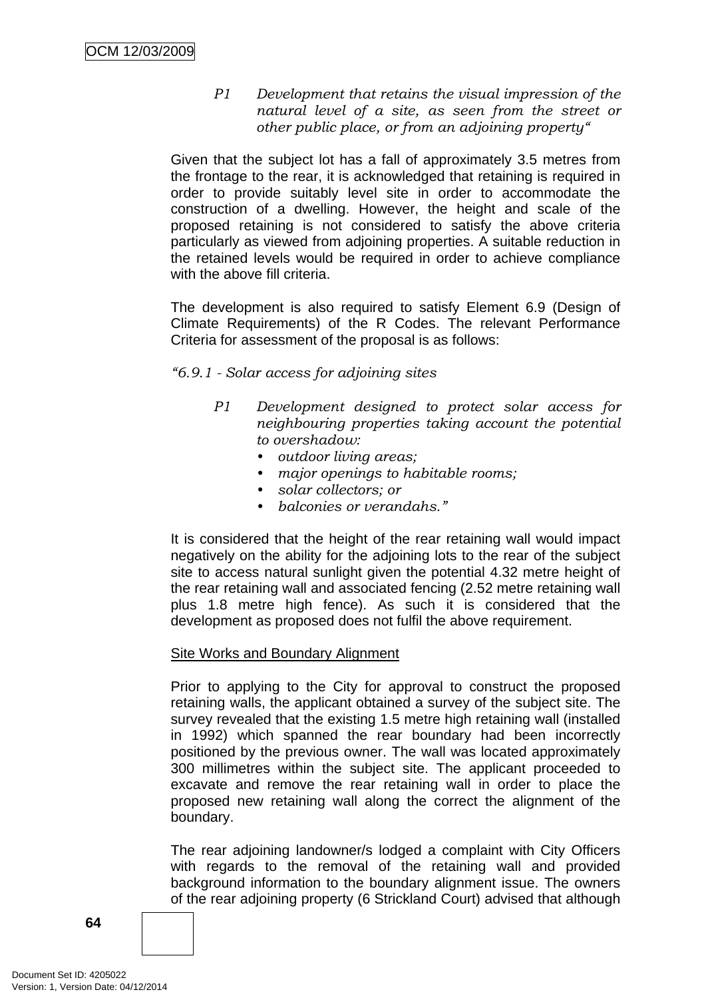*P1 Development that retains the visual impression of the natural level of a site, as seen from the street or other public place, or from an adjoining property"* 

Given that the subject lot has a fall of approximately 3.5 metres from the frontage to the rear, it is acknowledged that retaining is required in order to provide suitably level site in order to accommodate the construction of a dwelling. However, the height and scale of the proposed retaining is not considered to satisfy the above criteria particularly as viewed from adjoining properties. A suitable reduction in the retained levels would be required in order to achieve compliance with the above fill criteria.

The development is also required to satisfy Element 6.9 (Design of Climate Requirements) of the R Codes. The relevant Performance Criteria for assessment of the proposal is as follows:

*"6.9.1 - Solar access for adjoining sites* 

- *P1 Development designed to protect solar access for neighbouring properties taking account the potential to overshadow:* 
	- *outdoor living areas;*
	- *major openings to habitable rooms;*
	- *solar collectors; or*
	- *balconies or verandahs."*

It is considered that the height of the rear retaining wall would impact negatively on the ability for the adjoining lots to the rear of the subject site to access natural sunlight given the potential 4.32 metre height of the rear retaining wall and associated fencing (2.52 metre retaining wall plus 1.8 metre high fence). As such it is considered that the development as proposed does not fulfil the above requirement.

#### Site Works and Boundary Alignment

Prior to applying to the City for approval to construct the proposed retaining walls, the applicant obtained a survey of the subject site. The survey revealed that the existing 1.5 metre high retaining wall (installed in 1992) which spanned the rear boundary had been incorrectly positioned by the previous owner. The wall was located approximately 300 millimetres within the subject site. The applicant proceeded to excavate and remove the rear retaining wall in order to place the proposed new retaining wall along the correct the alignment of the boundary.

The rear adjoining landowner/s lodged a complaint with City Officers with regards to the removal of the retaining wall and provided background information to the boundary alignment issue. The owners of the rear adjoining property (6 Strickland Court) advised that although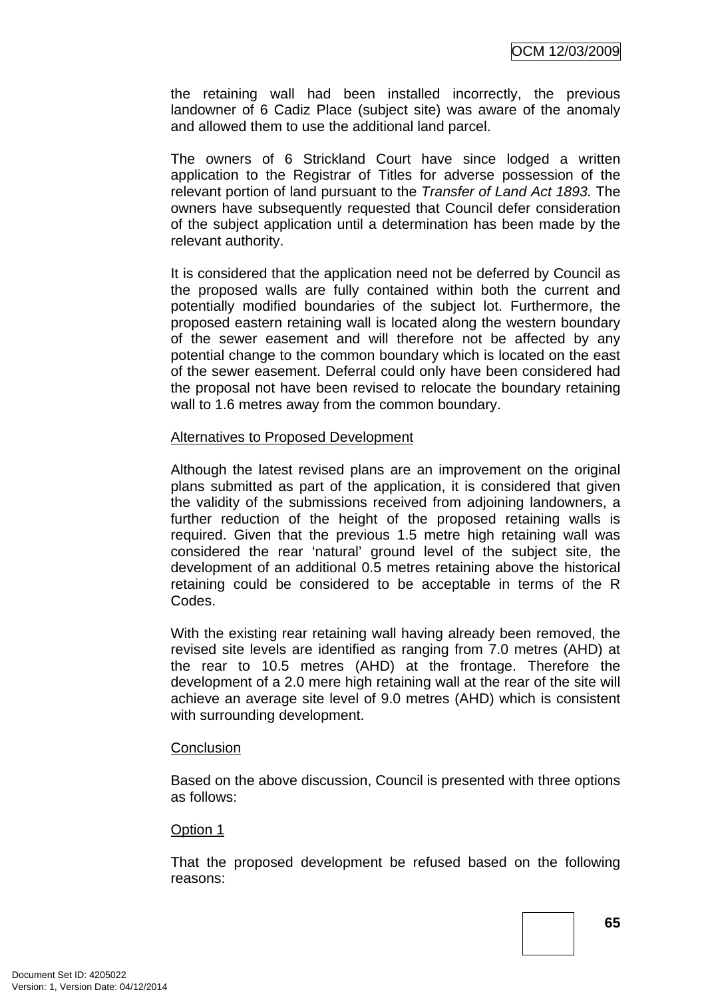the retaining wall had been installed incorrectly, the previous landowner of 6 Cadiz Place (subject site) was aware of the anomaly and allowed them to use the additional land parcel.

The owners of 6 Strickland Court have since lodged a written application to the Registrar of Titles for adverse possession of the relevant portion of land pursuant to the *Transfer of Land Act 1893.* The owners have subsequently requested that Council defer consideration of the subject application until a determination has been made by the relevant authority.

It is considered that the application need not be deferred by Council as the proposed walls are fully contained within both the current and potentially modified boundaries of the subject lot. Furthermore, the proposed eastern retaining wall is located along the western boundary of the sewer easement and will therefore not be affected by any potential change to the common boundary which is located on the east of the sewer easement. Deferral could only have been considered had the proposal not have been revised to relocate the boundary retaining wall to 1.6 metres away from the common boundary.

#### Alternatives to Proposed Development

Although the latest revised plans are an improvement on the original plans submitted as part of the application, it is considered that given the validity of the submissions received from adjoining landowners, a further reduction of the height of the proposed retaining walls is required. Given that the previous 1.5 metre high retaining wall was considered the rear 'natural' ground level of the subject site, the development of an additional 0.5 metres retaining above the historical retaining could be considered to be acceptable in terms of the R Codes.

With the existing rear retaining wall having already been removed, the revised site levels are identified as ranging from 7.0 metres (AHD) at the rear to 10.5 metres (AHD) at the frontage. Therefore the development of a 2.0 mere high retaining wall at the rear of the site will achieve an average site level of 9.0 metres (AHD) which is consistent with surrounding development.

#### **Conclusion**

Based on the above discussion, Council is presented with three options as follows:

#### Option 1

That the proposed development be refused based on the following reasons: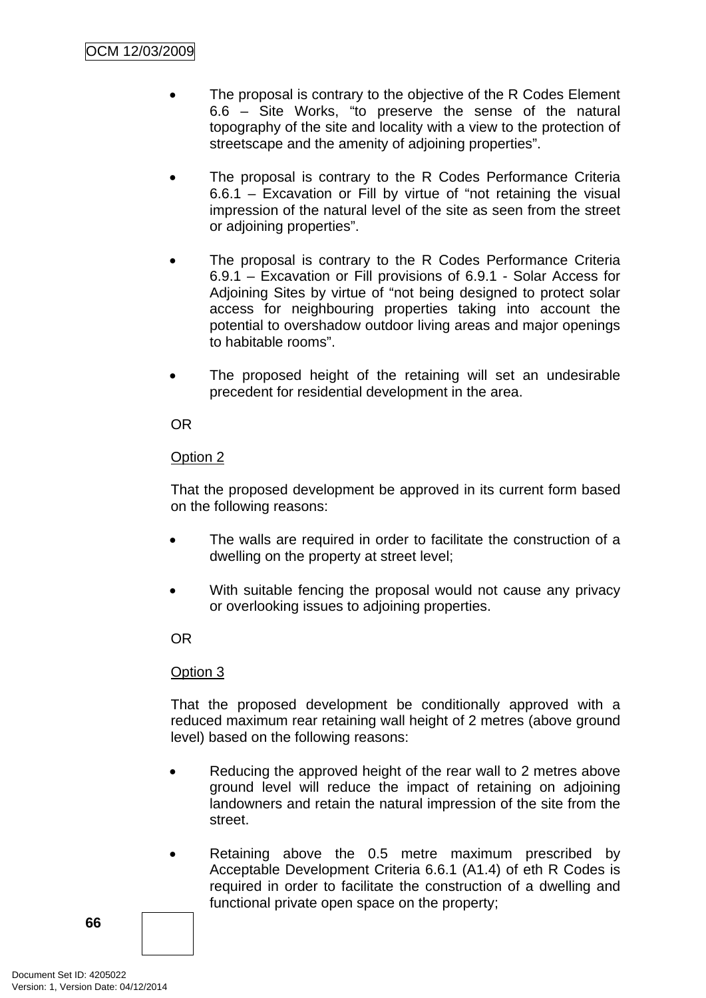- The proposal is contrary to the objective of the R Codes Element 6.6 – Site Works, "to preserve the sense of the natural topography of the site and locality with a view to the protection of streetscape and the amenity of adjoining properties".
- The proposal is contrary to the R Codes Performance Criteria 6.6.1 – Excavation or Fill by virtue of "not retaining the visual impression of the natural level of the site as seen from the street or adjoining properties".
- The proposal is contrary to the R Codes Performance Criteria 6.9.1 – Excavation or Fill provisions of 6.9.1 - Solar Access for Adjoining Sites by virtue of "not being designed to protect solar access for neighbouring properties taking into account the potential to overshadow outdoor living areas and major openings to habitable rooms".
- The proposed height of the retaining will set an undesirable precedent for residential development in the area.

## OR

## Option 2

That the proposed development be approved in its current form based on the following reasons:

- The walls are required in order to facilitate the construction of a dwelling on the property at street level;
- With suitable fencing the proposal would not cause any privacy or overlooking issues to adjoining properties.

## OR

## Option 3

That the proposed development be conditionally approved with a reduced maximum rear retaining wall height of 2 metres (above ground level) based on the following reasons:

- Reducing the approved height of the rear wall to 2 metres above ground level will reduce the impact of retaining on adjoining landowners and retain the natural impression of the site from the street.
- Retaining above the 0.5 metre maximum prescribed by Acceptable Development Criteria 6.6.1 (A1.4) of eth R Codes is required in order to facilitate the construction of a dwelling and functional private open space on the property;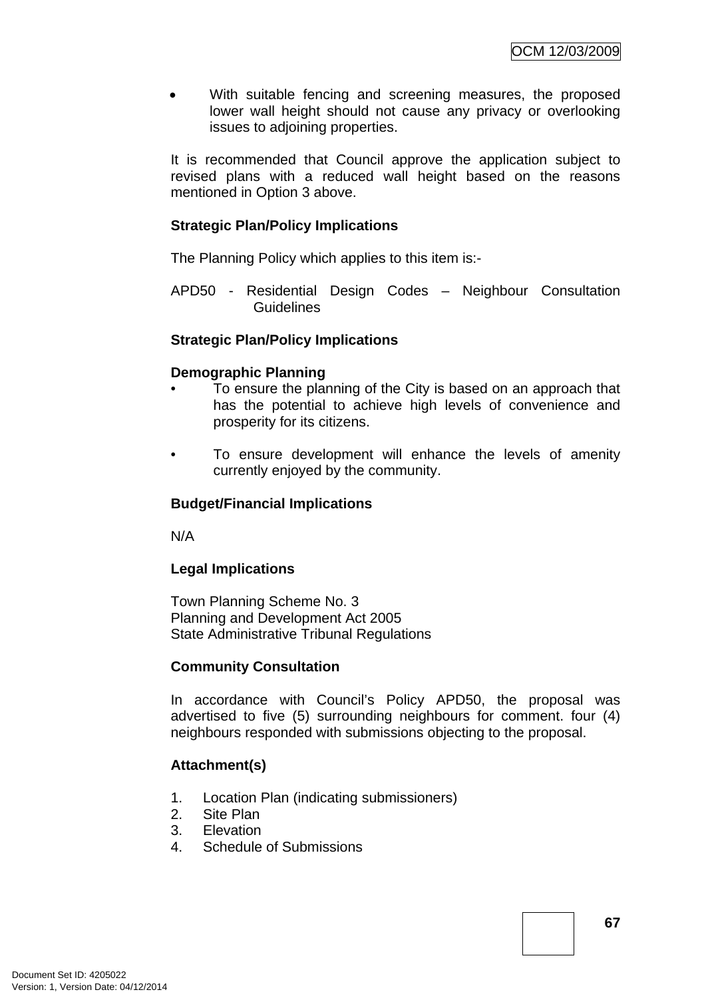• With suitable fencing and screening measures, the proposed lower wall height should not cause any privacy or overlooking issues to adjoining properties.

It is recommended that Council approve the application subject to revised plans with a reduced wall height based on the reasons mentioned in Option 3 above.

## **Strategic Plan/Policy Implications**

The Planning Policy which applies to this item is:-

APD50 - Residential Design Codes – Neighbour Consultation **Guidelines** 

## **Strategic Plan/Policy Implications**

#### **Demographic Planning**

- To ensure the planning of the City is based on an approach that has the potential to achieve high levels of convenience and prosperity for its citizens.
- To ensure development will enhance the levels of amenity currently enjoyed by the community.

#### **Budget/Financial Implications**

N/A

## **Legal Implications**

Town Planning Scheme No. 3 Planning and Development Act 2005 State Administrative Tribunal Regulations

#### **Community Consultation**

In accordance with Council's Policy APD50, the proposal was advertised to five (5) surrounding neighbours for comment. four (4) neighbours responded with submissions objecting to the proposal.

## **Attachment(s)**

- 1. Location Plan (indicating submissioners)
- 2. Site Plan
- 3. Elevation
- 4. Schedule of Submissions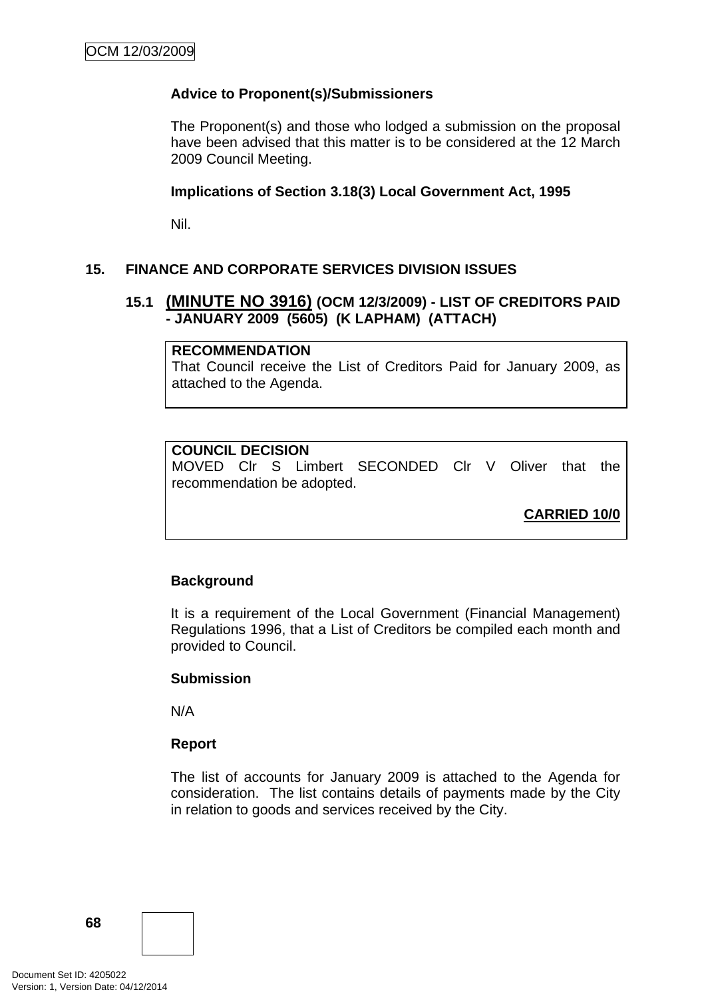## **Advice to Proponent(s)/Submissioners**

The Proponent(s) and those who lodged a submission on the proposal have been advised that this matter is to be considered at the 12 March 2009 Council Meeting.

#### **Implications of Section 3.18(3) Local Government Act, 1995**

Nil.

## **15. FINANCE AND CORPORATE SERVICES DIVISION ISSUES**

#### **15.1 (MINUTE NO 3916) (OCM 12/3/2009) - LIST OF CREDITORS PAID - JANUARY 2009 (5605) (K LAPHAM) (ATTACH)**

#### **RECOMMENDATION**

That Council receive the List of Creditors Paid for January 2009, as attached to the Agenda.

#### **COUNCIL DECISION**

MOVED Clr S Limbert SECONDED Clr V Oliver that the recommendation be adopted.

**CARRIED 10/0**

## **Background**

It is a requirement of the Local Government (Financial Management) Regulations 1996, that a List of Creditors be compiled each month and provided to Council.

#### **Submission**

N/A

#### **Report**

The list of accounts for January 2009 is attached to the Agenda for consideration. The list contains details of payments made by the City in relation to goods and services received by the City.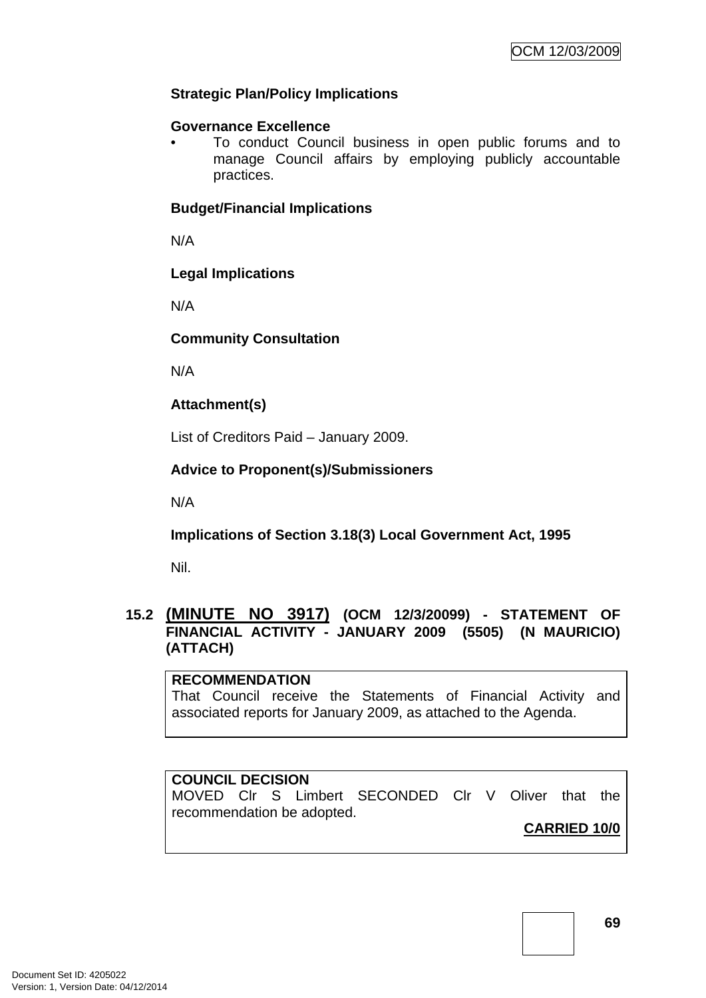## **Strategic Plan/Policy Implications**

#### **Governance Excellence**

• To conduct Council business in open public forums and to manage Council affairs by employing publicly accountable practices.

#### **Budget/Financial Implications**

N/A

#### **Legal Implications**

N/A

#### **Community Consultation**

N/A

#### **Attachment(s)**

List of Creditors Paid – January 2009.

#### **Advice to Proponent(s)/Submissioners**

N/A

#### **Implications of Section 3.18(3) Local Government Act, 1995**

Nil.

## **15.2 (MINUTE NO 3917) (OCM 12/3/20099) - STATEMENT OF FINANCIAL ACTIVITY - JANUARY 2009 (5505) (N MAURICIO) (ATTACH)**

#### **RECOMMENDATION**

That Council receive the Statements of Financial Activity and associated reports for January 2009, as attached to the Agenda.

#### **COUNCIL DECISION**

MOVED Clr S Limbert SECONDED Clr V Oliver that the recommendation be adopted.

# **CARRIED 10/0**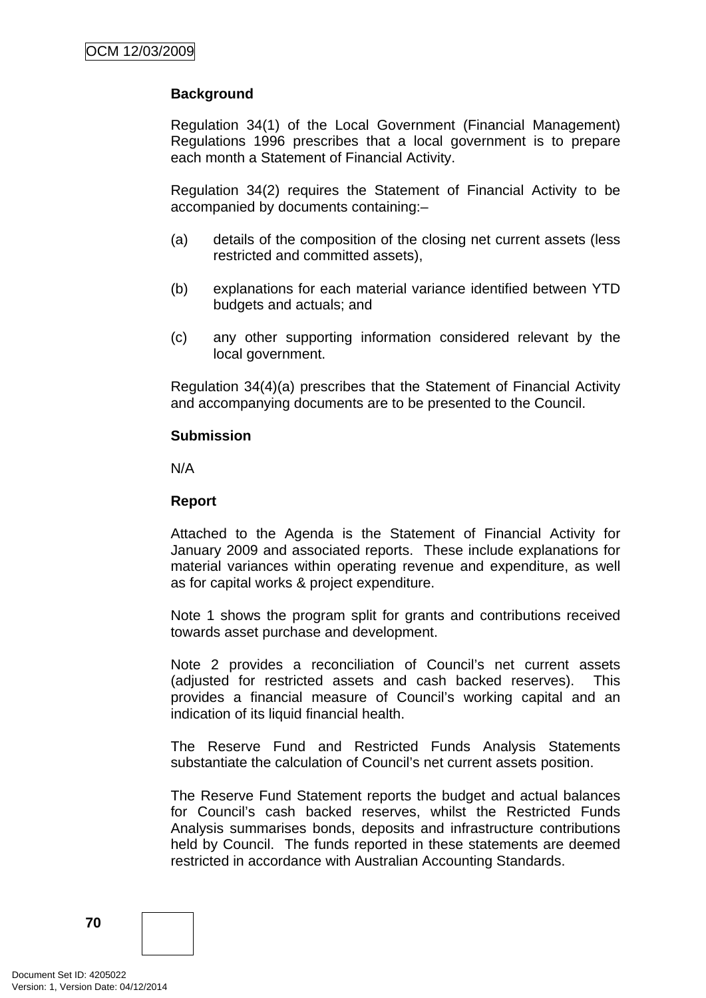# **Background**

Regulation 34(1) of the Local Government (Financial Management) Regulations 1996 prescribes that a local government is to prepare each month a Statement of Financial Activity.

Regulation 34(2) requires the Statement of Financial Activity to be accompanied by documents containing:–

- (a) details of the composition of the closing net current assets (less restricted and committed assets),
- (b) explanations for each material variance identified between YTD budgets and actuals; and
- (c) any other supporting information considered relevant by the local government.

Regulation 34(4)(a) prescribes that the Statement of Financial Activity and accompanying documents are to be presented to the Council.

#### **Submission**

N/A

#### **Report**

Attached to the Agenda is the Statement of Financial Activity for January 2009 and associated reports. These include explanations for material variances within operating revenue and expenditure, as well as for capital works & project expenditure.

Note 1 shows the program split for grants and contributions received towards asset purchase and development.

Note 2 provides a reconciliation of Council's net current assets (adjusted for restricted assets and cash backed reserves). This provides a financial measure of Council's working capital and an indication of its liquid financial health.

The Reserve Fund and Restricted Funds Analysis Statements substantiate the calculation of Council's net current assets position.

The Reserve Fund Statement reports the budget and actual balances for Council's cash backed reserves, whilst the Restricted Funds Analysis summarises bonds, deposits and infrastructure contributions held by Council. The funds reported in these statements are deemed restricted in accordance with Australian Accounting Standards.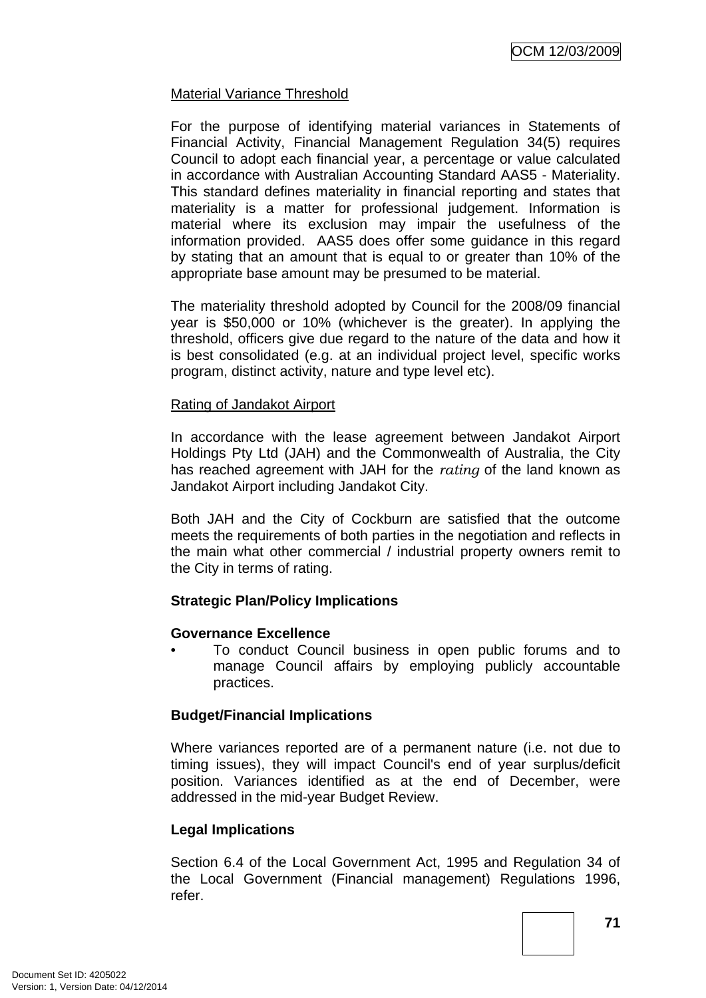### Material Variance Threshold

For the purpose of identifying material variances in Statements of Financial Activity, Financial Management Regulation 34(5) requires Council to adopt each financial year, a percentage or value calculated in accordance with Australian Accounting Standard AAS5 - Materiality. This standard defines materiality in financial reporting and states that materiality is a matter for professional judgement. Information is material where its exclusion may impair the usefulness of the information provided. AAS5 does offer some guidance in this regard by stating that an amount that is equal to or greater than 10% of the appropriate base amount may be presumed to be material.

The materiality threshold adopted by Council for the 2008/09 financial year is \$50,000 or 10% (whichever is the greater). In applying the threshold, officers give due regard to the nature of the data and how it is best consolidated (e.g. at an individual project level, specific works program, distinct activity, nature and type level etc).

#### Rating of Jandakot Airport

In accordance with the lease agreement between Jandakot Airport Holdings Pty Ltd (JAH) and the Commonwealth of Australia, the City has reached agreement with JAH for the *rating* of the land known as Jandakot Airport including Jandakot City.

Both JAH and the City of Cockburn are satisfied that the outcome meets the requirements of both parties in the negotiation and reflects in the main what other commercial / industrial property owners remit to the City in terms of rating.

#### **Strategic Plan/Policy Implications**

#### **Governance Excellence**

• To conduct Council business in open public forums and to manage Council affairs by employing publicly accountable practices.

#### **Budget/Financial Implications**

Where variances reported are of a permanent nature (i.e. not due to timing issues), they will impact Council's end of year surplus/deficit position. Variances identified as at the end of December, were addressed in the mid-year Budget Review.

#### **Legal Implications**

Section 6.4 of the Local Government Act, 1995 and Regulation 34 of the Local Government (Financial management) Regulations 1996, refer.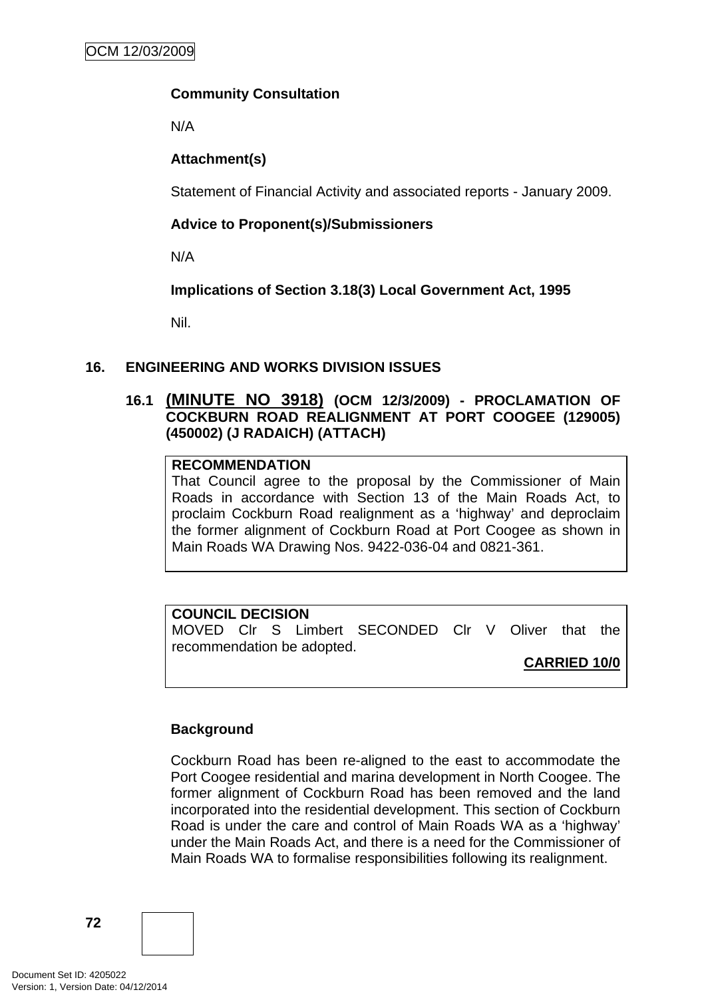## **Community Consultation**

N/A

# **Attachment(s)**

Statement of Financial Activity and associated reports - January 2009.

# **Advice to Proponent(s)/Submissioners**

N/A

## **Implications of Section 3.18(3) Local Government Act, 1995**

Nil.

## **16. ENGINEERING AND WORKS DIVISION ISSUES**

## **16.1 (MINUTE NO 3918) (OCM 12/3/2009) - PROCLAMATION OF COCKBURN ROAD REALIGNMENT AT PORT COOGEE (129005) (450002) (J RADAICH) (ATTACH)**

## **RECOMMENDATION**

That Council agree to the proposal by the Commissioner of Main Roads in accordance with Section 13 of the Main Roads Act, to proclaim Cockburn Road realignment as a 'highway' and deproclaim the former alignment of Cockburn Road at Port Coogee as shown in Main Roads WA Drawing Nos. 9422-036-04 and 0821-361.

#### **COUNCIL DECISION**

MOVED Clr S Limbert SECONDED Clr V Oliver that the recommendation be adopted.

**CARRIED 10/0**

# **Background**

Cockburn Road has been re-aligned to the east to accommodate the Port Coogee residential and marina development in North Coogee. The former alignment of Cockburn Road has been removed and the land incorporated into the residential development. This section of Cockburn Road is under the care and control of Main Roads WA as a 'highway' under the Main Roads Act, and there is a need for the Commissioner of Main Roads WA to formalise responsibilities following its realignment.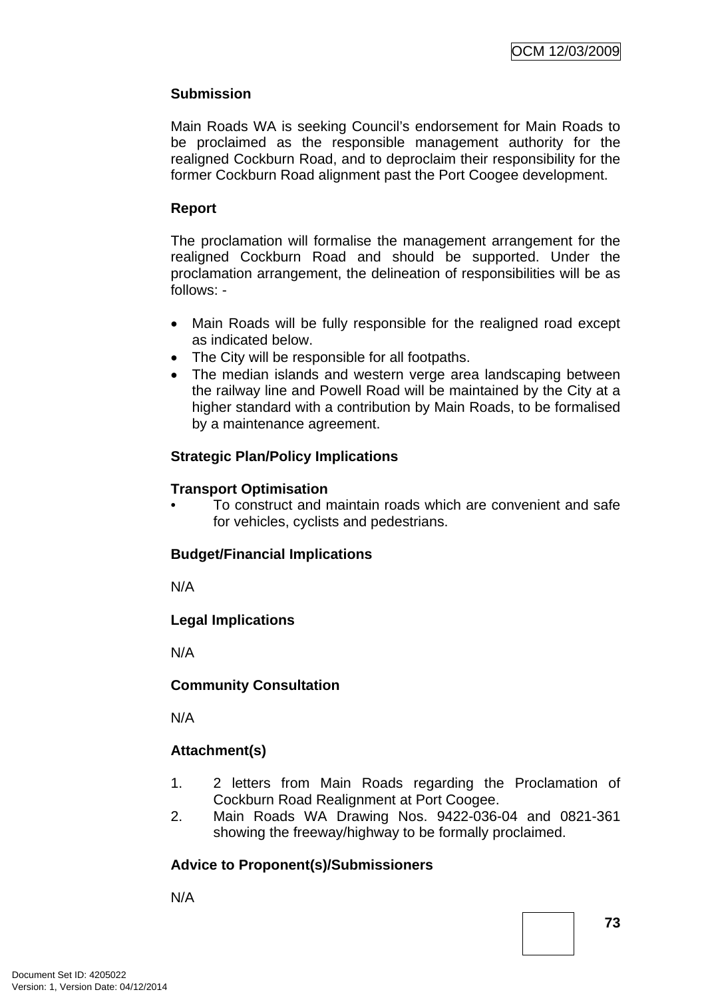# **Submission**

Main Roads WA is seeking Council's endorsement for Main Roads to be proclaimed as the responsible management authority for the realigned Cockburn Road, and to deproclaim their responsibility for the former Cockburn Road alignment past the Port Coogee development.

#### **Report**

The proclamation will formalise the management arrangement for the realigned Cockburn Road and should be supported. Under the proclamation arrangement, the delineation of responsibilities will be as follows: -

- Main Roads will be fully responsible for the realigned road except as indicated below.
- The City will be responsible for all footpaths.
- The median islands and western verge area landscaping between the railway line and Powell Road will be maintained by the City at a higher standard with a contribution by Main Roads, to be formalised by a maintenance agreement.

## **Strategic Plan/Policy Implications**

## **Transport Optimisation**

• To construct and maintain roads which are convenient and safe for vehicles, cyclists and pedestrians.

# **Budget/Financial Implications**

N/A

# **Legal Implications**

N/A

#### **Community Consultation**

N/A

# **Attachment(s)**

- 1. 2 letters from Main Roads regarding the Proclamation of Cockburn Road Realignment at Port Coogee.
- 2. Main Roads WA Drawing Nos. 9422-036-04 and 0821-361 showing the freeway/highway to be formally proclaimed.

# **Advice to Proponent(s)/Submissioners**

N/A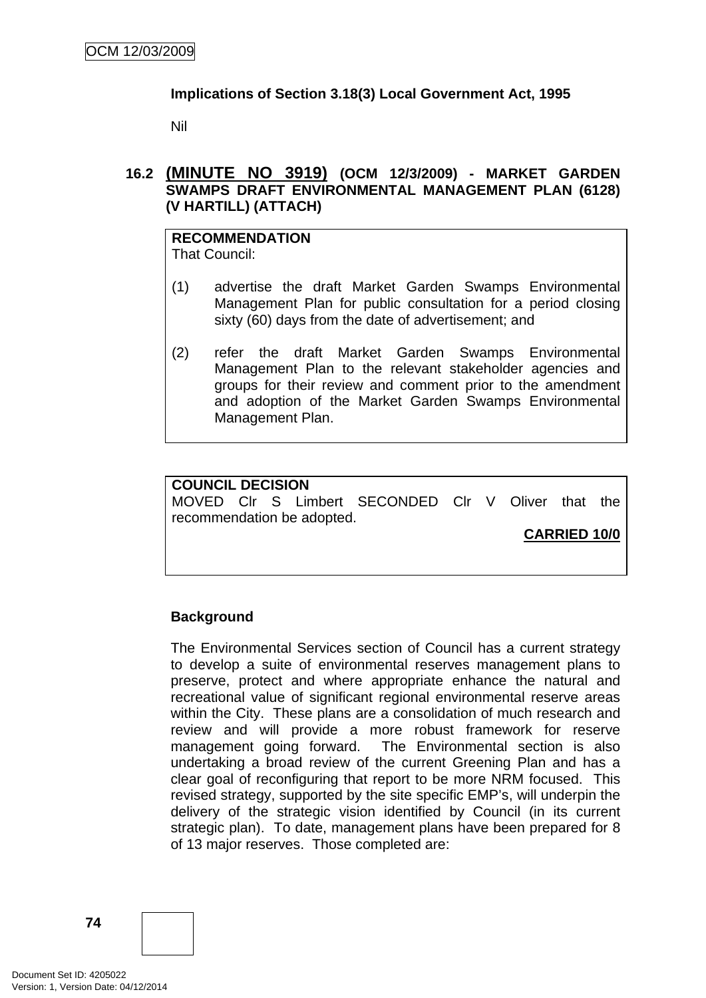### **Implications of Section 3.18(3) Local Government Act, 1995**

Nil

## **16.2 (MINUTE NO 3919) (OCM 12/3/2009) - MARKET GARDEN SWAMPS DRAFT ENVIRONMENTAL MANAGEMENT PLAN (6128) (V HARTILL) (ATTACH)**

# **RECOMMENDATION**

That Council:

- (1) advertise the draft Market Garden Swamps Environmental Management Plan for public consultation for a period closing sixty (60) days from the date of advertisement; and
- (2) refer the draft Market Garden Swamps Environmental Management Plan to the relevant stakeholder agencies and groups for their review and comment prior to the amendment and adoption of the Market Garden Swamps Environmental Management Plan.

## **COUNCIL DECISION**

MOVED Clr S Limbert SECONDED Clr V Oliver that the recommendation be adopted.

**CARRIED 10/0**

# **Background**

The Environmental Services section of Council has a current strategy to develop a suite of environmental reserves management plans to preserve, protect and where appropriate enhance the natural and recreational value of significant regional environmental reserve areas within the City. These plans are a consolidation of much research and review and will provide a more robust framework for reserve management going forward. The Environmental section is also undertaking a broad review of the current Greening Plan and has a clear goal of reconfiguring that report to be more NRM focused. This revised strategy, supported by the site specific EMP's, will underpin the delivery of the strategic vision identified by Council (in its current strategic plan). To date, management plans have been prepared for 8 of 13 major reserves. Those completed are: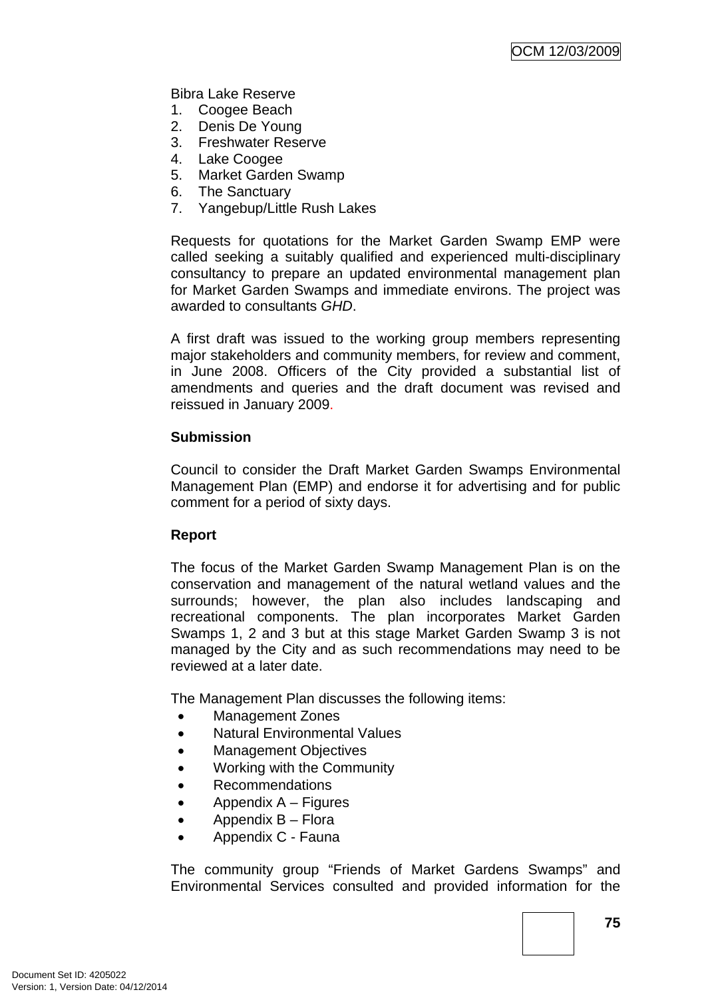#### Bibra Lake Reserve

- 1. Coogee Beach
- 2. Denis De Young
- 3. Freshwater Reserve
- 4. Lake Coogee
- 5. Market Garden Swamp
- 6. The Sanctuary
- 7. Yangebup/Little Rush Lakes

Requests for quotations for the Market Garden Swamp EMP were called seeking a suitably qualified and experienced multi-disciplinary consultancy to prepare an updated environmental management plan for Market Garden Swamps and immediate environs. The project was awarded to consultants *GHD*.

A first draft was issued to the working group members representing major stakeholders and community members, for review and comment, in June 2008. Officers of the City provided a substantial list of amendments and queries and the draft document was revised and reissued in January 2009.

#### **Submission**

Council to consider the Draft Market Garden Swamps Environmental Management Plan (EMP) and endorse it for advertising and for public comment for a period of sixty days.

#### **Report**

The focus of the Market Garden Swamp Management Plan is on the conservation and management of the natural wetland values and the surrounds; however, the plan also includes landscaping and recreational components. The plan incorporates Market Garden Swamps 1, 2 and 3 but at this stage Market Garden Swamp 3 is not managed by the City and as such recommendations may need to be reviewed at a later date.

The Management Plan discusses the following items:

- Management Zones
- Natural Environmental Values
- Management Objectives
- Working with the Community
- Recommendations
- Appendix  $A -$  Figures
- Appendix B Flora
- Appendix C Fauna

The community group "Friends of Market Gardens Swamps" and Environmental Services consulted and provided information for the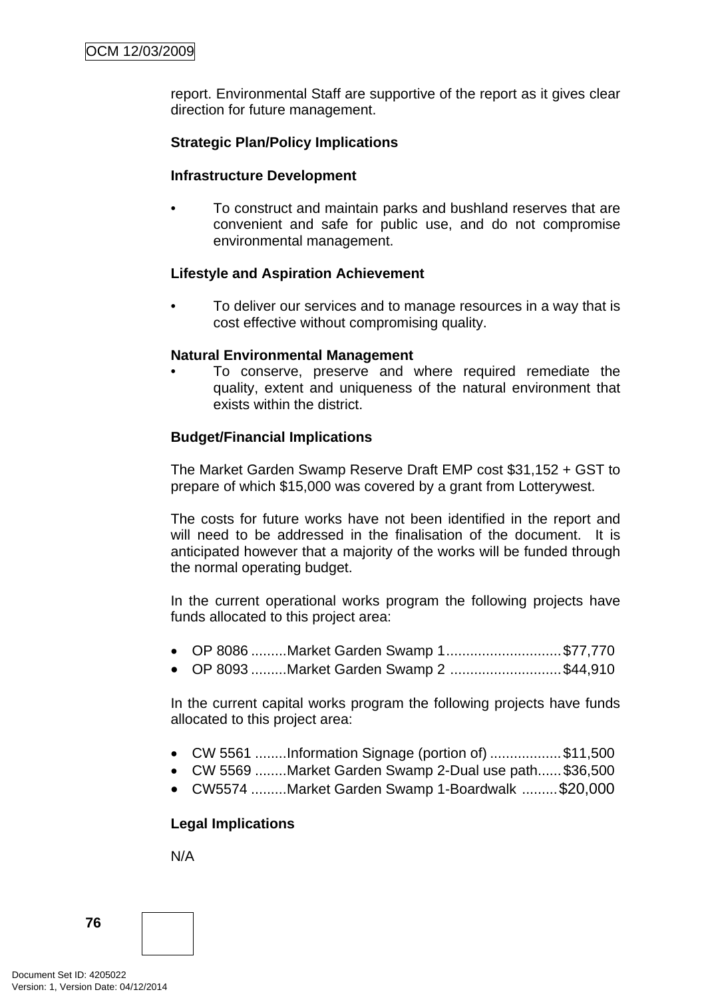report. Environmental Staff are supportive of the report as it gives clear direction for future management.

## **Strategic Plan/Policy Implications**

#### **Infrastructure Development**

• To construct and maintain parks and bushland reserves that are convenient and safe for public use, and do not compromise environmental management.

## **Lifestyle and Aspiration Achievement**

• To deliver our services and to manage resources in a way that is cost effective without compromising quality.

#### **Natural Environmental Management**

To conserve, preserve and where required remediate the quality, extent and uniqueness of the natural environment that exists within the district.

## **Budget/Financial Implications**

The Market Garden Swamp Reserve Draft EMP cost \$31,152 + GST to prepare of which \$15,000 was covered by a grant from Lotterywest.

The costs for future works have not been identified in the report and will need to be addressed in the finalisation of the document. It is anticipated however that a majority of the works will be funded through the normal operating budget.

In the current operational works program the following projects have funds allocated to this project area:

- OP 8086 .........Market Garden Swamp 1............................\$77,770
- OP 8093 ........Market Garden Swamp 2 ...........................\$44,910

In the current capital works program the following projects have funds allocated to this project area:

- CW 5561 ........Information Signage (portion of) .................\$11,500
- CW 5569 ........Market Garden Swamp 2-Dual use path......\$36,500
- CW5574 .........Market Garden Swamp 1-Boardwalk .........\$20,000

# **Legal Implications**

N/A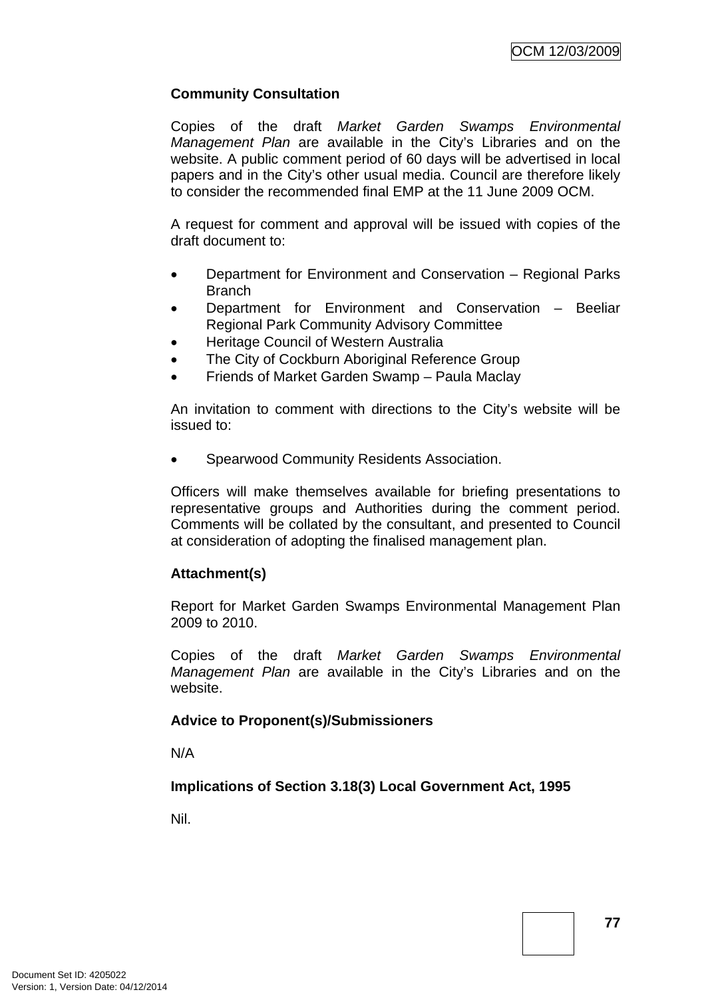## **Community Consultation**

Copies of the draft *Market Garden Swamps Environmental Management Plan* are available in the City's Libraries and on the website. A public comment period of 60 days will be advertised in local papers and in the City's other usual media. Council are therefore likely to consider the recommended final EMP at the 11 June 2009 OCM.

A request for comment and approval will be issued with copies of the draft document to:

- Department for Environment and Conservation Regional Parks **Branch**
- Department for Environment and Conservation Beeliar Regional Park Community Advisory Committee
- Heritage Council of Western Australia
- The City of Cockburn Aboriginal Reference Group
- Friends of Market Garden Swamp Paula Maclay

An invitation to comment with directions to the City's website will be issued to:

• Spearwood Community Residents Association.

Officers will make themselves available for briefing presentations to representative groups and Authorities during the comment period. Comments will be collated by the consultant, and presented to Council at consideration of adopting the finalised management plan.

#### **Attachment(s)**

Report for Market Garden Swamps Environmental Management Plan 2009 to 2010.

Copies of the draft *Market Garden Swamps Environmental Management Plan* are available in the City's Libraries and on the website.

# **Advice to Proponent(s)/Submissioners**

N/A

# **Implications of Section 3.18(3) Local Government Act, 1995**

Nil.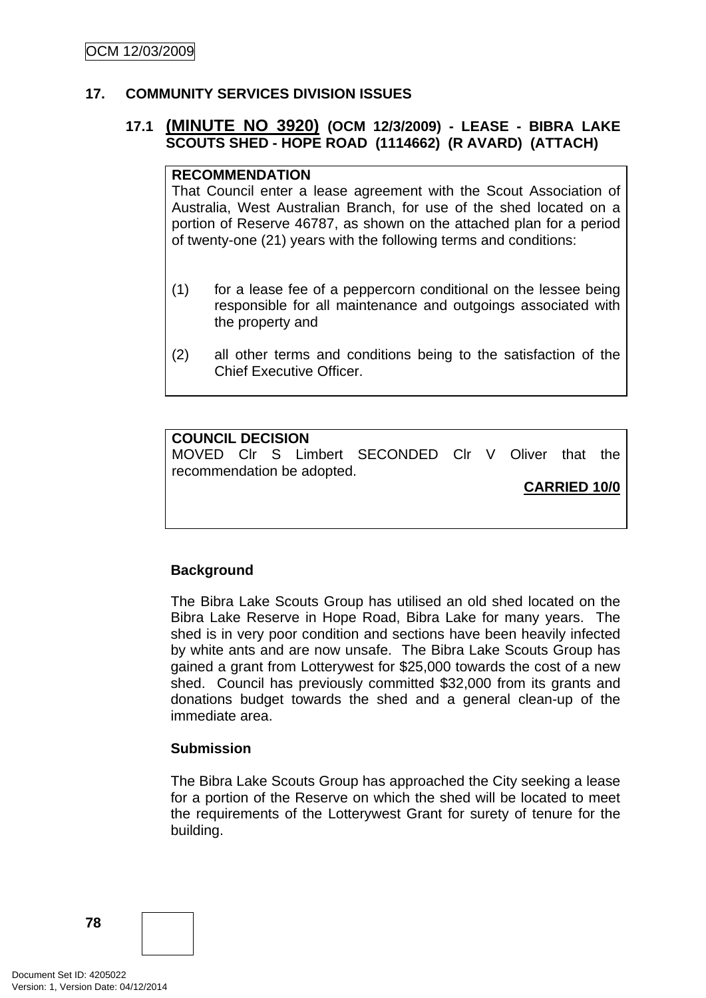#### **17. COMMUNITY SERVICES DIVISION ISSUES**

## **17.1 (MINUTE NO 3920) (OCM 12/3/2009) - LEASE - BIBRA LAKE SCOUTS SHED - HOPE ROAD (1114662) (R AVARD) (ATTACH)**

#### **RECOMMENDATION**

That Council enter a lease agreement with the Scout Association of Australia, West Australian Branch, for use of the shed located on a portion of Reserve 46787, as shown on the attached plan for a period of twenty-one (21) years with the following terms and conditions:

- (1) for a lease fee of a peppercorn conditional on the lessee being responsible for all maintenance and outgoings associated with the property and
- (2) all other terms and conditions being to the satisfaction of the Chief Executive Officer.

#### **COUNCIL DECISION**

MOVED Clr S Limbert SECONDED Clr V Oliver that the recommendation be adopted.

**CARRIED 10/0**

#### **Background**

The Bibra Lake Scouts Group has utilised an old shed located on the Bibra Lake Reserve in Hope Road, Bibra Lake for many years. The shed is in very poor condition and sections have been heavily infected by white ants and are now unsafe. The Bibra Lake Scouts Group has gained a grant from Lotterywest for \$25,000 towards the cost of a new shed. Council has previously committed \$32,000 from its grants and donations budget towards the shed and a general clean-up of the immediate area.

#### **Submission**

The Bibra Lake Scouts Group has approached the City seeking a lease for a portion of the Reserve on which the shed will be located to meet the requirements of the Lotterywest Grant for surety of tenure for the building.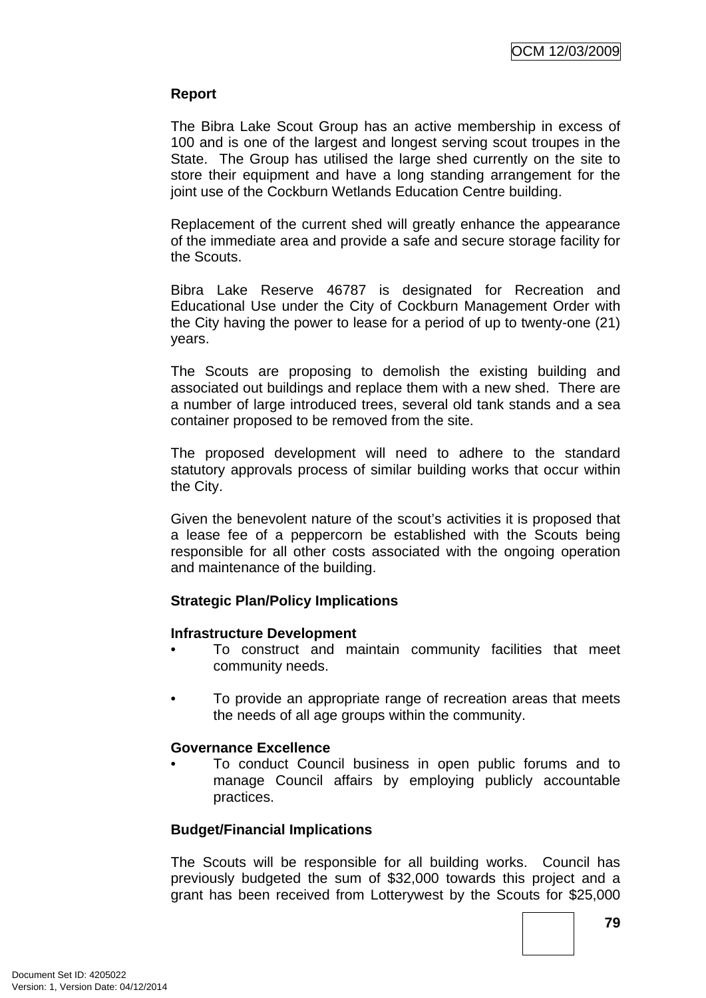## **Report**

The Bibra Lake Scout Group has an active membership in excess of 100 and is one of the largest and longest serving scout troupes in the State. The Group has utilised the large shed currently on the site to store their equipment and have a long standing arrangement for the joint use of the Cockburn Wetlands Education Centre building.

Replacement of the current shed will greatly enhance the appearance of the immediate area and provide a safe and secure storage facility for the Scouts.

Bibra Lake Reserve 46787 is designated for Recreation and Educational Use under the City of Cockburn Management Order with the City having the power to lease for a period of up to twenty-one (21) years.

The Scouts are proposing to demolish the existing building and associated out buildings and replace them with a new shed. There are a number of large introduced trees, several old tank stands and a sea container proposed to be removed from the site.

The proposed development will need to adhere to the standard statutory approvals process of similar building works that occur within the City.

Given the benevolent nature of the scout's activities it is proposed that a lease fee of a peppercorn be established with the Scouts being responsible for all other costs associated with the ongoing operation and maintenance of the building.

# **Strategic Plan/Policy Implications**

#### **Infrastructure Development**

- To construct and maintain community facilities that meet community needs.
- To provide an appropriate range of recreation areas that meets the needs of all age groups within the community.

#### **Governance Excellence**

• To conduct Council business in open public forums and to manage Council affairs by employing publicly accountable practices.

#### **Budget/Financial Implications**

The Scouts will be responsible for all building works. Council has previously budgeted the sum of \$32,000 towards this project and a grant has been received from Lotterywest by the Scouts for \$25,000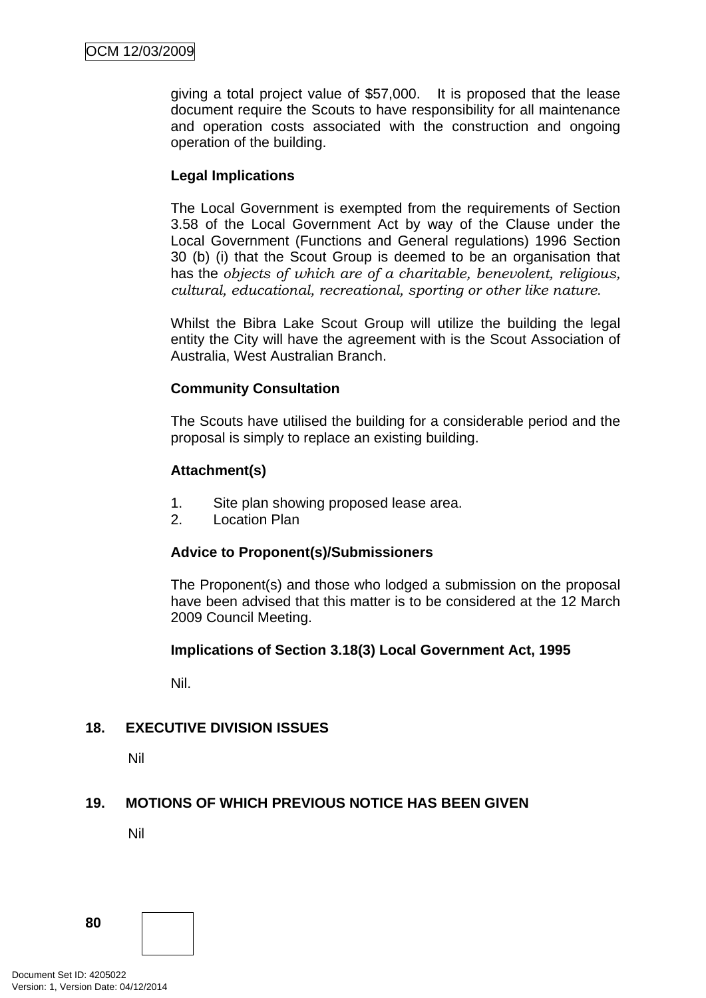giving a total project value of \$57,000. It is proposed that the lease document require the Scouts to have responsibility for all maintenance and operation costs associated with the construction and ongoing operation of the building.

## **Legal Implications**

The Local Government is exempted from the requirements of Section 3.58 of the Local Government Act by way of the Clause under the Local Government (Functions and General regulations) 1996 Section 30 (b) (i) that the Scout Group is deemed to be an organisation that has the *objects of which are of a charitable, benevolent, religious, cultural, educational, recreational, sporting or other like nature*.

Whilst the Bibra Lake Scout Group will utilize the building the legal entity the City will have the agreement with is the Scout Association of Australia, West Australian Branch.

#### **Community Consultation**

The Scouts have utilised the building for a considerable period and the proposal is simply to replace an existing building.

#### **Attachment(s)**

- 1. Site plan showing proposed lease area.
- 2. Location Plan

#### **Advice to Proponent(s)/Submissioners**

The Proponent(s) and those who lodged a submission on the proposal have been advised that this matter is to be considered at the 12 March 2009 Council Meeting.

#### **Implications of Section 3.18(3) Local Government Act, 1995**

Nil.

#### **18. EXECUTIVE DIVISION ISSUES**

Nil

#### **19. MOTIONS OF WHICH PREVIOUS NOTICE HAS BEEN GIVEN**

Nil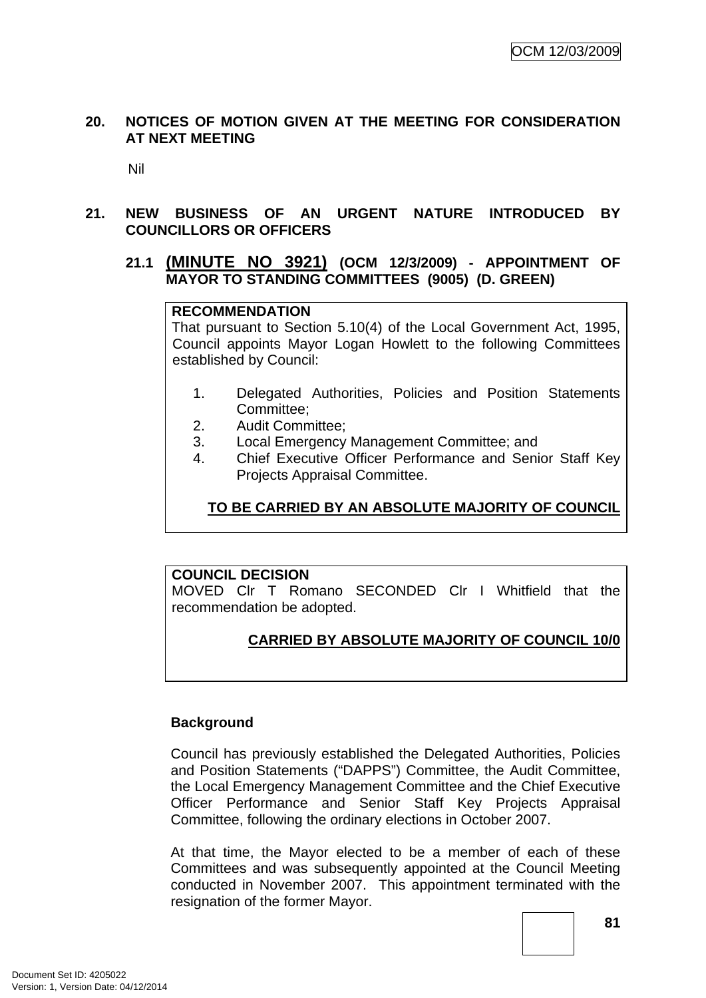#### **20. NOTICES OF MOTION GIVEN AT THE MEETING FOR CONSIDERATION AT NEXT MEETING**

Nil

**21. NEW BUSINESS OF AN URGENT NATURE INTRODUCED BY COUNCILLORS OR OFFICERS** 

## **21.1 (MINUTE NO 3921) (OCM 12/3/2009) - APPOINTMENT OF MAYOR TO STANDING COMMITTEES (9005) (D. GREEN)**

# **RECOMMENDATION**

That pursuant to Section 5.10(4) of the Local Government Act, 1995, Council appoints Mayor Logan Howlett to the following Committees established by Council:

- 1. Delegated Authorities, Policies and Position Statements Committee;
- 2. Audit Committee;
- 3. Local Emergency Management Committee; and
- 4. Chief Executive Officer Performance and Senior Staff Key Projects Appraisal Committee.

# **TO BE CARRIED BY AN ABSOLUTE MAJORITY OF COUNCIL**

#### **COUNCIL DECISION**

MOVED Clr T Romano SECONDED Clr I Whitfield that the recommendation be adopted.

#### **CARRIED BY ABSOLUTE MAJORITY OF COUNCIL 10/0**

#### **Background**

Council has previously established the Delegated Authorities, Policies and Position Statements ("DAPPS") Committee, the Audit Committee, the Local Emergency Management Committee and the Chief Executive Officer Performance and Senior Staff Key Projects Appraisal Committee, following the ordinary elections in October 2007.

At that time, the Mayor elected to be a member of each of these Committees and was subsequently appointed at the Council Meeting conducted in November 2007. This appointment terminated with the resignation of the former Mayor.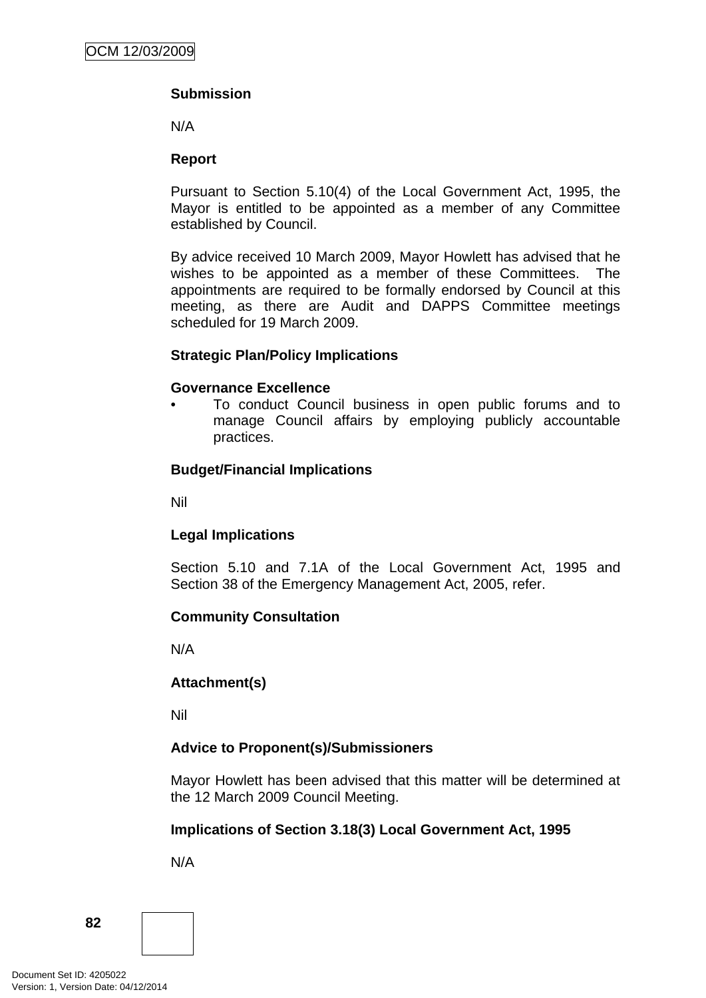# **Submission**

N/A

#### **Report**

Pursuant to Section 5.10(4) of the Local Government Act, 1995, the Mayor is entitled to be appointed as a member of any Committee established by Council.

By advice received 10 March 2009, Mayor Howlett has advised that he wishes to be appointed as a member of these Committees. The appointments are required to be formally endorsed by Council at this meeting, as there are Audit and DAPPS Committee meetings scheduled for 19 March 2009.

#### **Strategic Plan/Policy Implications**

#### **Governance Excellence**

• To conduct Council business in open public forums and to manage Council affairs by employing publicly accountable practices.

#### **Budget/Financial Implications**

Nil

#### **Legal Implications**

Section 5.10 and 7.1A of the Local Government Act, 1995 and Section 38 of the Emergency Management Act, 2005, refer.

#### **Community Consultation**

N/A

#### **Attachment(s)**

Nil

#### **Advice to Proponent(s)/Submissioners**

Mayor Howlett has been advised that this matter will be determined at the 12 March 2009 Council Meeting.

#### **Implications of Section 3.18(3) Local Government Act, 1995**

N/A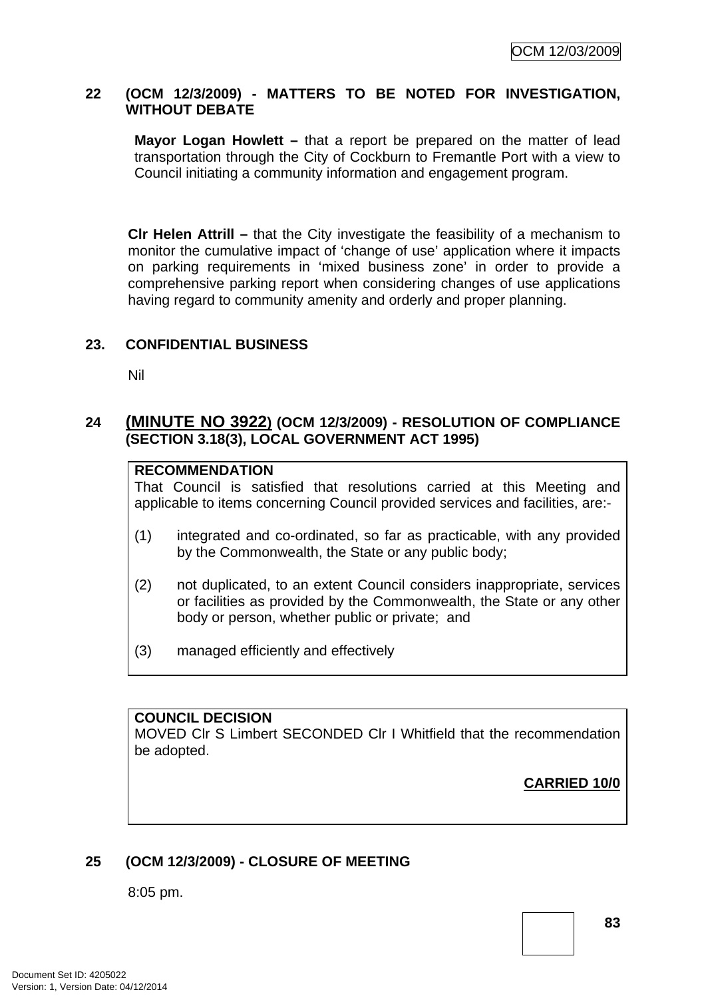#### **22 (OCM 12/3/2009) - MATTERS TO BE NOTED FOR INVESTIGATION, WITHOUT DEBATE**

**Mayor Logan Howlett –** that a report be prepared on the matter of lead transportation through the City of Cockburn to Fremantle Port with a view to Council initiating a community information and engagement program.

**Clr Helen Attrill –** that the City investigate the feasibility of a mechanism to monitor the cumulative impact of 'change of use' application where it impacts on parking requirements in 'mixed business zone' in order to provide a comprehensive parking report when considering changes of use applications having regard to community amenity and orderly and proper planning.

## **23. CONFIDENTIAL BUSINESS**

Nil

## **24 (MINUTE NO 3922) (OCM 12/3/2009) - RESOLUTION OF COMPLIANCE (SECTION 3.18(3), LOCAL GOVERNMENT ACT 1995)**

#### **RECOMMENDATION**

That Council is satisfied that resolutions carried at this Meeting and applicable to items concerning Council provided services and facilities, are:-

- (1) integrated and co-ordinated, so far as practicable, with any provided by the Commonwealth, the State or any public body;
- (2) not duplicated, to an extent Council considers inappropriate, services or facilities as provided by the Commonwealth, the State or any other body or person, whether public or private; and
- (3) managed efficiently and effectively

#### **COUNCIL DECISION**

MOVED Clr S Limbert SECONDED Clr I Whitfield that the recommendation be adopted.

**CARRIED 10/0**

# **25 (OCM 12/3/2009) - CLOSURE OF MEETING**

8:05 pm.